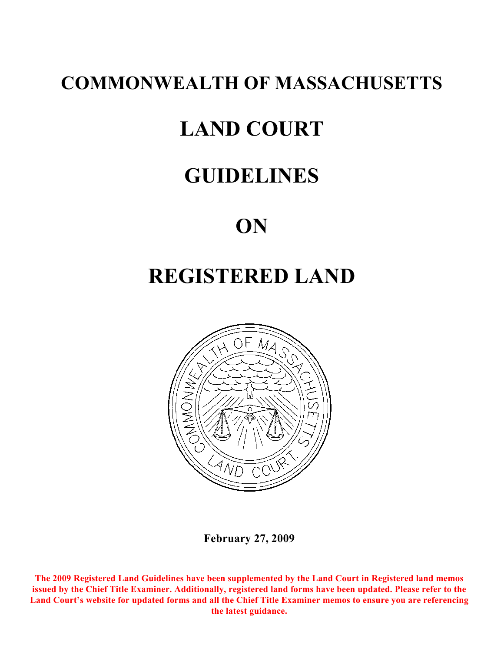# **COMMONWEALTH OF MASSACHUSETTS**

# **LAND COURT**

# **GUIDELINES**

# **ON**

# **REGISTERED LAND**



**February 27, 2009**

**The 2009 Registered Land Guidelines have been supplemented by the Land Court in Registered land memos issued by the Chief Title Examiner. Additionally, registered land forms have been updated. Please refer to the Land Court's website for updated forms and all the Chief Title Examiner memos to ensure you are referencing the latest guidance.**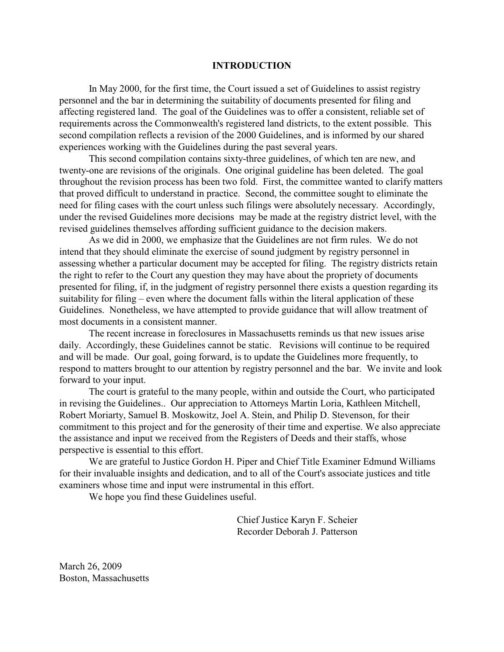#### **INTRODUCTION**

In May 2000, for the first time, the Court issued a set of Guidelines to assist registry personnel and the bar in determining the suitability of documents presented for filing and affecting registered land. The goal of the Guidelines was to offer a consistent, reliable set of requirements across the Commonwealth's registered land districts, to the extent possible. This second compilation reflects a revision of the 2000 Guidelines, and is informed by our shared experiences working with the Guidelines during the past several years.

This second compilation contains sixty-three guidelines, of which ten are new, and twenty-one are revisions of the originals. One original guideline has been deleted. The goal throughout the revision process has been two fold. First, the committee wanted to clarify matters that proved difficult to understand in practice. Second, the committee sought to eliminate the need for filing cases with the court unless such filings were absolutely necessary. Accordingly, under the revised Guidelines more decisions may be made at the registry district level, with the revised guidelines themselves affording sufficient guidance to the decision makers.

As we did in 2000, we emphasize that the Guidelines are not firm rules. We do not intend that they should eliminate the exercise of sound judgment by registry personnel in assessing whether a particular document may be accepted for filing. The registry districts retain the right to refer to the Court any question they may have about the propriety of documents presented for filing, if, in the judgment of registry personnel there exists a question regarding its suitability for filing – even where the document falls within the literal application of these Guidelines. Nonetheless, we have attempted to provide guidance that will allow treatment of most documents in a consistent manner.

The recent increase in foreclosures in Massachusetts reminds us that new issues arise daily. Accordingly, these Guidelines cannot be static. Revisions will continue to be required and will be made. Our goal, going forward, is to update the Guidelines more frequently, to respond to matters brought to our attention by registry personnel and the bar. We invite and look forward to your input.

The court is grateful to the many people, within and outside the Court, who participated in revising the Guidelines.. Our appreciation to Attorneys Martin Loria, Kathleen Mitchell, Robert Moriarty, Samuel B. Moskowitz, Joel A. Stein, and Philip D. Stevenson, for their commitment to this project and for the generosity of their time and expertise. We also appreciate the assistance and input we received from the Registers of Deeds and their staffs, whose perspective is essential to this effort.

We are grateful to Justice Gordon H. Piper and Chief Title Examiner Edmund Williams for their invaluable insights and dedication, and to all of the Court's associate justices and title examiners whose time and input were instrumental in this effort.

We hope you find these Guidelines useful.

Chief Justice Karyn F. Scheier Recorder Deborah J. Patterson

March 26, 2009 Boston, Massachusetts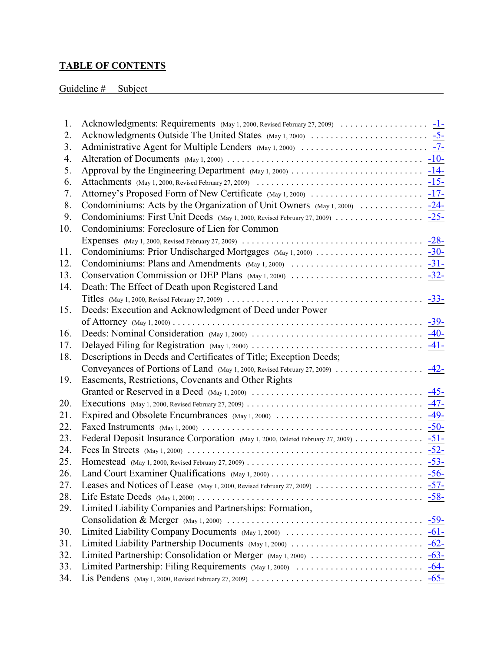# **TABLE OF CONTENTS**

# Guideline # Subject Subject

| 1.         |                                                                                    |
|------------|------------------------------------------------------------------------------------|
| 2.         |                                                                                    |
| 3.         |                                                                                    |
| 4.         |                                                                                    |
| 5.         |                                                                                    |
| 6.         |                                                                                    |
| 7.         |                                                                                    |
| 8.         |                                                                                    |
| 9.         |                                                                                    |
| 10.        | Condominiums: Foreclosure of Lien for Common                                       |
|            |                                                                                    |
| 11.        |                                                                                    |
| 12.        |                                                                                    |
| 13.        |                                                                                    |
| 14.        | Death: The Effect of Death upon Registered Land                                    |
|            |                                                                                    |
| 15.        | Deeds: Execution and Acknowledgment of Deed under Power                            |
|            |                                                                                    |
| 16.        |                                                                                    |
| 17.        |                                                                                    |
| 18.        | Descriptions in Deeds and Certificates of Title; Exception Deeds;                  |
|            |                                                                                    |
|            | Conveyances of Portions of Land (May 1, 2000, Revised February 27, 2009) 42-       |
| 19.        | Easements, Restrictions, Covenants and Other Rights                                |
|            |                                                                                    |
| 20.        |                                                                                    |
| 21.        |                                                                                    |
| 22.        |                                                                                    |
| 23.        | Federal Deposit Insurance Corporation (May 1, 2000, Deleted February 27, 2009) 51- |
| 24.        |                                                                                    |
| 25.        |                                                                                    |
| 26.        |                                                                                    |
| 27.        |                                                                                    |
| 28.        |                                                                                    |
| 29.        | Limited Liability Companies and Partnerships: Formation,                           |
|            |                                                                                    |
| 30.        |                                                                                    |
| 31.        |                                                                                    |
| 32.        |                                                                                    |
| 33.<br>34. |                                                                                    |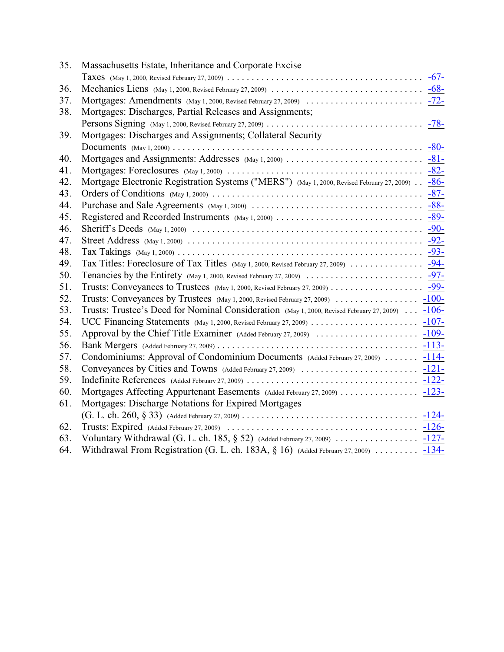| 35. | Massachusetts Estate, Inheritance and Corporate Excise                                                          |
|-----|-----------------------------------------------------------------------------------------------------------------|
|     |                                                                                                                 |
| 36. |                                                                                                                 |
| 37. |                                                                                                                 |
| 38. | Mortgages: Discharges, Partial Releases and Assignments;                                                        |
|     |                                                                                                                 |
| 39. | Mortgages: Discharges and Assignments; Collateral Security                                                      |
|     |                                                                                                                 |
| 40. |                                                                                                                 |
| 41. |                                                                                                                 |
| 42. | Mortgage Electronic Registration Systems ("MERS") (May 1, 2000, Revised February 27, 2009) - 86-                |
| 43. |                                                                                                                 |
| 44. |                                                                                                                 |
| 45. |                                                                                                                 |
| 46. |                                                                                                                 |
| 47. |                                                                                                                 |
| 48. |                                                                                                                 |
| 49. |                                                                                                                 |
| 50. |                                                                                                                 |
| 51. |                                                                                                                 |
| 52. |                                                                                                                 |
| 53. | Trusts: Trustee's Deed for Nominal Consideration (May 1, 2000, Revised February 27, 2009)  -106-                |
| 54. |                                                                                                                 |
| 55. |                                                                                                                 |
| 56. |                                                                                                                 |
| 57. | Condominiums: Approval of Condominium Documents (Added February 27, 2009)  -114-                                |
| 58. |                                                                                                                 |
| 59. |                                                                                                                 |
| 60. |                                                                                                                 |
| 61. | Mortgages: Discharge Notations for Expired Mortgages                                                            |
|     |                                                                                                                 |
| 62. |                                                                                                                 |
| 63. | Voluntary Withdrawal (G. L. ch. 185, § 52) (Added February 27, 2009) $\ldots \ldots \ldots \ldots \ldots$ -127- |
| 64. | Withdrawal From Registration (G. L. ch. 183A, $\S$ 16) (Added February 27, 2009)  -134-                         |
|     |                                                                                                                 |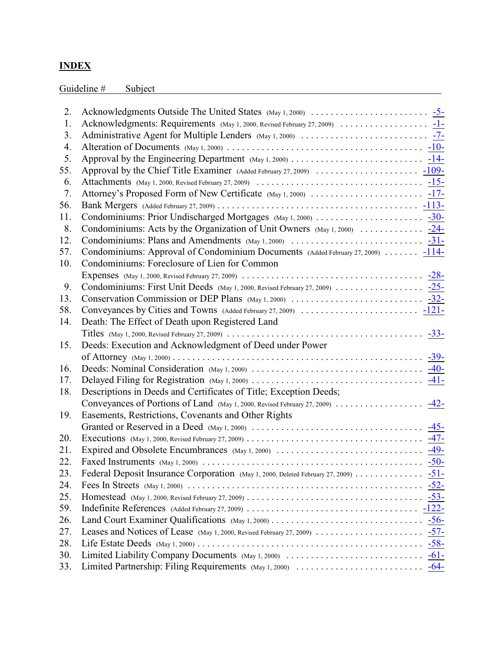# **INDEX**

Guideline # Subject Subject \$ Subject \$ 3.4 and \$ 3.6 and \$ 3.6 and \$ 3.6 and \$ 3.6 and \$ 3.6 and \$ 3.6 and \$ 3.6 and \$ 3.6 and \$ 3.6 and \$ 3.6 and \$ 3.6 and \$ 3.6 and \$ 3.6 and \$ 3.6 and \$ 3.6 and \$ 3.6 and \$ 3.6 and \$ 3.

| 2.  |                                                                                                                                               |
|-----|-----------------------------------------------------------------------------------------------------------------------------------------------|
| 1.  |                                                                                                                                               |
| 3.  |                                                                                                                                               |
| 4.  |                                                                                                                                               |
| 5.  |                                                                                                                                               |
| 55. |                                                                                                                                               |
| 6.  | Attachments (May 1, 2000, Revised February 27, 2009) $\ldots \ldots \ldots \ldots \ldots \ldots \ldots \ldots \ldots \ldots \frac{-15-15}{2}$ |
| 7.  |                                                                                                                                               |
| 56. |                                                                                                                                               |
| 11. |                                                                                                                                               |
| 8.  | Condominiums: Acts by the Organization of Unit Owners $(May 1, 2000)$ $-24$ -                                                                 |
| 12. |                                                                                                                                               |
| 57. | Condominiums: Approval of Condominium Documents (Added February 27, 2009)  -114-                                                              |
| 10. | Condominiums: Foreclosure of Lien for Common                                                                                                  |
|     |                                                                                                                                               |
| 9.  |                                                                                                                                               |
| 13. |                                                                                                                                               |
| 58. |                                                                                                                                               |
| 14. | Death: The Effect of Death upon Registered Land                                                                                               |
|     |                                                                                                                                               |
| 15. | Deeds: Execution and Acknowledgment of Deed under Power                                                                                       |
|     |                                                                                                                                               |
| 16. |                                                                                                                                               |
| 17. |                                                                                                                                               |
| 18. | Descriptions in Deeds and Certificates of Title; Exception Deeds;                                                                             |
|     | Conveyances of Portions of Land (May 1, 2000, Revised February 27, 2009) 42-                                                                  |
| 19. | Easements, Restrictions, Covenants and Other Rights                                                                                           |
|     |                                                                                                                                               |
| 20. |                                                                                                                                               |
| 21. |                                                                                                                                               |
| 22. |                                                                                                                                               |
| 23. | Federal Deposit Insurance Corporation (May 1, 2000, Deleted February 27, 2009) 51-                                                            |
| 24. |                                                                                                                                               |
| 25. |                                                                                                                                               |
| 59. |                                                                                                                                               |
| 26. |                                                                                                                                               |
| 27. |                                                                                                                                               |
| 28. |                                                                                                                                               |
| 30. |                                                                                                                                               |
| 33. |                                                                                                                                               |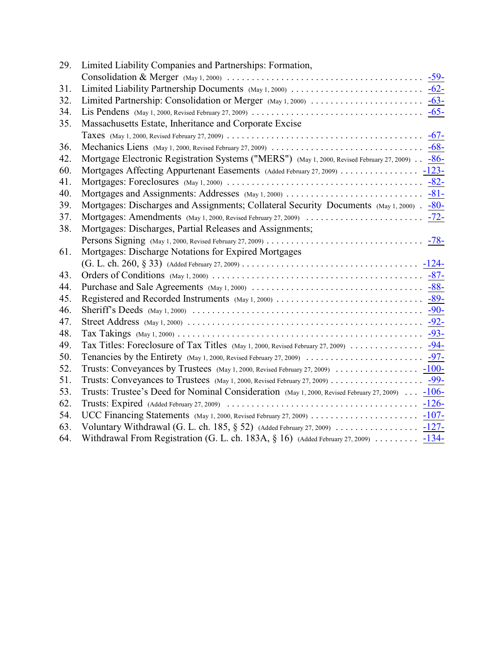| 29. | Limited Liability Companies and Partnerships: Formation,                                          |
|-----|---------------------------------------------------------------------------------------------------|
|     |                                                                                                   |
| 31. |                                                                                                   |
| 32. |                                                                                                   |
| 34. |                                                                                                   |
| 35. | Massachusetts Estate, Inheritance and Corporate Excise                                            |
|     |                                                                                                   |
| 36. |                                                                                                   |
| 42. | Mortgage Electronic Registration Systems ("MERS") (May 1, 2000, Revised February 27, 2009) . -86- |
| 60. |                                                                                                   |
| 41. |                                                                                                   |
| 40. |                                                                                                   |
| 39. | Mortgages: Discharges and Assignments; Collateral Security Documents (May 1, 2000) . -80-         |
| 37. |                                                                                                   |
| 38. | Mortgages: Discharges, Partial Releases and Assignments;                                          |
|     |                                                                                                   |
| 61. | Mortgages: Discharge Notations for Expired Mortgages                                              |
|     |                                                                                                   |
| 43. |                                                                                                   |
| 44. |                                                                                                   |
| 45. |                                                                                                   |
| 46. |                                                                                                   |
| 47. |                                                                                                   |
| 48. |                                                                                                   |
| 49. | Tax Titles: Foreclosure of Tax Titles (May 1, 2000, Revised February 27, 2009) 94-                |
| 50. |                                                                                                   |
| 52. |                                                                                                   |
| 51. |                                                                                                   |
| 53. | Trusts: Trustee's Deed for Nominal Consideration (May 1, 2000, Revised February 27, 2009)  -106-  |
| 62. |                                                                                                   |
| 54. |                                                                                                   |
| 63. |                                                                                                   |
| 64. | Withdrawal From Registration (G. L. ch. 183A, § 16) (Added February 27, 2009)  -134-              |
|     |                                                                                                   |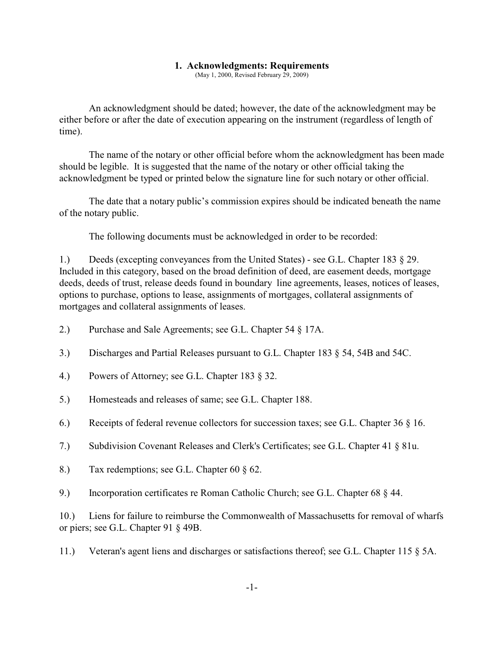#### <span id="page-6-0"></span>**1. Acknowledgments: Requirements**

(May 1, 2000, Revised February 29, 2009)

An acknowledgment should be dated; however, the date of the acknowledgment may be either before or after the date of execution appearing on the instrument (regardless of length of time).

The name of the notary or other official before whom the acknowledgment has been made should be legible. It is suggested that the name of the notary or other official taking the acknowledgment be typed or printed below the signature line for such notary or other official.

The date that a notary public's commission expires should be indicated beneath the name of the notary public.

The following documents must be acknowledged in order to be recorded:

1.) Deeds (excepting conveyances from the United States) - see G.L. Chapter 183 § 29. Included in this category, based on the broad definition of deed, are easement deeds, mortgage deeds, deeds of trust, release deeds found in boundary line agreements, leases, notices of leases, options to purchase, options to lease, assignments of mortgages, collateral assignments of mortgages and collateral assignments of leases.

- 2.) Purchase and Sale Agreements; see G.L. Chapter 54 § 17A.
- 3.) Discharges and Partial Releases pursuant to G.L. Chapter 183 § 54, 54B and 54C.
- 4.) Powers of Attorney; see G.L. Chapter 183 § 32.
- 5.) Homesteads and releases of same; see G.L. Chapter 188.
- 6.) Receipts of federal revenue collectors for succession taxes; see G.L. Chapter 36 § 16.
- 7.) Subdivision Covenant Releases and Clerk's Certificates; see G.L. Chapter 41 § 81u.
- 8.) Tax redemptions; see G.L. Chapter 60 § 62.
- 9.) Incorporation certificates re Roman Catholic Church; see G.L. Chapter 68 § 44.

10.) Liens for failure to reimburse the Commonwealth of Massachusetts for removal of wharfs or piers; see G.L. Chapter 91 § 49B.

11.) Veteran's agent liens and discharges or satisfactions thereof; see G.L. Chapter 115 § 5A.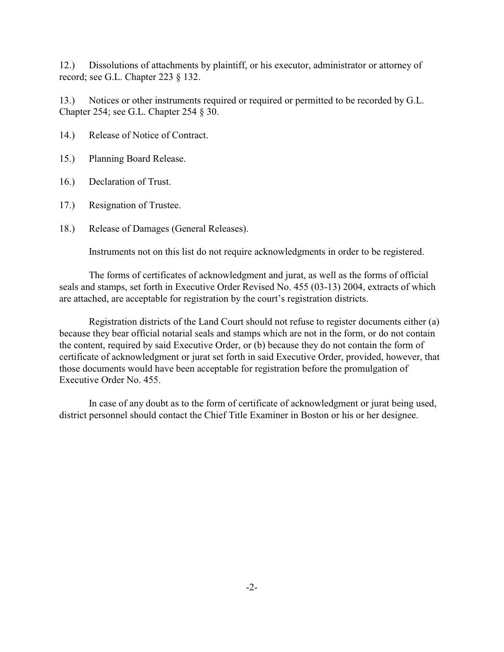12.) Dissolutions of attachments by plaintiff, or his executor, administrator or attorney of record; see G.L. Chapter 223 § 132.

13.) Notices or other instruments required or required or permitted to be recorded by G.L. Chapter 254; see G.L. Chapter 254 § 30.

- 14.) Release of Notice of Contract.
- 15.) Planning Board Release.
- 16.) Declaration of Trust.
- 17.) Resignation of Trustee.
- 18.) Release of Damages (General Releases).

Instruments not on this list do not require acknowledgments in order to be registered.

The forms of certificates of acknowledgment and jurat, as well as the forms of official seals and stamps, set forth in Executive Order Revised No. 455 (03-13) 2004, extracts of which are attached, are acceptable for registration by the court's registration districts.

Registration districts of the Land Court should not refuse to register documents either (a) because they bear official notarial seals and stamps which are not in the form, or do not contain the content, required by said Executive Order, or (b) because they do not contain the form of certificate of acknowledgment or jurat set forth in said Executive Order, provided, however, that those documents would have been acceptable for registration before the promulgation of Executive Order No. 455.

In case of any doubt as to the form of certificate of acknowledgment or jurat being used, district personnel should contact the Chief Title Examiner in Boston or his or her designee.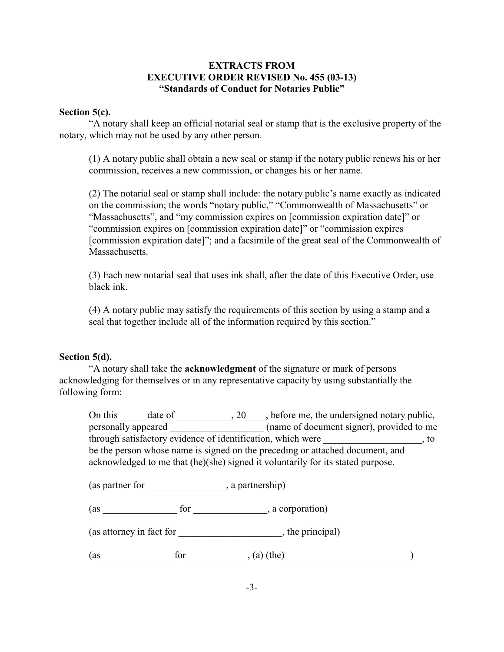### **EXTRACTS FROM EXECUTIVE ORDER REVISED No. 455 (03-13) "Standards of Conduct for Notaries Public"**

#### **Section 5(c).**

"A notary shall keep an official notarial seal or stamp that is the exclusive property of the notary, which may not be used by any other person.

(1) A notary public shall obtain a new seal or stamp if the notary public renews his or her commission, receives a new commission, or changes his or her name.

(2) The notarial seal or stamp shall include: the notary public's name exactly as indicated on the commission; the words "notary public," "Commonwealth of Massachusetts" or "Massachusetts", and "my commission expires on [commission expiration date]" or "commission expires on [commission expiration date]" or "commission expires [commission expiration date]"; and a facsimile of the great seal of the Commonwealth of Massachusetts.

(3) Each new notarial seal that uses ink shall, after the date of this Executive Order, use black ink.

(4) A notary public may satisfy the requirements of this section by using a stamp and a seal that together include all of the information required by this section."

#### **Section 5(d).**

"A notary shall take the **acknowledgment** of the signature or mark of persons acknowledging for themselves or in any representative capacity by using substantially the following form:

|                     |                                  | On this date of 20, before me, the undersigned notary public,                                                                                                    |            |
|---------------------|----------------------------------|------------------------------------------------------------------------------------------------------------------------------------------------------------------|------------|
| personally appeared |                                  | (name of document signer), provided to me                                                                                                                        |            |
|                     |                                  | through satisfactory evidence of identification, which were                                                                                                      | $\cdot$ to |
|                     |                                  | be the person whose name is signed on the preceding or attached document, and<br>acknowledged to me that (he)(she) signed it voluntarily for its stated purpose. |            |
|                     | (as partner for , a partnership) |                                                                                                                                                                  |            |
| (as                 | for                              | , a corporation)                                                                                                                                                 |            |

(as attorney in fact for \_\_\_\_\_\_\_\_\_\_\_\_\_\_\_\_\_\_\_\_\_, the principal)

 $(\text{as} \quad \text{for} \quad (\text{a}) \text{ (the)}$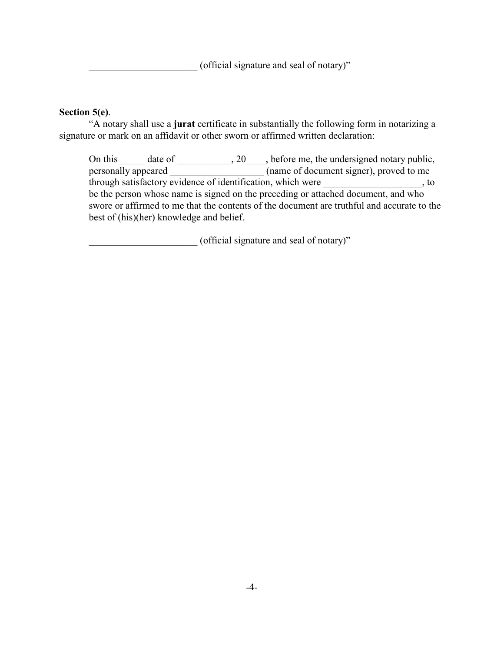(official signature and seal of notary)"

### **Section 5(e)**.

"A notary shall use a **jurat** certificate in substantially the following form in notarizing a signature or mark on an affidavit or other sworn or affirmed written declaration:

On this \_\_\_\_\_ date of \_\_\_\_\_\_\_\_\_, 20\_\_\_\_, before me, the undersigned notary public, personally appeared (name of document signer), proved to me  $\rule{1em}{0.15mm}$  (name of document signer), proved to me through satisfactory evidence of identification, which were  $\qquad \qquad$ , to be the person whose name is signed on the preceding or attached document, and who swore or affirmed to me that the contents of the document are truthful and accurate to the best of (his)(her) knowledge and belief.

(official signature and seal of notary)"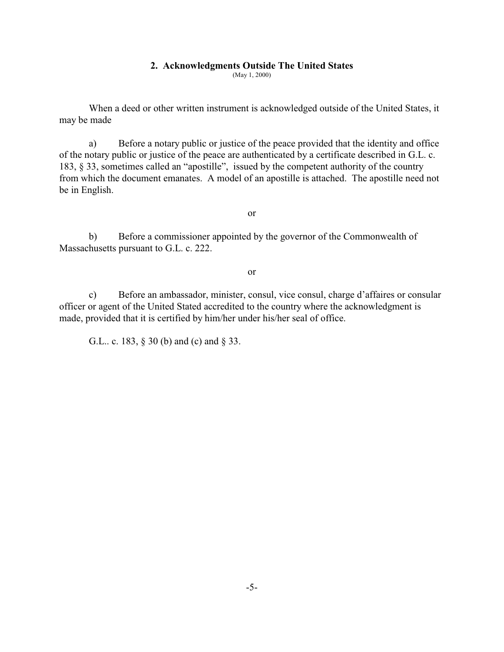#### <span id="page-10-0"></span>**2. Acknowledgments Outside The United States**

(May 1, 2000)

When a deed or other written instrument is acknowledged outside of the United States, it may be made

a) Before a notary public or justice of the peace provided that the identity and office of the notary public or justice of the peace are authenticated by a certificate described in G.L. c. 183, § 33, sometimes called an "apostille", issued by the competent authority of the country from which the document emanates. A model of an apostille is attached. The apostille need not be in English.

or

b) Before a commissioner appointed by the governor of the Commonwealth of Massachusetts pursuant to G.L. c. 222.

or

c) Before an ambassador, minister, consul, vice consul, charge d'affaires or consular officer or agent of the United Stated accredited to the country where the acknowledgment is made, provided that it is certified by him/her under his/her seal of office.

G.L.. c. 183, § 30 (b) and (c) and § 33.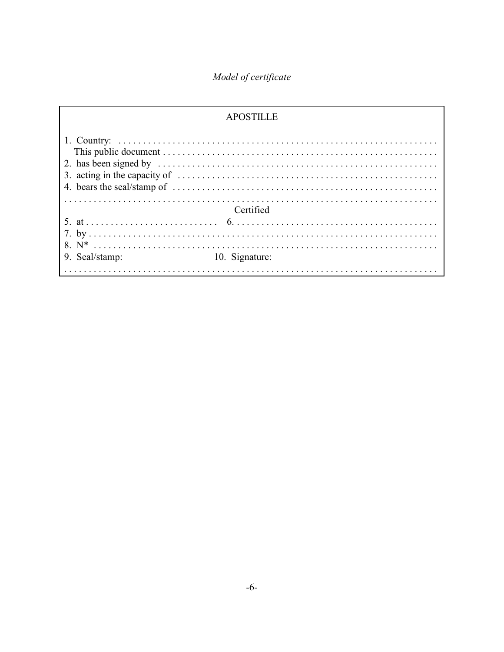# Model of certificate

|                | <b>APOSTILLE</b> |
|----------------|------------------|
|                |                  |
|                | Certified        |
|                |                  |
| 9. Seal/stamp: | 10. Signature:   |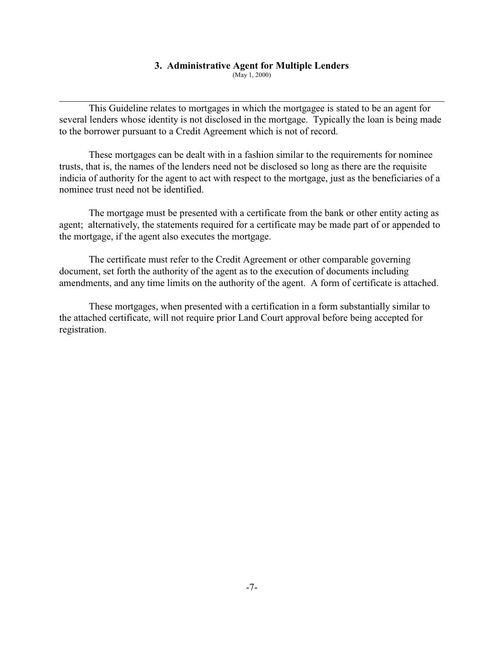#### <span id="page-12-0"></span>**3. Administrative Agent for Multiple Lenders**

(May 1, 2000)

This Guideline relates to mortgages in which the mortgagee is stated to be an agent for several lenders whose identity is not disclosed in the mortgage. Typically the loan is being made to the borrower pursuant to a Credit Agreement which is not of record.

These mortgages can be dealt with in a fashion similar to the requirements for nominee trusts, that is, the names of the lenders need not be disclosed so long as there are the requisite indicia of authority for the agent to act with respect to the mortgage, just as the beneficiaries of a nominee trust need not be identified.

The mortgage must be presented with a certificate from the bank or other entity acting as agent; alternatively, the statements required for a certificate may be made part of or appended to the mortgage, if the agent also executes the mortgage.

The certificate must refer to the Credit Agreement or other comparable governing document, set forth the authority of the agent as to the execution of documents including amendments, and any time limits on the authority of the agent. A form of certificate is attached.

These mortgages, when presented with a certification in a form substantially similar to the attached certificate, will not require prior Land Court approval before being accepted for registration.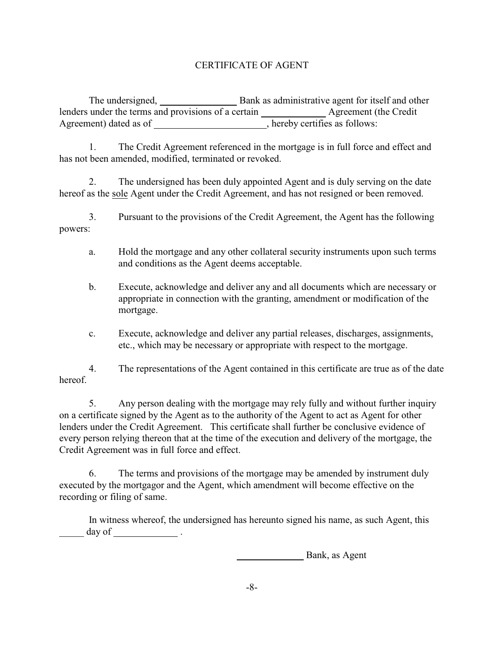# CERTIFICATE OF AGENT

The undersigned, Bank as administrative agent for itself and other lenders under the terms and provisions of a certain \_\_\_\_\_\_\_\_\_\_\_\_\_\_ Agreement (the Credit Agreement) dated as of \_\_\_\_\_\_\_\_\_\_\_\_\_\_\_\_\_\_\_\_\_\_\_\_, hereby certifies as follows:

1. The Credit Agreement referenced in the mortgage is in full force and effect and has not been amended, modified, terminated or revoked.

2. The undersigned has been duly appointed Agent and is duly serving on the date hereof as the sole Agent under the Credit Agreement, and has not resigned or been removed.

3. Pursuant to the provisions of the Credit Agreement, the Agent has the following powers:

- a. Hold the mortgage and any other collateral security instruments upon such terms and conditions as the Agent deems acceptable.
- b. Execute, acknowledge and deliver any and all documents which are necessary or appropriate in connection with the granting, amendment or modification of the mortgage.
- c. Execute, acknowledge and deliver any partial releases, discharges, assignments, etc., which may be necessary or appropriate with respect to the mortgage.

4. The representations of the Agent contained in this certificate are true as of the date hereof.

5. Any person dealing with the mortgage may rely fully and without further inquiry on a certificate signed by the Agent as to the authority of the Agent to act as Agent for other lenders under the Credit Agreement. This certificate shall further be conclusive evidence of every person relying thereon that at the time of the execution and delivery of the mortgage, the Credit Agreement was in full force and effect.

6. The terms and provisions of the mortgage may be amended by instrument duly executed by the mortgagor and the Agent, which amendment will become effective on the recording or filing of same.

In witness whereof, the undersigned has hereunto signed his name, as such Agent, this day of  $\_\_\_\_\_\_\$  .

Bank, as Agent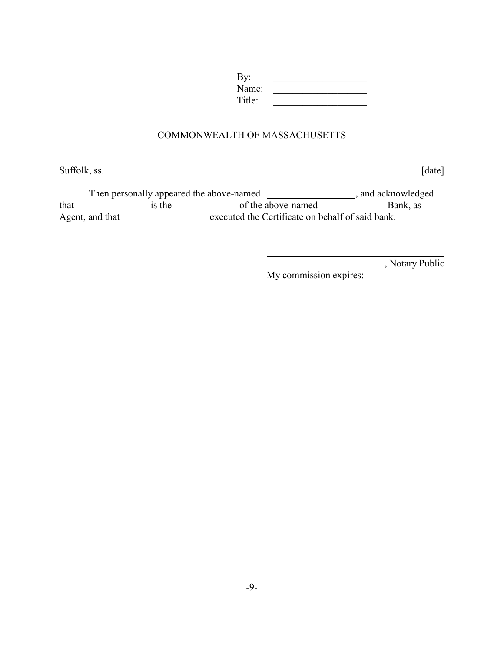| By:    |  |
|--------|--|
| Name:  |  |
| Title: |  |

#### COMMONWEALTH OF MASSACHUSETTS

Suffolk, ss. [date]

Then personally appeared the above-named \_\_\_\_\_\_\_\_\_\_\_\_\_\_\_\_\_\_\_\_\_, and acknowledged that is the order of the above-named Bank, as Agent, and that \_\_\_\_\_\_\_\_\_\_\_\_\_\_\_\_\_\_\_ executed the Certificate on behalf of said bank.

, Notary Public

My commission expires: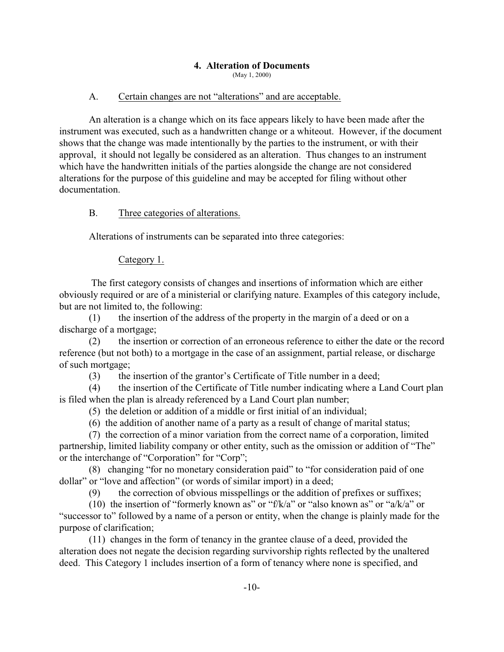#### <span id="page-15-0"></span>**4. Alteration of Documents**

(May 1, 2000)

#### A. Certain changes are not "alterations" and are acceptable.

An alteration is a change which on its face appears likely to have been made after the instrument was executed, such as a handwritten change or a whiteout. However, if the document shows that the change was made intentionally by the parties to the instrument, or with their approval, it should not legally be considered as an alteration. Thus changes to an instrument which have the handwritten initials of the parties alongside the change are not considered alterations for the purpose of this guideline and may be accepted for filing without other documentation.

#### B. Three categories of alterations.

Alterations of instruments can be separated into three categories:

#### Category 1.

 The first category consists of changes and insertions of information which are either obviously required or are of a ministerial or clarifying nature. Examples of this category include, but are not limited to, the following:

(1) the insertion of the address of the property in the margin of a deed or on a discharge of a mortgage;

(2) the insertion or correction of an erroneous reference to either the date or the record reference (but not both) to a mortgage in the case of an assignment, partial release, or discharge of such mortgage;

(3) the insertion of the grantor's Certificate of Title number in a deed;

(4) the insertion of the Certificate of Title number indicating where a Land Court plan is filed when the plan is already referenced by a Land Court plan number;

- (5) the deletion or addition of a middle or first initial of an individual;
- (6) the addition of another name of a party as a result of change of marital status;

(7) the correction of a minor variation from the correct name of a corporation, limited partnership, limited liability company or other entity, such as the omission or addition of "The" or the interchange of "Corporation" for "Corp";

(8) changing "for no monetary consideration paid" to "for consideration paid of one dollar" or "love and affection" (or words of similar import) in a deed;

(9) the correction of obvious misspellings or the addition of prefixes or suffixes;

(10) the insertion of "formerly known as" or "f/k/a" or "also known as" or "a/k/a" or "successor to" followed by a name of a person or entity, when the change is plainly made for the purpose of clarification;

(11) changes in the form of tenancy in the grantee clause of a deed, provided the alteration does not negate the decision regarding survivorship rights reflected by the unaltered deed. This Category 1 includes insertion of a form of tenancy where none is specified, and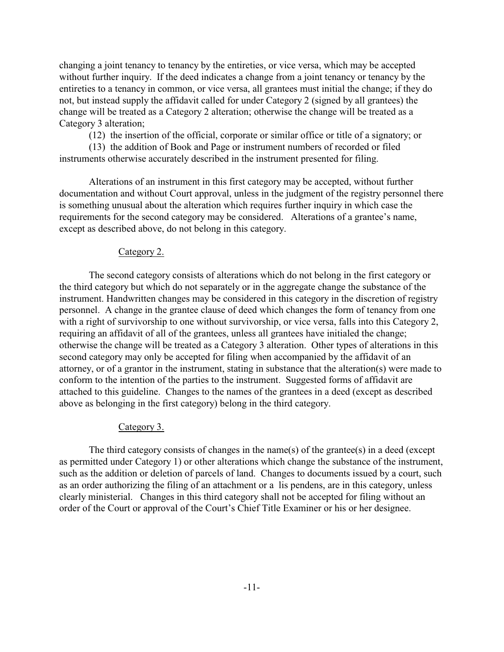changing a joint tenancy to tenancy by the entireties, or vice versa, which may be accepted without further inquiry. If the deed indicates a change from a joint tenancy or tenancy by the entireties to a tenancy in common, or vice versa, all grantees must initial the change; if they do not, but instead supply the affidavit called for under Category 2 (signed by all grantees) the change will be treated as a Category 2 alteration; otherwise the change will be treated as a Category 3 alteration;

(12) the insertion of the official, corporate or similar office or title of a signatory; or

(13) the addition of Book and Page or instrument numbers of recorded or filed instruments otherwise accurately described in the instrument presented for filing.

Alterations of an instrument in this first category may be accepted, without further documentation and without Court approval, unless in the judgment of the registry personnel there is something unusual about the alteration which requires further inquiry in which case the requirements for the second category may be considered. Alterations of a grantee's name, except as described above, do not belong in this category.

#### Category 2.

The second category consists of alterations which do not belong in the first category or the third category but which do not separately or in the aggregate change the substance of the instrument. Handwritten changes may be considered in this category in the discretion of registry personnel. A change in the grantee clause of deed which changes the form of tenancy from one with a right of survivorship to one without survivorship, or vice versa, falls into this Category 2, requiring an affidavit of all of the grantees, unless all grantees have initialed the change; otherwise the change will be treated as a Category 3 alteration. Other types of alterations in this second category may only be accepted for filing when accompanied by the affidavit of an attorney, or of a grantor in the instrument, stating in substance that the alteration(s) were made to conform to the intention of the parties to the instrument. Suggested forms of affidavit are attached to this guideline. Changes to the names of the grantees in a deed (except as described above as belonging in the first category) belong in the third category.

#### Category 3.

The third category consists of changes in the name(s) of the grantee(s) in a deed (except as permitted under Category 1) or other alterations which change the substance of the instrument, such as the addition or deletion of parcels of land. Changes to documents issued by a court, such as an order authorizing the filing of an attachment or a lis pendens, are in this category, unless clearly ministerial. Changes in this third category shall not be accepted for filing without an order of the Court or approval of the Court's Chief Title Examiner or his or her designee.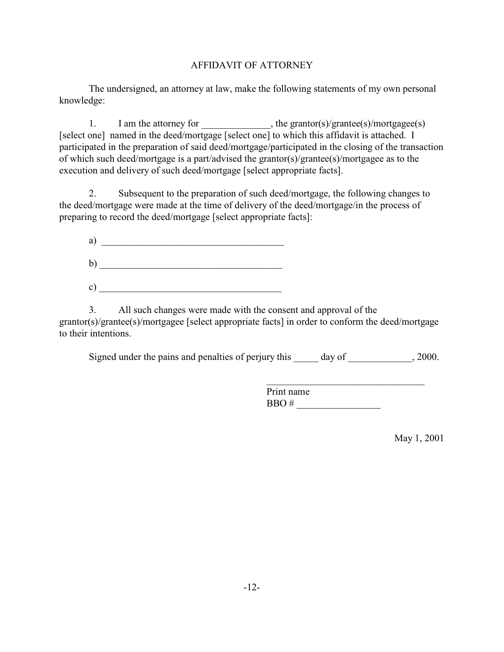## AFFIDAVIT OF ATTORNEY

The undersigned, an attorney at law, make the following statements of my own personal knowledge:

1. I am the attorney for \_\_\_\_\_\_\_\_\_\_\_\_\_, the grantor(s)/grantee(s)/mortgagee(s) [select one] named in the deed/mortgage [select one] to which this affidavit is attached. I participated in the preparation of said deed/mortgage/participated in the closing of the transaction of which such deed/mortgage is a part/advised the grantor(s)/grantee(s)/mortgagee as to the execution and delivery of such deed/mortgage [select appropriate facts].

2. Subsequent to the preparation of such deed/mortgage, the following changes to the deed/mortgage were made at the time of delivery of the deed/mortgage/in the process of preparing to record the deed/mortgage [select appropriate facts]:

| a)            |  |  |
|---------------|--|--|
| $\mathbf{b}$  |  |  |
| $\mathbf{c})$ |  |  |

3. All such changes were made with the consent and approval of the grantor(s)/grantee(s)/mortgagee [select appropriate facts] in order to conform the deed/mortgage to their intentions.

Signed under the pains and penalties of perjury this day of \_\_\_\_\_\_\_\_\_\_\_\_, 2000.

 $\mathcal{L}_\text{max}$  , and the set of the set of the set of the set of the set of the set of the set of the set of the set of the set of the set of the set of the set of the set of the set of the set of the set of the set of the Print name BBO # \_\_\_\_\_\_\_\_\_\_\_\_\_\_\_\_\_

May 1, 2001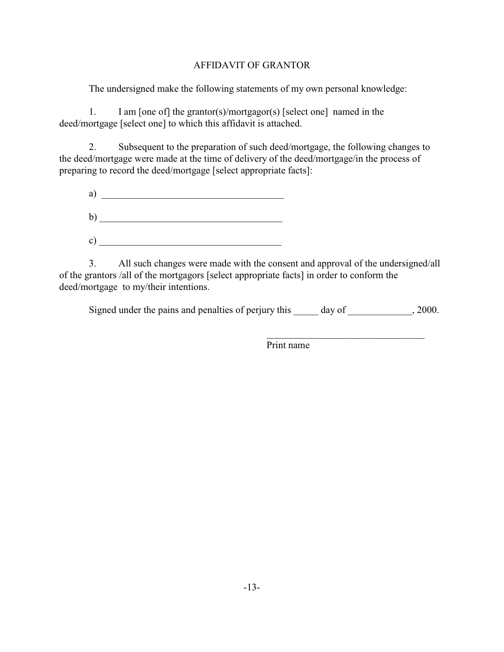## AFFIDAVIT OF GRANTOR

The undersigned make the following statements of my own personal knowledge:

1. I am [one of] the grantor(s)/mortgagor(s) [select one] named in the deed/mortgage [select one] to which this affidavit is attached.

2. Subsequent to the preparation of such deed/mortgage, the following changes to the deed/mortgage were made at the time of delivery of the deed/mortgage/in the process of preparing to record the deed/mortgage [select appropriate facts]:



3. All such changes were made with the consent and approval of the undersigned/all of the grantors /all of the mortgagors [select appropriate facts] in order to conform the deed/mortgage to my/their intentions.

| Signed under the pains and penalties of perjury this |  |  |  |  | day of | .2000. |
|------------------------------------------------------|--|--|--|--|--------|--------|
|------------------------------------------------------|--|--|--|--|--------|--------|

 $\mathcal{L}_\text{max}$  , and the set of the set of the set of the set of the set of the set of the set of the set of the set of the set of the set of the set of the set of the set of the set of the set of the set of the set of the Print name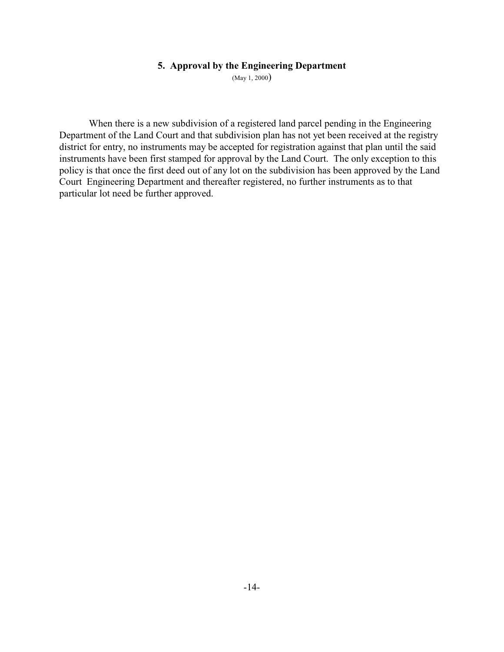#### <span id="page-19-0"></span>**5. Approval by the Engineering Department**

(May 1, 2000)

When there is a new subdivision of a registered land parcel pending in the Engineering Department of the Land Court and that subdivision plan has not yet been received at the registry district for entry, no instruments may be accepted for registration against that plan until the said instruments have been first stamped for approval by the Land Court. The only exception to this policy is that once the first deed out of any lot on the subdivision has been approved by the Land Court Engineering Department and thereafter registered, no further instruments as to that particular lot need be further approved.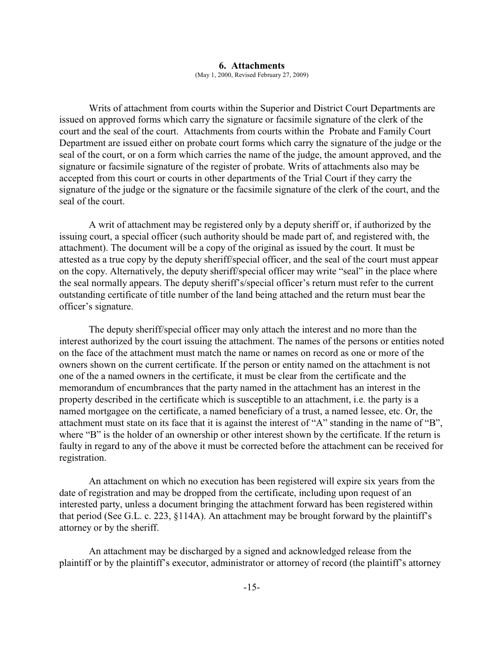#### <span id="page-20-0"></span>**6. Attachments**

(May 1, 2000, Revised February 27, 2009)

Writs of attachment from courts within the Superior and District Court Departments are issued on approved forms which carry the signature or facsimile signature of the clerk of the court and the seal of the court. Attachments from courts within the Probate and Family Court Department are issued either on probate court forms which carry the signature of the judge or the seal of the court, or on a form which carries the name of the judge, the amount approved, and the signature or facsimile signature of the register of probate. Writs of attachments also may be accepted from this court or courts in other departments of the Trial Court if they carry the signature of the judge or the signature or the facsimile signature of the clerk of the court, and the seal of the court.

A writ of attachment may be registered only by a deputy sheriff or, if authorized by the issuing court, a special officer (such authority should be made part of, and registered with, the attachment). The document will be a copy of the original as issued by the court. It must be attested as a true copy by the deputy sheriff/special officer, and the seal of the court must appear on the copy. Alternatively, the deputy sheriff/special officer may write "seal" in the place where the seal normally appears. The deputy sheriff's/special officer's return must refer to the current outstanding certificate of title number of the land being attached and the return must bear the officer's signature.

The deputy sheriff/special officer may only attach the interest and no more than the interest authorized by the court issuing the attachment. The names of the persons or entities noted on the face of the attachment must match the name or names on record as one or more of the owners shown on the current certificate. If the person or entity named on the attachment is not one of the a named owners in the certificate, it must be clear from the certificate and the memorandum of encumbrances that the party named in the attachment has an interest in the property described in the certificate which is susceptible to an attachment, i.e. the party is a named mortgagee on the certificate, a named beneficiary of a trust, a named lessee, etc. Or, the attachment must state on its face that it is against the interest of "A" standing in the name of "B", where "B" is the holder of an ownership or other interest shown by the certificate. If the return is faulty in regard to any of the above it must be corrected before the attachment can be received for registration.

An attachment on which no execution has been registered will expire six years from the date of registration and may be dropped from the certificate, including upon request of an interested party, unless a document bringing the attachment forward has been registered within that period (See G.L. c. 223, §114A). An attachment may be brought forward by the plaintiff's attorney or by the sheriff.

An attachment may be discharged by a signed and acknowledged release from the plaintiff or by the plaintiff's executor, administrator or attorney of record (the plaintiff's attorney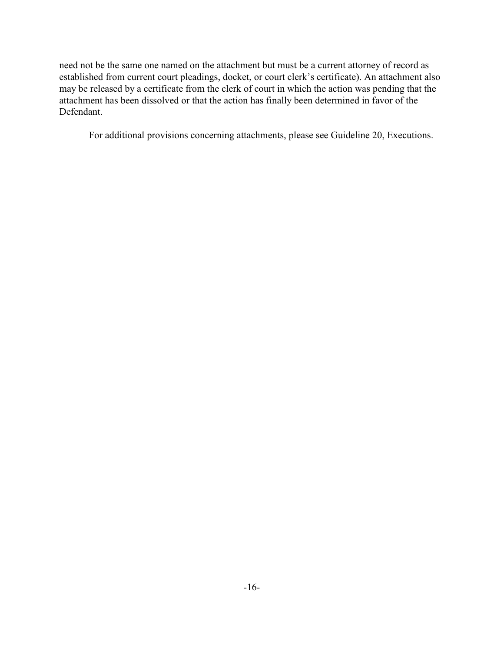need not be the same one named on the attachment but must be a current attorney of record as established from current court pleadings, docket, or court clerk's certificate). An attachment also may be released by a certificate from the clerk of court in which the action was pending that the attachment has been dissolved or that the action has finally been determined in favor of the Defendant.

For additional provisions concerning attachments, please see Guideline 20, Executions.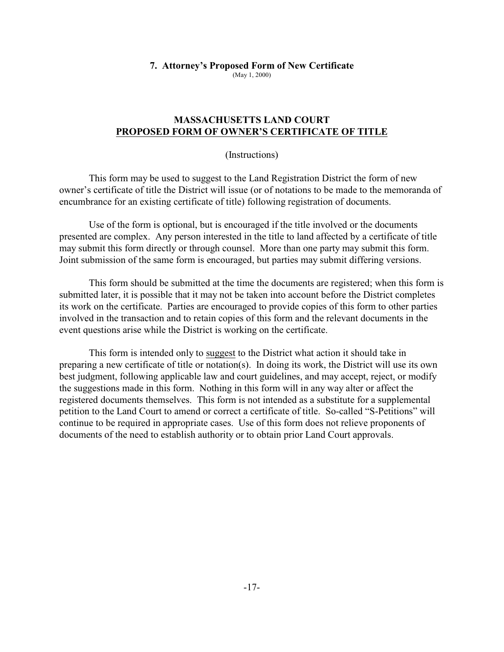## <span id="page-22-0"></span>**7. Attorney's Proposed Form of New Certificate**

(May 1, 2000)

#### **MASSACHUSETTS LAND COURT PROPOSED FORM OF OWNER'S CERTIFICATE OF TITLE**

(Instructions)

This form may be used to suggest to the Land Registration District the form of new owner's certificate of title the District will issue (or of notations to be made to the memoranda of encumbrance for an existing certificate of title) following registration of documents.

Use of the form is optional, but is encouraged if the title involved or the documents presented are complex. Any person interested in the title to land affected by a certificate of title may submit this form directly or through counsel. More than one party may submit this form. Joint submission of the same form is encouraged, but parties may submit differing versions.

This form should be submitted at the time the documents are registered; when this form is submitted later, it is possible that it may not be taken into account before the District completes its work on the certificate. Parties are encouraged to provide copies of this form to other parties involved in the transaction and to retain copies of this form and the relevant documents in the event questions arise while the District is working on the certificate.

This form is intended only to suggest to the District what action it should take in preparing a new certificate of title or notation(s). In doing its work, the District will use its own best judgment, following applicable law and court guidelines, and may accept, reject, or modify the suggestions made in this form. Nothing in this form will in any way alter or affect the registered documents themselves. This form is not intended as a substitute for a supplemental petition to the Land Court to amend or correct a certificate of title. So-called "S-Petitions" will continue to be required in appropriate cases. Use of this form does not relieve proponents of documents of the need to establish authority or to obtain prior Land Court approvals.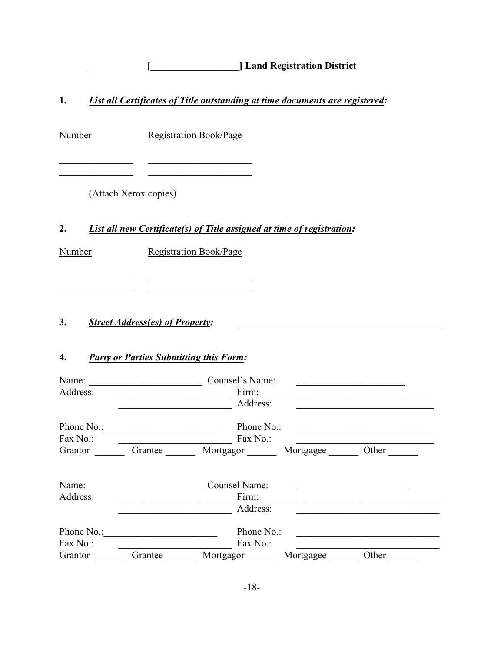**[\_\_\_\_\_\_\_\_\_\_\_\_\_\_\_\_\_\_] Land Registration District**

**1.** *List all Certificates of Title outstanding at time documents are registered:*

Number Registration Book/Page

\_\_\_\_\_\_\_\_\_\_\_\_\_\_\_ \_\_\_\_\_\_\_\_\_\_\_\_\_\_\_\_\_\_\_\_\_

(Attach Xerox copies)

# **2.** *List all new Certificate(s) of Title assigned at time of registration:*

Number Registration Book/Page

\_\_\_\_\_\_\_\_\_\_\_\_\_\_\_ \_\_\_\_\_\_\_\_\_\_\_\_\_\_\_\_\_\_\_\_\_ \_\_\_\_\_\_\_\_\_\_\_\_\_\_\_ \_\_\_\_\_\_\_\_\_\_\_\_\_\_\_\_\_\_\_\_\_

# 3. *Street Address(es) of Property:*

## **4.** *Party or Parties Submitting this Form:*

| Name:                  |         | Counsel's Name:                           |           |       |  |
|------------------------|---------|-------------------------------------------|-----------|-------|--|
| Address:               |         | Firm:                                     |           |       |  |
|                        |         | Address:                                  |           |       |  |
| Phone No.:             |         | Phone No.:                                |           |       |  |
| Fax No.:               |         | Fax No.:                                  |           |       |  |
| Grantor                | Grantee | Mortgagor                                 | Mortgagee | Other |  |
| Name:<br>Address:      |         | <b>Counsel Name:</b><br>Firm:<br>Address: |           |       |  |
| Phone No.:<br>Fax No.: |         | Phone No.:<br>Fax No.:                    |           |       |  |
| Grantor                | Grantee | Mortgagor                                 | Mortgagee | Other |  |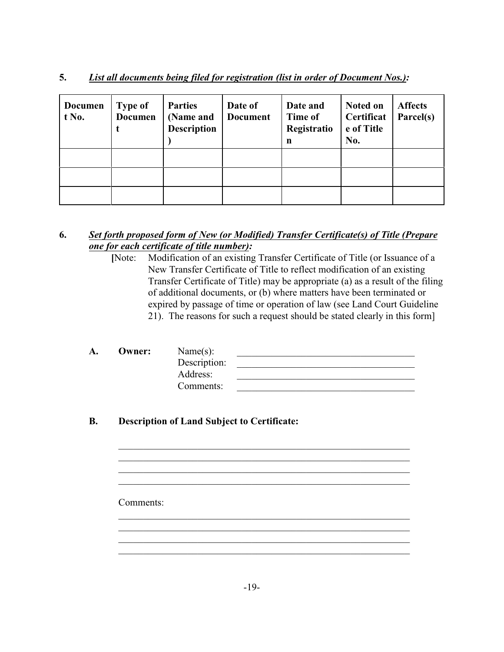| List all documents being filed for registration (list in order of Document Nos.):<br>J. |
|-----------------------------------------------------------------------------------------|
|-----------------------------------------------------------------------------------------|

| <b>Documen</b><br>$t$ No. | <b>Type of</b><br><b>Documen</b><br>t | <b>Parties</b><br>(Name and<br><b>Description</b> | Date of<br><b>Document</b> | Date and<br>Time of<br>Registratio<br>$\mathbf n$ | Noted on<br>Certificat<br>e of Title<br>No. | <b>Affects</b><br>Parcel(s) |
|---------------------------|---------------------------------------|---------------------------------------------------|----------------------------|---------------------------------------------------|---------------------------------------------|-----------------------------|
|                           |                                       |                                                   |                            |                                                   |                                             |                             |
|                           |                                       |                                                   |                            |                                                   |                                             |                             |
|                           |                                       |                                                   |                            |                                                   |                                             |                             |

## **6.** *Set forth proposed form of New (or Modified) Transfer Certificate(s) of Title (Prepare one for each certificate of title number):*

 **[**Note: Modification of an existing Transfer Certificate of Title (or Issuance of a New Transfer Certificate of Title to reflect modification of an existing Transfer Certificate of Title) may be appropriate (a) as a result of the filing of additional documents, or (b) where matters have been terminated or expired by passage of time or operation of law (see Land Court Guideline 21). The reasons for such a request should be stated clearly in this form]

| А. | Owner: | Name $(s)$ :<br>Description:<br>Address:<br>Comments: |  |
|----|--------|-------------------------------------------------------|--|
|    |        |                                                       |  |

\_\_\_\_\_\_\_\_\_\_\_\_\_\_\_\_\_\_\_\_\_\_\_\_\_\_\_\_\_\_\_\_\_\_\_\_\_\_\_\_\_\_\_\_\_\_\_\_\_\_\_\_\_\_\_\_\_\_\_

\_\_\_\_\_\_\_\_\_\_\_\_\_\_\_\_\_\_\_\_\_\_\_\_\_\_\_\_\_\_\_\_\_\_\_\_\_\_\_\_\_\_\_\_\_\_\_\_\_\_\_\_\_\_\_\_\_\_\_

\_\_\_\_\_\_\_\_\_\_\_\_\_\_\_\_\_\_\_\_\_\_\_\_\_\_\_\_\_\_\_\_\_\_\_\_\_\_\_\_\_\_\_\_\_\_\_\_\_\_\_\_\_\_\_\_\_\_\_ \_\_\_\_\_\_\_\_\_\_\_\_\_\_\_\_\_\_\_\_\_\_\_\_\_\_\_\_\_\_\_\_\_\_\_\_\_\_\_\_\_\_\_\_\_\_\_\_\_\_\_\_\_\_\_\_\_\_\_ \_\_\_\_\_\_\_\_\_\_\_\_\_\_\_\_\_\_\_\_\_\_\_\_\_\_\_\_\_\_\_\_\_\_\_\_\_\_\_\_\_\_\_\_\_\_\_\_\_\_\_\_\_\_\_\_\_\_\_ \_\_\_\_\_\_\_\_\_\_\_\_\_\_\_\_\_\_\_\_\_\_\_\_\_\_\_\_\_\_\_\_\_\_\_\_\_\_\_\_\_\_\_\_\_\_\_\_\_\_\_\_\_\_\_\_\_\_\_

# **B. Description of Land Subject to Certificate:**

Comments: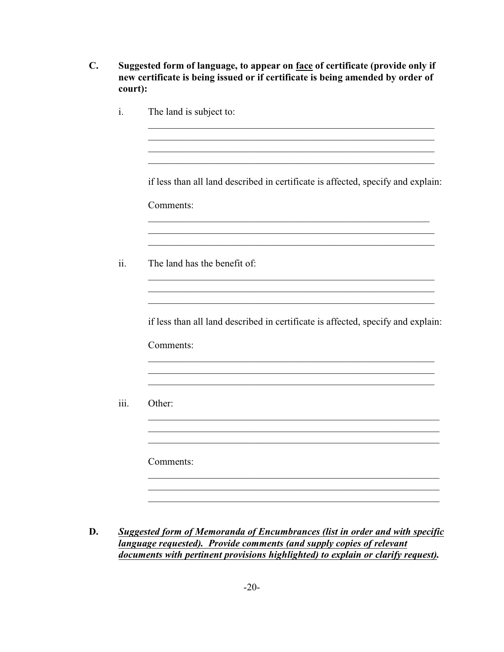- **C. Suggested form of language, to appear on face of certificate (provide only if new certificate is being issued or if certificate is being amended by order of court):**
	- i. The land is subject to: \_\_\_\_\_\_\_\_\_\_\_\_\_\_\_\_\_\_\_\_\_\_\_\_\_\_\_\_\_\_\_\_\_\_\_\_\_\_\_\_\_\_\_\_\_\_\_\_\_\_\_\_\_\_\_\_\_\_ \_\_\_\_\_\_\_\_\_\_\_\_\_\_\_\_\_\_\_\_\_\_\_\_\_\_\_\_\_\_\_\_\_\_\_\_\_\_\_\_\_\_\_\_\_\_\_\_\_\_\_\_\_\_\_\_\_\_ \_\_\_\_\_\_\_\_\_\_\_\_\_\_\_\_\_\_\_\_\_\_\_\_\_\_\_\_\_\_\_\_\_\_\_\_\_\_\_\_\_\_\_\_\_\_\_\_\_\_\_\_\_\_\_\_\_\_ if less than all land described in certificate is affected, specify and explain: Comments: \_\_\_\_\_\_\_\_\_\_\_\_\_\_\_\_\_\_\_\_\_\_\_\_\_\_\_\_\_\_\_\_\_\_\_\_\_\_\_\_\_\_\_\_\_\_\_\_\_\_\_\_\_\_\_\_\_ \_\_\_\_\_\_\_\_\_\_\_\_\_\_\_\_\_\_\_\_\_\_\_\_\_\_\_\_\_\_\_\_\_\_\_\_\_\_\_\_\_\_\_\_\_\_\_\_\_\_\_\_\_\_\_\_\_\_ ii. The land has the benefit of: \_\_\_\_\_\_\_\_\_\_\_\_\_\_\_\_\_\_\_\_\_\_\_\_\_\_\_\_\_\_\_\_\_\_\_\_\_\_\_\_\_\_\_\_\_\_\_\_\_\_\_\_\_\_\_\_\_\_ \_\_\_\_\_\_\_\_\_\_\_\_\_\_\_\_\_\_\_\_\_\_\_\_\_\_\_\_\_\_\_\_\_\_\_\_\_\_\_\_\_\_\_\_\_\_\_\_\_\_\_\_\_\_\_\_\_\_ if less than all land described in certificate is affected, specify and explain: Comments: \_\_\_\_\_\_\_\_\_\_\_\_\_\_\_\_\_\_\_\_\_\_\_\_\_\_\_\_\_\_\_\_\_\_\_\_\_\_\_\_\_\_\_\_\_\_\_\_\_\_\_\_\_\_\_\_\_\_  $\mathcal{L}_\text{max} = \mathcal{L}_\text{max} = \frac{1}{2} \sum_{i=1}^n \mathcal{L}_\text{max} = \frac{1}{2} \sum_{i=1}^n \mathcal{L}_\text{max} = \frac{1}{2} \sum_{i=1}^n \mathcal{L}_\text{max} = \frac{1}{2} \sum_{i=1}^n \mathcal{L}_\text{max} = \frac{1}{2} \sum_{i=1}^n \mathcal{L}_\text{max} = \frac{1}{2} \sum_{i=1}^n \mathcal{L}_\text{max} = \frac{1}{2} \sum_{i=1}^n \mathcal{L}_\text{max} =$ \_\_\_\_\_\_\_\_\_\_\_\_\_\_\_\_\_\_\_\_\_\_\_\_\_\_\_\_\_\_\_\_\_\_\_\_\_\_\_\_\_\_\_\_\_\_\_\_\_\_\_\_\_\_\_\_\_\_ iii. Other: \_\_\_\_\_\_\_\_\_\_\_\_\_\_\_\_\_\_\_\_\_\_\_\_\_\_\_\_\_\_\_\_\_\_\_\_\_\_\_\_\_\_\_\_\_\_\_\_\_\_\_\_\_\_\_\_\_\_\_ \_\_\_\_\_\_\_\_\_\_\_\_\_\_\_\_\_\_\_\_\_\_\_\_\_\_\_\_\_\_\_\_\_\_\_\_\_\_\_\_\_\_\_\_\_\_\_\_\_\_\_\_\_\_\_\_\_\_\_ \_\_\_\_\_\_\_\_\_\_\_\_\_\_\_\_\_\_\_\_\_\_\_\_\_\_\_\_\_\_\_\_\_\_\_\_\_\_\_\_\_\_\_\_\_\_\_\_\_\_\_\_\_\_\_\_\_\_\_ Comments: \_\_\_\_\_\_\_\_\_\_\_\_\_\_\_\_\_\_\_\_\_\_\_\_\_\_\_\_\_\_\_\_\_\_\_\_\_\_\_\_\_\_\_\_\_\_\_\_\_\_\_\_\_\_\_\_\_\_\_ \_\_\_\_\_\_\_\_\_\_\_\_\_\_\_\_\_\_\_\_\_\_\_\_\_\_\_\_\_\_\_\_\_\_\_\_\_\_\_\_\_\_\_\_\_\_\_\_\_\_\_\_\_\_\_\_\_\_\_
- **D.** *Suggested form of Memoranda of Encumbrances (list in order and with specific language requested). Provide comments (and supply copies of relevant documents with pertinent provisions highlighted) to explain or clarify request).*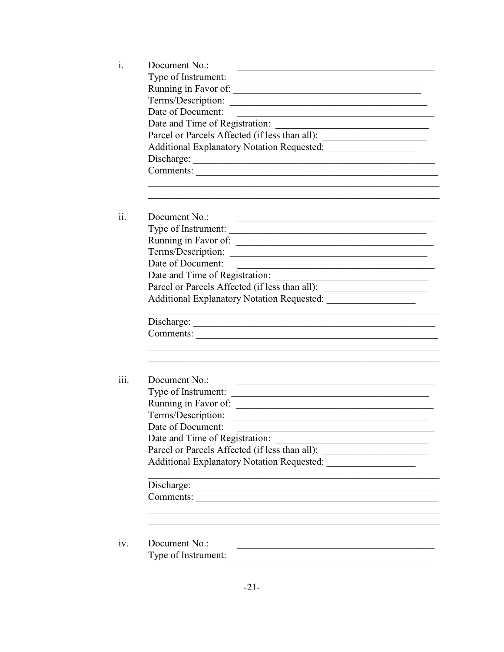| Document No.:                        |                                                                                                                                                    |  |  |  |
|--------------------------------------|----------------------------------------------------------------------------------------------------------------------------------------------------|--|--|--|
|                                      | Type of Instrument:                                                                                                                                |  |  |  |
|                                      | Running in Favor of:                                                                                                                               |  |  |  |
|                                      | Terms/Description:                                                                                                                                 |  |  |  |
|                                      | Date of Document:<br><u> 2008 - Johann John Stone, mars et al. 1980 - John Stone, mars et al. 1980 - John Stone, mars et al. 1980 - John Stone</u> |  |  |  |
|                                      | Date and Time of Registration:<br><u> 1980 - An Aonaichte ann an Comhair ann an t-</u>                                                             |  |  |  |
|                                      | Parcel or Parcels Affected (if less than all): __________________________________                                                                  |  |  |  |
|                                      |                                                                                                                                                    |  |  |  |
|                                      |                                                                                                                                                    |  |  |  |
|                                      |                                                                                                                                                    |  |  |  |
|                                      |                                                                                                                                                    |  |  |  |
| Document No.:                        | the control of the control of the control of the control of the control of the control of                                                          |  |  |  |
|                                      | Type of Instrument:                                                                                                                                |  |  |  |
|                                      |                                                                                                                                                    |  |  |  |
|                                      | Terms/Description:                                                                                                                                 |  |  |  |
| Date of Document:                    | <u> 1989 - Johann Harry Harry Harry Harry Harry Harry Harry Harry Harry Harry Harry Harry Harry Harry Harry Harry</u>                              |  |  |  |
|                                      |                                                                                                                                                    |  |  |  |
|                                      | Parcel or Parcels Affected (if less than all): _________________________________                                                                   |  |  |  |
|                                      |                                                                                                                                                    |  |  |  |
|                                      |                                                                                                                                                    |  |  |  |
|                                      | Comments:                                                                                                                                          |  |  |  |
|                                      |                                                                                                                                                    |  |  |  |
| Document No.:                        | and the control of the control of the control of the control of the control of the control of the control of the                                   |  |  |  |
|                                      |                                                                                                                                                    |  |  |  |
|                                      |                                                                                                                                                    |  |  |  |
| Terms/Description:                   | <u> 1980 - Jan Stein Stein Stein Stein Stein Stein Stein Stein Stein Stein Stein Stein Stein Stein Stein Stein S</u>                               |  |  |  |
| Date of Document:                    |                                                                                                                                                    |  |  |  |
|                                      | Date and Time of Registration:                                                                                                                     |  |  |  |
|                                      | Parcel or Parcels Affected (if less than all):                                                                                                     |  |  |  |
|                                      | Additional Explanatory Notation Requested:                                                                                                         |  |  |  |
|                                      |                                                                                                                                                    |  |  |  |
| Comments:                            |                                                                                                                                                    |  |  |  |
|                                      |                                                                                                                                                    |  |  |  |
|                                      |                                                                                                                                                    |  |  |  |
| Document No.:<br>Type of Instrument: |                                                                                                                                                    |  |  |  |
|                                      |                                                                                                                                                    |  |  |  |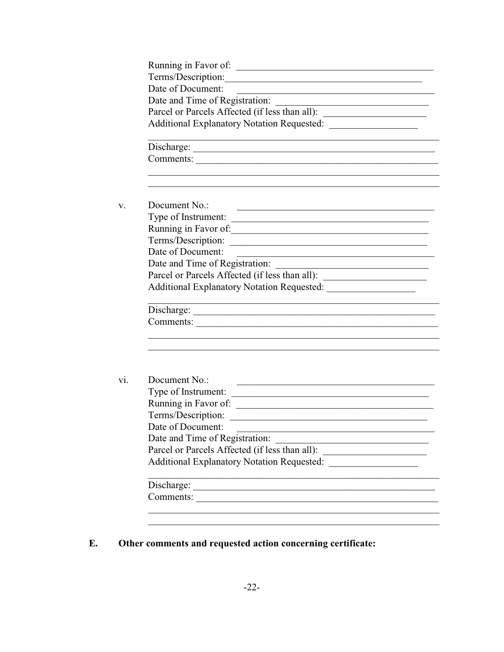| Terms/Description:                                                                                                                      |
|-----------------------------------------------------------------------------------------------------------------------------------------|
| Date of Document:<br><u> 1989 - Johann Barbara, martin amerikan basar da</u>                                                            |
|                                                                                                                                         |
| Parcel or Parcels Affected (if less than all): _________________________________                                                        |
|                                                                                                                                         |
| <u> 1989 - Johann Stoff, amerikansk politiker (d. 1989)</u>                                                                             |
| Comments:                                                                                                                               |
| Document No.:<br><u> 1989 - Johann John Harry Harry Harry Harry Harry Harry Harry Harry Harry Harry Harry Harry Harry Harry Harry H</u> |
| Type of Instrument:                                                                                                                     |
| Running in Favor of:                                                                                                                    |
| Terms/Description:                                                                                                                      |
| Date of Document:<br>the control of the control of the control of the control of the control of the control of                          |
|                                                                                                                                         |
| Parcel or Parcels Affected (if less than all): _________________________________                                                        |
|                                                                                                                                         |
|                                                                                                                                         |
| Comments:                                                                                                                               |
|                                                                                                                                         |
|                                                                                                                                         |
|                                                                                                                                         |
| Document No.:<br><u> 1989 - Johann Harry Harry Harry Harry Harry Harry Harry Harry Harry Harry Harry Harry Harry Harry Harry Harry</u>  |
|                                                                                                                                         |
|                                                                                                                                         |
|                                                                                                                                         |
| Date of Document:                                                                                                                       |
| Type of Instrument:<br>Terms/Description:<br>Date and Time of Registration:                                                             |
| Parcel or Parcels Affected (if less than all):                                                                                          |
| Additional Explanatory Notation Requested: __                                                                                           |
| Comments:                                                                                                                               |

Other comments and requested action concerning certificate: E.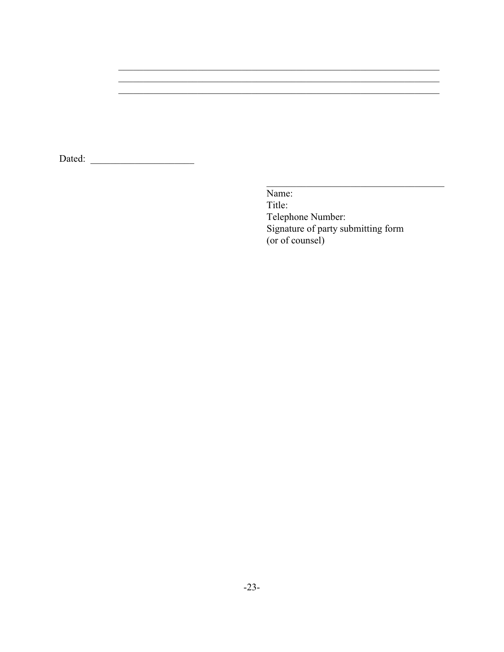Dated:

Name: Title: Telephone Number: Signature of party submitting form (or of counsel)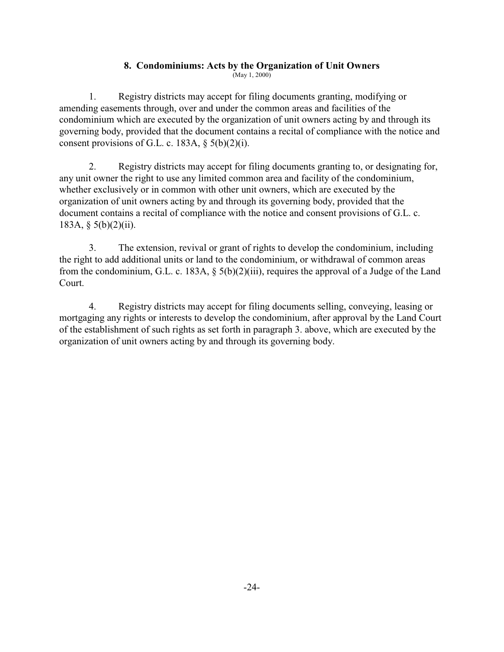# <span id="page-29-0"></span>**8. Condominiums: Acts by the Organization of Unit Owners**

(May 1, 2000)

1. Registry districts may accept for filing documents granting, modifying or amending easements through, over and under the common areas and facilities of the condominium which are executed by the organization of unit owners acting by and through its governing body, provided that the document contains a recital of compliance with the notice and consent provisions of G.L. c. 183A,  $\S$  5(b)(2)(i).

2. Registry districts may accept for filing documents granting to, or designating for, any unit owner the right to use any limited common area and facility of the condominium, whether exclusively or in common with other unit owners, which are executed by the organization of unit owners acting by and through its governing body, provided that the document contains a recital of compliance with the notice and consent provisions of G.L. c. 183A,  $\S$  5(b)(2)(ii).

3. The extension, revival or grant of rights to develop the condominium, including the right to add additional units or land to the condominium, or withdrawal of common areas from the condominium, G.L. c. 183A, § 5(b)(2)(iii), requires the approval of a Judge of the Land Court.

4. Registry districts may accept for filing documents selling, conveying, leasing or mortgaging any rights or interests to develop the condominium, after approval by the Land Court of the establishment of such rights as set forth in paragraph 3. above, which are executed by the organization of unit owners acting by and through its governing body.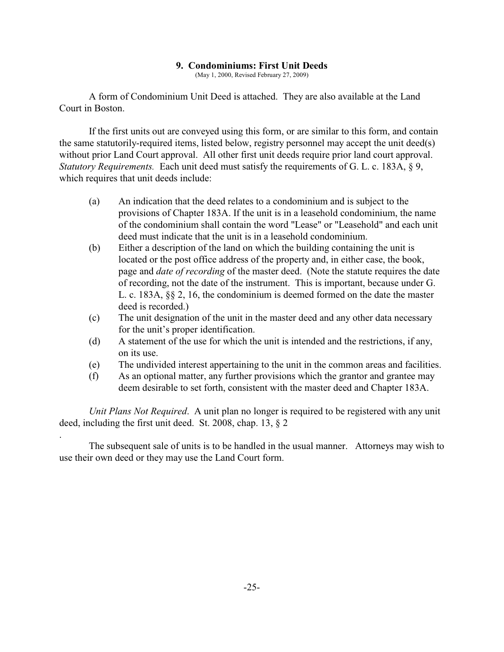#### <span id="page-30-0"></span>**9. Condominiums: First Unit Deeds**

(May 1, 2000, Revised February 27, 2009)

A form of Condominium Unit Deed is attached. They are also available at the Land Court in Boston.

If the first units out are conveyed using this form, or are similar to this form, and contain the same statutorily-required items, listed below, registry personnel may accept the unit deed(s) without prior Land Court approval. All other first unit deeds require prior land court approval. *Statutory Requirements.* Each unit deed must satisfy the requirements of G. L. c. 183A, § 9, which requires that unit deeds include:

- (a) An indication that the deed relates to a condominium and is subject to the provisions of Chapter 183A. If the unit is in a leasehold condominium, the name of the condominium shall contain the word "Lease" or "Leasehold" and each unit deed must indicate that the unit is in a leasehold condominium.
- (b) Either a description of the land on which the building containing the unit is located or the post office address of the property and, in either case, the book, page and *date of recording* of the master deed. (Note the statute requires the date of recording, not the date of the instrument. This is important, because under G. L. c. 183A, §§ 2, 16, the condominium is deemed formed on the date the master deed is recorded.)
- (c) The unit designation of the unit in the master deed and any other data necessary for the unit's proper identification.
- (d) A statement of the use for which the unit is intended and the restrictions, if any, on its use.
- (e) The undivided interest appertaining to the unit in the common areas and facilities.
- (f) As an optional matter, any further provisions which the grantor and grantee may deem desirable to set forth, consistent with the master deed and Chapter 183A.

*Unit Plans Not Required*. A unit plan no longer is required to be registered with any unit deed, including the first unit deed. St. 2008, chap. 13, § 2

.

The subsequent sale of units is to be handled in the usual manner. Attorneys may wish to use their own deed or they may use the Land Court form.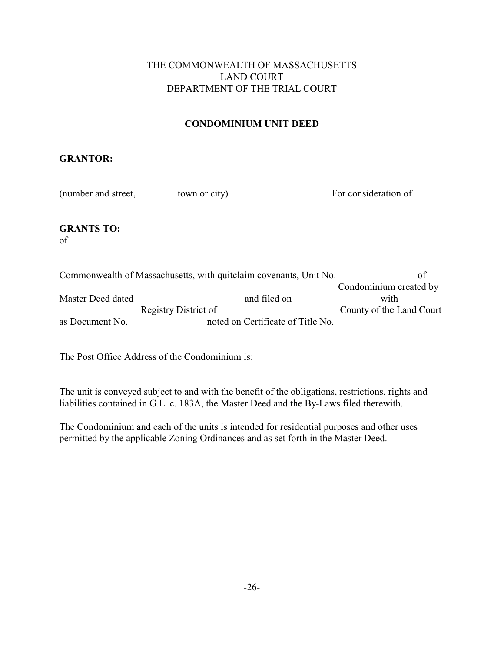## THE COMMONWEALTH OF MASSACHUSETTS LAND COURT DEPARTMENT OF THE TRIAL COURT

# **CONDOMINIUM UNIT DEED**

## **GRANTOR:**

| (number and street,     | town or city)                                                     | For consideration of   |
|-------------------------|-------------------------------------------------------------------|------------------------|
| <b>GRANTS TO:</b><br>of |                                                                   |                        |
|                         | Commonwealth of Massachusetts, with quitclaim covenants, Unit No. | οf                     |
|                         |                                                                   | Condominium created by |
| Master Deed dated       | and filed on                                                      | with                   |

Registry District of County of the Land Court as Document No. noted on Certificate of Title No.

The Post Office Address of the Condominium is:

The unit is conveyed subject to and with the benefit of the obligations, restrictions, rights and liabilities contained in G.L. c. 183A, the Master Deed and the By-Laws filed therewith.

The Condominium and each of the units is intended for residential purposes and other uses permitted by the applicable Zoning Ordinances and as set forth in the Master Deed.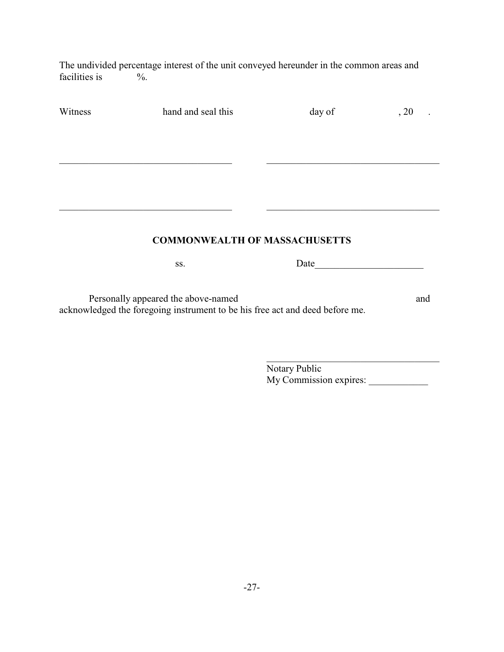The undivided percentage interest of the unit conveyed hereunder in the common areas and facilities is  $\%$ . facilities is

| Witness | hand and seal this                                                           | day of                                                                                                                                                                                                                        | , 20 |
|---------|------------------------------------------------------------------------------|-------------------------------------------------------------------------------------------------------------------------------------------------------------------------------------------------------------------------------|------|
|         |                                                                              |                                                                                                                                                                                                                               |      |
|         |                                                                              |                                                                                                                                                                                                                               |      |
|         |                                                                              |                                                                                                                                                                                                                               |      |
|         |                                                                              |                                                                                                                                                                                                                               |      |
|         |                                                                              |                                                                                                                                                                                                                               |      |
|         | <b>COMMONWEALTH OF MASSACHUSETTS</b>                                         |                                                                                                                                                                                                                               |      |
|         | SS.                                                                          | Date and the same state of the state of the state of the state of the state of the state of the state of the state of the state of the state of the state of the state of the state of the state of the state of the state of |      |
|         | Personally appeared the above-named                                          |                                                                                                                                                                                                                               | and  |
|         | acknowledged the foregoing instrument to be his free act and deed before me. |                                                                                                                                                                                                                               |      |
|         |                                                                              |                                                                                                                                                                                                                               |      |
|         |                                                                              |                                                                                                                                                                                                                               |      |
|         |                                                                              | Notary Public<br>My Commission expires:                                                                                                                                                                                       |      |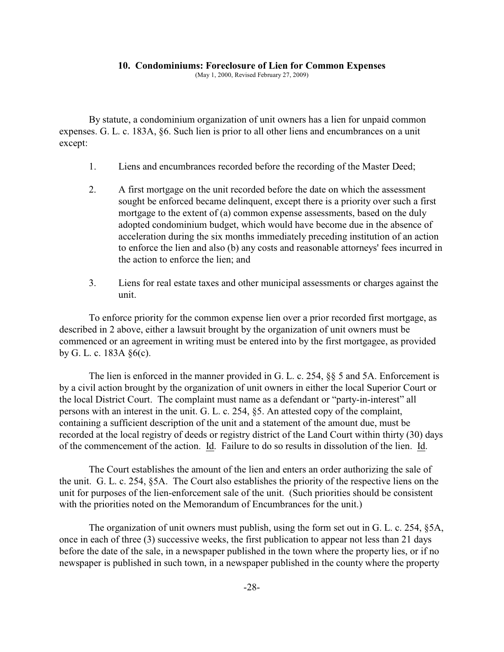#### <span id="page-33-0"></span>**10. Condominiums: Foreclosure of Lien for Common Expenses**

(May 1, 2000, Revised February 27, 2009)

By statute, a condominium organization of unit owners has a lien for unpaid common expenses. G. L. c. 183A, §6. Such lien is prior to all other liens and encumbrances on a unit except:

- 1. Liens and encumbrances recorded before the recording of the Master Deed;
- 2. A first mortgage on the unit recorded before the date on which the assessment sought be enforced became delinquent, except there is a priority over such a first mortgage to the extent of (a) common expense assessments, based on the duly adopted condominium budget, which would have become due in the absence of acceleration during the six months immediately preceding institution of an action to enforce the lien and also (b) any costs and reasonable attorneys' fees incurred in the action to enforce the lien; and
- 3. Liens for real estate taxes and other municipal assessments or charges against the unit.

To enforce priority for the common expense lien over a prior recorded first mortgage, as described in 2 above, either a lawsuit brought by the organization of unit owners must be commenced or an agreement in writing must be entered into by the first mortgagee, as provided by G. L. c. 183A §6(c).

The lien is enforced in the manner provided in G. L. c. 254, §§ 5 and 5A. Enforcement is by a civil action brought by the organization of unit owners in either the local Superior Court or the local District Court. The complaint must name as a defendant or "party-in-interest" all persons with an interest in the unit. G. L. c. 254, §5. An attested copy of the complaint, containing a sufficient description of the unit and a statement of the amount due, must be recorded at the local registry of deeds or registry district of the Land Court within thirty (30) days of the commencement of the action. Id. Failure to do so results in dissolution of the lien. Id.

The Court establishes the amount of the lien and enters an order authorizing the sale of the unit. G. L. c. 254, §5A. The Court also establishes the priority of the respective liens on the unit for purposes of the lien-enforcement sale of the unit. (Such priorities should be consistent with the priorities noted on the Memorandum of Encumbrances for the unit.)

The organization of unit owners must publish, using the form set out in G. L. c. 254, §5A, once in each of three (3) successive weeks, the first publication to appear not less than 21 days before the date of the sale, in a newspaper published in the town where the property lies, or if no newspaper is published in such town, in a newspaper published in the county where the property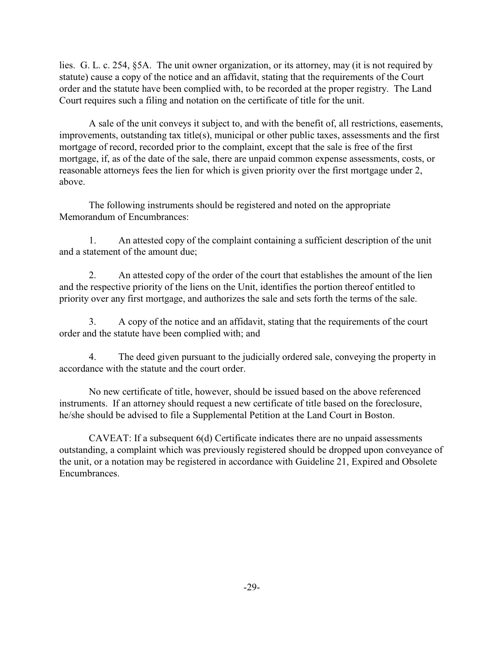lies. G. L. c. 254, §5A. The unit owner organization, or its attorney, may (it is not required by statute) cause a copy of the notice and an affidavit, stating that the requirements of the Court order and the statute have been complied with, to be recorded at the proper registry. The Land Court requires such a filing and notation on the certificate of title for the unit.

A sale of the unit conveys it subject to, and with the benefit of, all restrictions, easements, improvements, outstanding tax title(s), municipal or other public taxes, assessments and the first mortgage of record, recorded prior to the complaint, except that the sale is free of the first mortgage, if, as of the date of the sale, there are unpaid common expense assessments, costs, or reasonable attorneys fees the lien for which is given priority over the first mortgage under 2, above.

The following instruments should be registered and noted on the appropriate Memorandum of Encumbrances:

1. An attested copy of the complaint containing a sufficient description of the unit and a statement of the amount due;

2. An attested copy of the order of the court that establishes the amount of the lien and the respective priority of the liens on the Unit, identifies the portion thereof entitled to priority over any first mortgage, and authorizes the sale and sets forth the terms of the sale.

3. A copy of the notice and an affidavit, stating that the requirements of the court order and the statute have been complied with; and

4. The deed given pursuant to the judicially ordered sale, conveying the property in accordance with the statute and the court order.

No new certificate of title, however, should be issued based on the above referenced instruments. If an attorney should request a new certificate of title based on the foreclosure, he/she should be advised to file a Supplemental Petition at the Land Court in Boston.

CAVEAT: If a subsequent 6(d) Certificate indicates there are no unpaid assessments outstanding, a complaint which was previously registered should be dropped upon conveyance of the unit, or a notation may be registered in accordance with Guideline 21, Expired and Obsolete Encumbrances.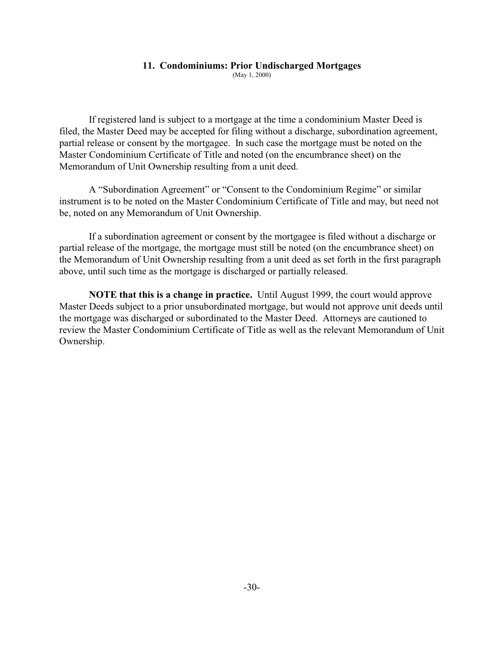#### <span id="page-35-0"></span>**11. Condominiums: Prior Undischarged Mortgages**

(May 1, 2000)

If registered land is subject to a mortgage at the time a condominium Master Deed is filed, the Master Deed may be accepted for filing without a discharge, subordination agreement, partial release or consent by the mortgagee. In such case the mortgage must be noted on the Master Condominium Certificate of Title and noted (on the encumbrance sheet) on the Memorandum of Unit Ownership resulting from a unit deed.

A "Subordination Agreement" or "Consent to the Condominium Regime" or similar instrument is to be noted on the Master Condominium Certificate of Title and may, but need not be, noted on any Memorandum of Unit Ownership.

If a subordination agreement or consent by the mortgagee is filed without a discharge or partial release of the mortgage, the mortgage must still be noted (on the encumbrance sheet) on the Memorandum of Unit Ownership resulting from a unit deed as set forth in the first paragraph above, until such time as the mortgage is discharged or partially released.

**NOTE that this is a change in practice.** Until August 1999, the court would approve Master Deeds subject to a prior unsubordinated mortgage, but would not approve unit deeds until the mortgage was discharged or subordinated to the Master Deed. Attorneys are cautioned to review the Master Condominium Certificate of Title as well as the relevant Memorandum of Unit Ownership.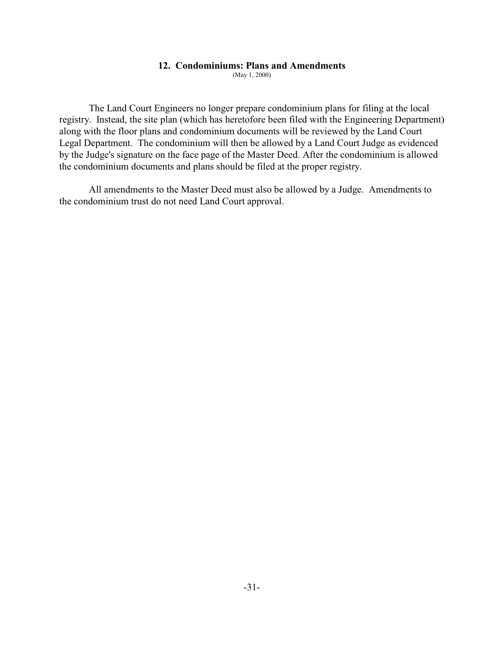#### **12. Condominiums: Plans and Amendments**

(May 1, 2000)

The Land Court Engineers no longer prepare condominium plans for filing at the local registry. Instead, the site plan (which has heretofore been filed with the Engineering Department) along with the floor plans and condominium documents will be reviewed by the Land Court Legal Department. The condominium will then be allowed by a Land Court Judge as evidenced by the Judge's signature on the face page of the Master Deed. After the condominium is allowed the condominium documents and plans should be filed at the proper registry.

All amendments to the Master Deed must also be allowed by a Judge. Amendments to the condominium trust do not need Land Court approval.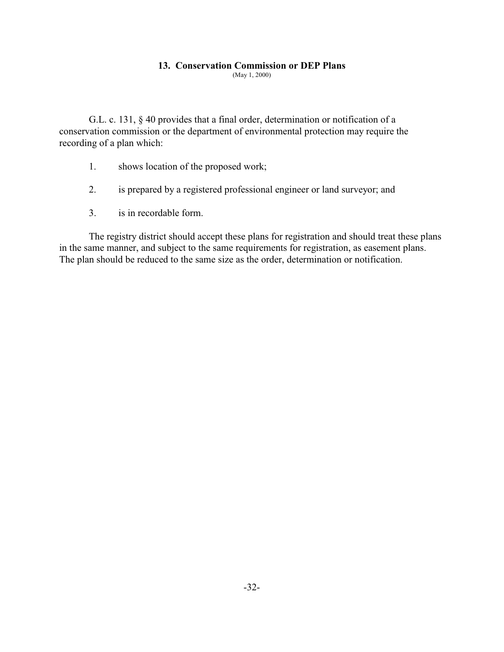## **13. Conservation Commission or DEP Plans**

(May 1, 2000)

G.L. c. 131, § 40 provides that a final order, determination or notification of a conservation commission or the department of environmental protection may require the recording of a plan which:

- 1. shows location of the proposed work;
- 2. is prepared by a registered professional engineer or land surveyor; and
- 3. is in recordable form.

The registry district should accept these plans for registration and should treat these plans in the same manner, and subject to the same requirements for registration, as easement plans. The plan should be reduced to the same size as the order, determination or notification.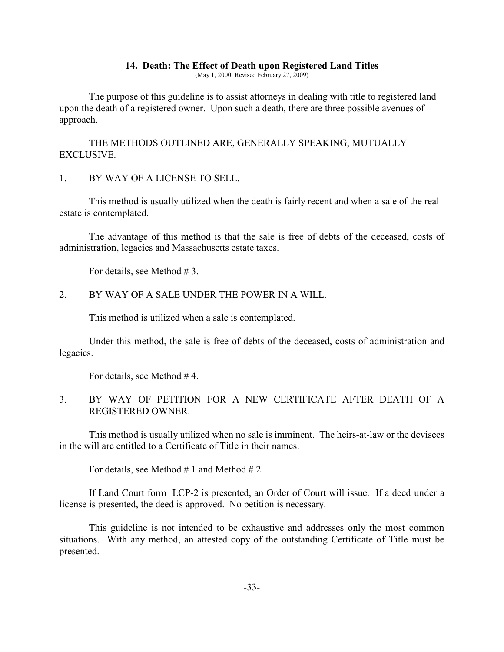#### **14. Death: The Effect of Death upon Registered Land Titles**

(May 1, 2000, Revised February 27, 2009)

The purpose of this guideline is to assist attorneys in dealing with title to registered land upon the death of a registered owner. Upon such a death, there are three possible avenues of approach.

THE METHODS OUTLINED ARE, GENERALLY SPEAKING, MUTUALLY EXCLUSIVE.

1. BY WAY OF A LICENSE TO SELL.

This method is usually utilized when the death is fairly recent and when a sale of the real estate is contemplated.

The advantage of this method is that the sale is free of debts of the deceased, costs of administration, legacies and Massachusetts estate taxes.

For details, see Method #3.

## 2. BY WAY OF A SALE UNDER THE POWER IN A WILL.

This method is utilized when a sale is contemplated.

Under this method, the sale is free of debts of the deceased, costs of administration and legacies.

For details, see Method # 4.

3. BY WAY OF PETITION FOR A NEW CERTIFICATE AFTER DEATH OF A REGISTERED OWNER.

This method is usually utilized when no sale is imminent. The heirs-at-law or the devisees in the will are entitled to a Certificate of Title in their names.

For details, see Method  $# 1$  and Method  $# 2$ .

If Land Court form LCP-2 is presented, an Order of Court will issue. If a deed under a license is presented, the deed is approved. No petition is necessary.

This guideline is not intended to be exhaustive and addresses only the most common situations. With any method, an attested copy of the outstanding Certificate of Title must be presented.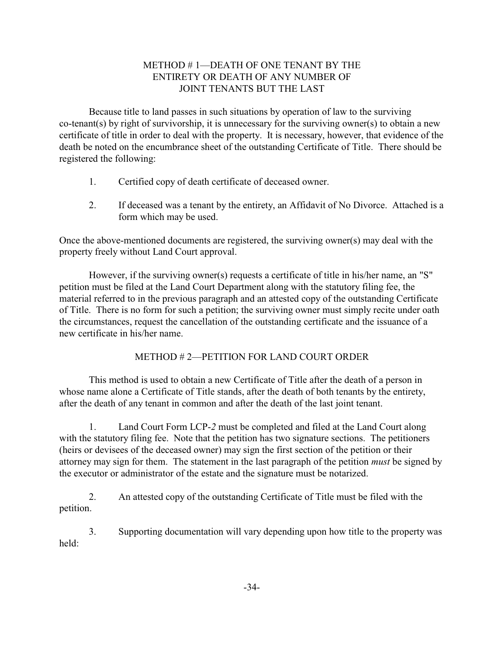# METHOD # 1—DEATH OF ONE TENANT BY THE ENTIRETY OR DEATH OF ANY NUMBER OF JOINT TENANTS BUT THE LAST

Because title to land passes in such situations by operation of law to the surviving co-tenant(s) by right of survivorship, it is unnecessary for the surviving owner(s) to obtain a new certificate of title in order to deal with the property. It is necessary, however, that evidence of the death be noted on the encumbrance sheet of the outstanding Certificate of Title. There should be registered the following:

- 1. Certified copy of death certificate of deceased owner.
- 2. If deceased was a tenant by the entirety, an Affidavit of No Divorce. Attached is a form which may be used.

Once the above-mentioned documents are registered, the surviving owner(s) may deal with the property freely without Land Court approval.

However, if the surviving owner(s) requests a certificate of title in his/her name, an "S" petition must be filed at the Land Court Department along with the statutory filing fee, the material referred to in the previous paragraph and an attested copy of the outstanding Certificate of Title. There is no form for such a petition; the surviving owner must simply recite under oath the circumstances, request the cancellation of the outstanding certificate and the issuance of a new certificate in his/her name.

# METHOD # 2—PETITION FOR LAND COURT ORDER

This method is used to obtain a new Certificate of Title after the death of a person in whose name alone a Certificate of Title stands, after the death of both tenants by the entirety, after the death of any tenant in common and after the death of the last joint tenant.

1. Land Court Form LCP-*2* must be completed and filed at the Land Court along with the statutory filing fee. Note that the petition has two signature sections. The petitioners (heirs or devisees of the deceased owner) may sign the first section of the petition or their attorney may sign for them. The statement in the last paragraph of the petition *must* be signed by the executor or administrator of the estate and the signature must be notarized.

2. An attested copy of the outstanding Certificate of Title must be filed with the petition.

3. Supporting documentation will vary depending upon how title to the property was held: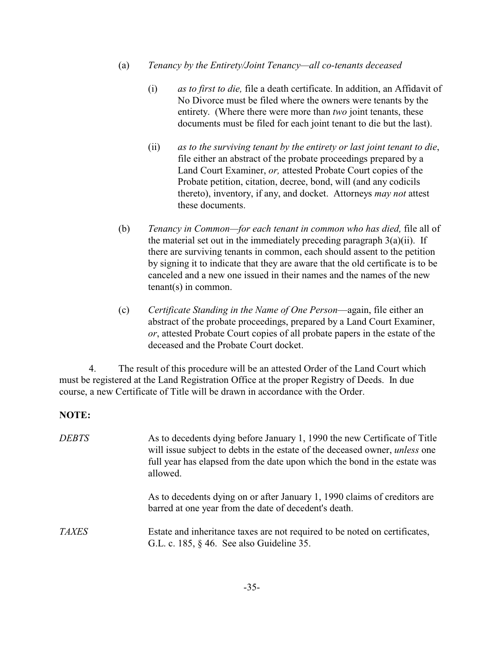- (a) *Tenancy by the Entirety/Joint Tenancy—all co-tenants deceased*
	- (i) *as to first to die,* file a death certificate. In addition, an Affidavit of No Divorce must be filed where the owners were tenants by the entirety. (Where there were more than *two* joint tenants, these documents must be filed for each joint tenant to die but the last).
	- (ii) *as to the surviving tenant by the entirety or last joint tenant to die*, file either an abstract of the probate proceedings prepared by a Land Court Examiner, *or,* attested Probate Court copies of the Probate petition, citation, decree, bond, will (and any codicils thereto), inventory, if any, and docket. Attorneys *may not* attest these documents.
- (b) *Tenancy in Common—for each tenant in common who has died,* file all of the material set out in the immediately preceding paragraph  $3(a)(ii)$ . If there are surviving tenants in common, each should assent to the petition by signing it to indicate that they are aware that the old certificate is to be canceled and a new one issued in their names and the names of the new tenant(s) in common.
- (c) *Certificate Standing in the Name of One Person*—again, file either an abstract of the probate proceedings, prepared by a Land Court Examiner, *or*, attested Probate Court copies of all probate papers in the estate of the deceased and the Probate Court docket.

4. The result of this procedure will be an attested Order of the Land Court which must be registered at the Land Registration Office at the proper Registry of Deeds. In due course, a new Certificate of Title will be drawn in accordance with the Order.

# **NOTE:**

| <b>DEBTS</b> | As to decedents dying before January 1, 1990 the new Certificate of Title<br>will issue subject to debts in the estate of the deceased owner, <i>unless</i> one<br>full year has elapsed from the date upon which the bond in the estate was<br>allowed. |
|--------------|----------------------------------------------------------------------------------------------------------------------------------------------------------------------------------------------------------------------------------------------------------|
|              | As to decedents dying on or after January 1, 1990 claims of creditors are<br>barred at one year from the date of decedent's death.                                                                                                                       |
| <i>TAXES</i> | Estate and inheritance taxes are not required to be noted on certificates,<br>G.L. c. 185, $\S$ 46. See also Guideline 35.                                                                                                                               |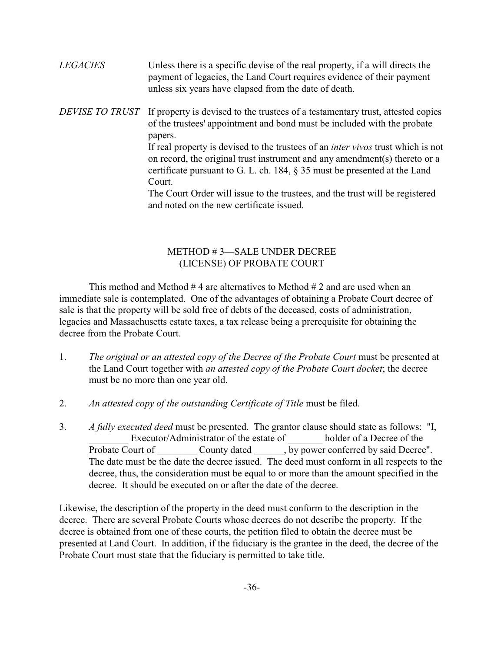| <b>LEGACIES</b> | Unless there is a specific devise of the real property, if a will directs the<br>payment of legacies, the Land Court requires evidence of their payment<br>unless six years have elapsed from the date of death.                                                                                                                                                                                                                                                                                                                                                     |
|-----------------|----------------------------------------------------------------------------------------------------------------------------------------------------------------------------------------------------------------------------------------------------------------------------------------------------------------------------------------------------------------------------------------------------------------------------------------------------------------------------------------------------------------------------------------------------------------------|
| DEVISE TO TRUST | If property is devised to the trustees of a testamentary trust, attested copies<br>of the trustees' appointment and bond must be included with the probate<br>papers.<br>If real property is devised to the trustees of an <i>inter vivos</i> trust which is not<br>on record, the original trust instrument and any amendment(s) thereto or a<br>certificate pursuant to G. L. ch. 184, $\S$ 35 must be presented at the Land<br>Court.<br>The Court Order will issue to the trustees, and the trust will be registered<br>and noted on the new certificate issued. |

## METHOD # 3—SALE UNDER DECREE (LICENSE) OF PROBATE COURT

This method and Method  $#4$  are alternatives to Method  $#2$  and are used when an immediate sale is contemplated. One of the advantages of obtaining a Probate Court decree of sale is that the property will be sold free of debts of the deceased, costs of administration, legacies and Massachusetts estate taxes, a tax release being a prerequisite for obtaining the decree from the Probate Court.

- 1. *The original or an attested copy of the Decree of the Probate Court* must be presented at the Land Court together with *an attested copy of the Probate Court docket*; the decree must be no more than one year old.
- 2. *An attested copy of the outstanding Certificate of Title* must be filed.
- 3. *A fully executed deed* must be presented. The grantor clause should state as follows: "I, Executor/Administrator of the estate of \_\_\_\_\_\_\_ holder of a Decree of the Probate Court of \_\_\_\_\_\_\_\_ County dated \_\_\_\_\_\_, by power conferred by said Decree". The date must be the date the decree issued. The deed must conform in all respects to the decree, thus, the consideration must be equal to or more than the amount specified in the decree. It should be executed on or after the date of the decree.

Likewise, the description of the property in the deed must conform to the description in the decree. There are several Probate Courts whose decrees do not describe the property. If the decree is obtained from one of these courts, the petition filed to obtain the decree must be presented at Land Court. In addition, if the fiduciary is the grantee in the deed, the decree of the Probate Court must state that the fiduciary is permitted to take title.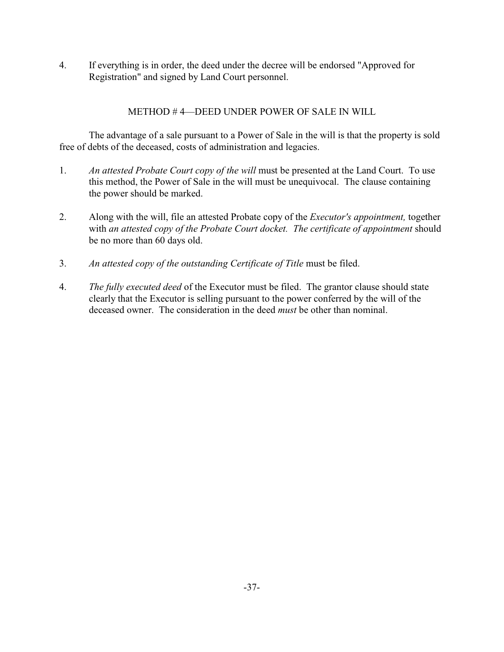4. If everything is in order, the deed under the decree will be endorsed "Approved for Registration" and signed by Land Court personnel.

# METHOD # 4—DEED UNDER POWER OF SALE IN WILL

The advantage of a sale pursuant to a Power of Sale in the will is that the property is sold free of debts of the deceased, costs of administration and legacies.

- 1. *An attested Probate Court copy of the will* must be presented at the Land Court. To use this method, the Power of Sale in the will must be unequivocal. The clause containing the power should be marked.
- 2. Along with the will, file an attested Probate copy of the *Executor's appointment,* together with *an attested copy of the Probate Court docket. The certificate of appointment* should be no more than 60 days old.
- 3. *An attested copy of the outstanding Certificate of Title* must be filed.
- 4. *The fully executed deed* of the Executor must be filed. The grantor clause should state clearly that the Executor is selling pursuant to the power conferred by the will of the deceased owner. The consideration in the deed *must* be other than nominal.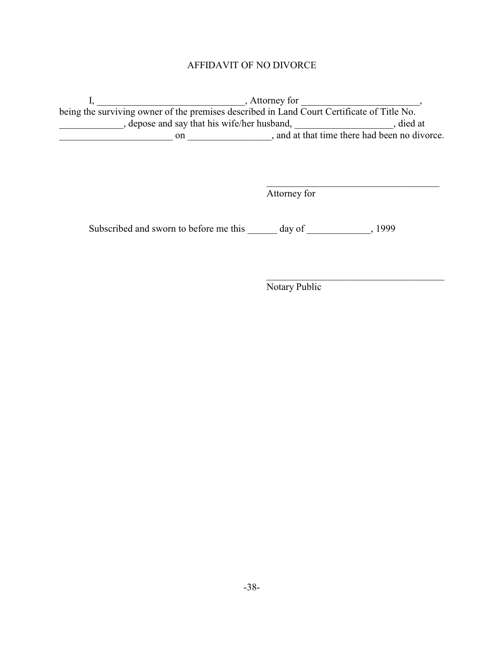# AFFIDAVIT OF NO DIVORCE

 $I, \underline{\hspace{2cm}}$ , Attorney for  $\underline{\hspace{2cm}}$ , being the surviving owner of the premises described in Land Court Certificate of Title No. example. The same say that his wife/her husband, which is example. The same state of a state of a state of a state of a state of a state of a state of a state of a state of a state of a state of a state of a state of a sta \_\_\_\_\_\_\_\_\_\_\_\_\_\_\_\_\_\_\_\_\_\_\_ on \_\_\_\_\_\_\_\_\_\_\_\_\_\_\_\_\_, and at that time there had been no divorce.

Attorney for

 $\mathcal{L}_\mathcal{L}$  , which is a set of the set of the set of the set of the set of the set of the set of the set of the set of the set of the set of the set of the set of the set of the set of the set of the set of the set of

\_\_\_\_\_\_\_\_\_\_\_\_\_\_\_\_\_\_\_\_\_\_\_\_\_\_\_\_\_\_\_\_\_\_\_\_

Subscribed and sworn to before me this \_\_\_\_\_\_ day of \_\_\_\_\_\_\_\_\_\_\_\_, 1999

Notary Public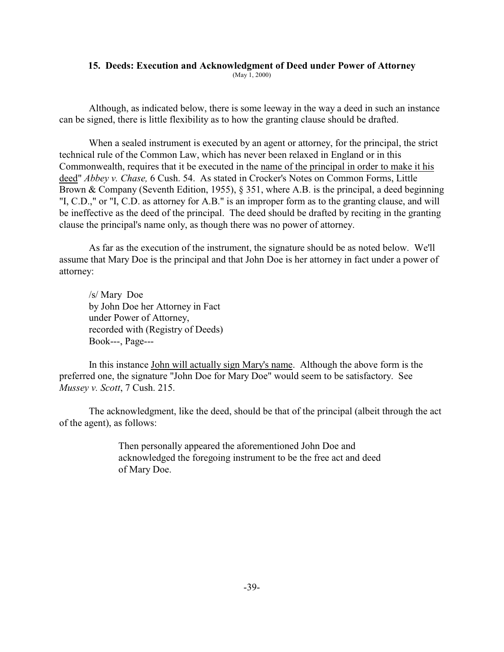#### **15. Deeds: Execution and Acknowledgment of Deed under Power of Attorney**

(May 1, 2000)

Although, as indicated below, there is some leeway in the way a deed in such an instance can be signed, there is little flexibility as to how the granting clause should be drafted.

When a sealed instrument is executed by an agent or attorney, for the principal, the strict technical rule of the Common Law, which has never been relaxed in England or in this Commonwealth, requires that it be executed in the name of the principal in order to make it his deed" *Abbey v. Chase,* 6 Cush. 54. As stated in Crocker's Notes on Common Forms, Little Brown & Company (Seventh Edition, 1955), § 351, where A.B. is the principal, a deed beginning "I, C.D.," or "I, C.D. as attorney for A.B." is an improper form as to the granting clause, and will be ineffective as the deed of the principal. The deed should be drafted by reciting in the granting clause the principal's name only, as though there was no power of attorney.

As far as the execution of the instrument, the signature should be as noted below. We'll assume that Mary Doe is the principal and that John Doe is her attorney in fact under a power of attorney:

/s/ Mary Doe by John Doe her Attorney in Fact under Power of Attorney, recorded with (Registry of Deeds) Book---, Page---

In this instance John will actually sign Mary's name. Although the above form is the preferred one, the signature "John Doe for Mary Doe" would seem to be satisfactory. See *Mussey v. Scott*, 7 Cush. 215.

The acknowledgment, like the deed, should be that of the principal (albeit through the act of the agent), as follows:

> Then personally appeared the aforementioned John Doe and acknowledged the foregoing instrument to be the free act and deed of Mary Doe.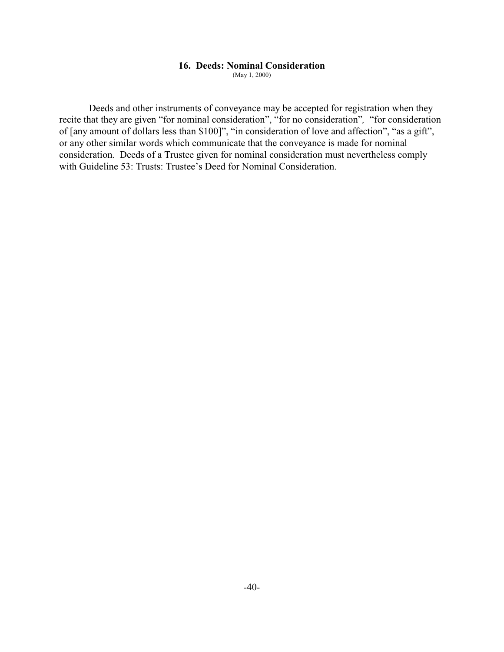#### **16. Deeds: Nominal Consideration**

(May 1, 2000)

Deeds and other instruments of conveyance may be accepted for registration when they recite that they are given "for nominal consideration", "for no consideration"*,* "for consideration of [any amount of dollars less than \$100]", "in consideration of love and affection", "as a gift", or any other similar words which communicate that the conveyance is made for nominal consideration. Deeds of a Trustee given for nominal consideration must nevertheless comply with Guideline 53: Trusts: Trustee's Deed for Nominal Consideration.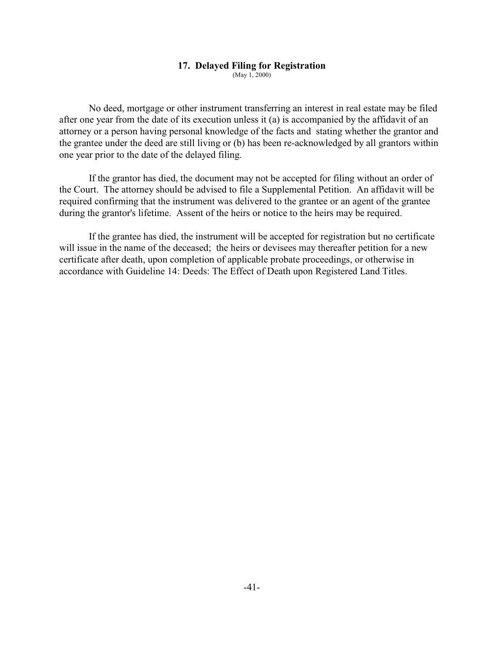#### **17. Delayed Filing for Registration**

(May 1, 2000)

No deed, mortgage or other instrument transferring an interest in real estate may be filed after one year from the date of its execution unless it (a) is accompanied by the affidavit of an attorney or a person having personal knowledge of the facts and stating whether the grantor and the grantee under the deed are still living or (b) has been re-acknowledged by all grantors within one year prior to the date of the delayed filing.

If the grantor has died, the document may not be accepted for filing without an order of the Court. The attorney should be advised to file a Supplemental Petition. An affidavit will be required confirming that the instrument was delivered to the grantee or an agent of the grantee during the grantor's lifetime. Assent of the heirs or notice to the heirs may be required.

If the grantee has died, the instrument will be accepted for registration but no certificate will issue in the name of the deceased; the heirs or devisees may thereafter petition for a new certificate after death, upon completion of applicable probate proceedings, or otherwise in accordance with Guideline 14: Deeds: The Effect of Death upon Registered Land Titles.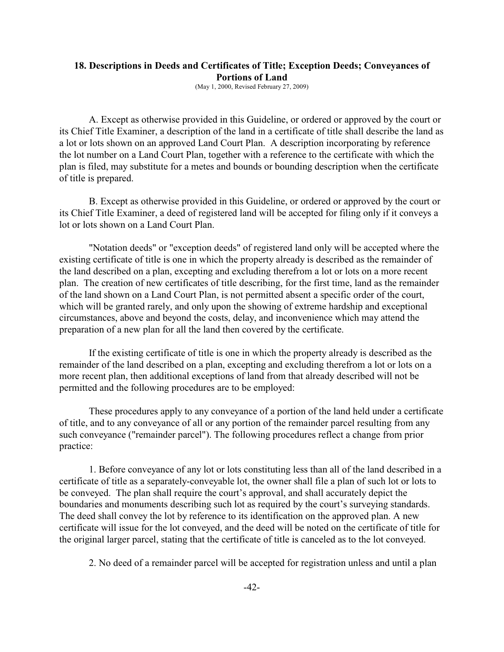## **18. Descriptions in Deeds and Certificates of Title; Exception Deeds; Conveyances of Portions of Land**

(May 1, 2000, Revised February 27, 2009)

A. Except as otherwise provided in this Guideline, or ordered or approved by the court or its Chief Title Examiner, a description of the land in a certificate of title shall describe the land as a lot or lots shown on an approved Land Court Plan. A description incorporating by reference the lot number on a Land Court Plan, together with a reference to the certificate with which the plan is filed, may substitute for a metes and bounds or bounding description when the certificate of title is prepared.

B. Except as otherwise provided in this Guideline, or ordered or approved by the court or its Chief Title Examiner, a deed of registered land will be accepted for filing only if it conveys a lot or lots shown on a Land Court Plan.

"Notation deeds" or "exception deeds" of registered land only will be accepted where the existing certificate of title is one in which the property already is described as the remainder of the land described on a plan, excepting and excluding therefrom a lot or lots on a more recent plan. The creation of new certificates of title describing, for the first time, land as the remainder of the land shown on a Land Court Plan, is not permitted absent a specific order of the court, which will be granted rarely, and only upon the showing of extreme hardship and exceptional circumstances, above and beyond the costs, delay, and inconvenience which may attend the preparation of a new plan for all the land then covered by the certificate.

If the existing certificate of title is one in which the property already is described as the remainder of the land described on a plan, excepting and excluding therefrom a lot or lots on a more recent plan, then additional exceptions of land from that already described will not be permitted and the following procedures are to be employed:

These procedures apply to any conveyance of a portion of the land held under a certificate of title, and to any conveyance of all or any portion of the remainder parcel resulting from any such conveyance ("remainder parcel"). The following procedures reflect a change from prior practice:

1. Before conveyance of any lot or lots constituting less than all of the land described in a certificate of title as a separately-conveyable lot, the owner shall file a plan of such lot or lots to be conveyed. The plan shall require the court's approval, and shall accurately depict the boundaries and monuments describing such lot as required by the court's surveying standards. The deed shall convey the lot by reference to its identification on the approved plan. A new certificate will issue for the lot conveyed, and the deed will be noted on the certificate of title for the original larger parcel, stating that the certificate of title is canceled as to the lot conveyed.

2. No deed of a remainder parcel will be accepted for registration unless and until a plan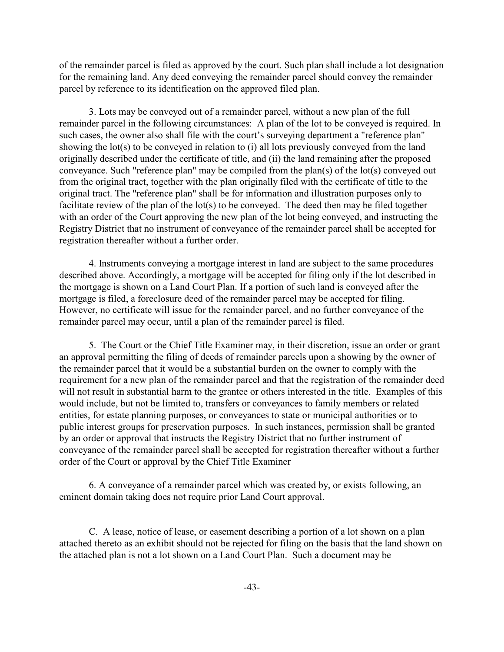of the remainder parcel is filed as approved by the court. Such plan shall include a lot designation for the remaining land. Any deed conveying the remainder parcel should convey the remainder parcel by reference to its identification on the approved filed plan.

3. Lots may be conveyed out of a remainder parcel, without a new plan of the full remainder parcel in the following circumstances: A plan of the lot to be conveyed is required. In such cases, the owner also shall file with the court's surveying department a "reference plan" showing the lot(s) to be conveyed in relation to (i) all lots previously conveyed from the land originally described under the certificate of title, and (ii) the land remaining after the proposed conveyance. Such "reference plan" may be compiled from the plan(s) of the lot(s) conveyed out from the original tract, together with the plan originally filed with the certificate of title to the original tract. The "reference plan" shall be for information and illustration purposes only to facilitate review of the plan of the lot(s) to be conveyed. The deed then may be filed together with an order of the Court approving the new plan of the lot being conveyed, and instructing the Registry District that no instrument of conveyance of the remainder parcel shall be accepted for registration thereafter without a further order.

4. Instruments conveying a mortgage interest in land are subject to the same procedures described above. Accordingly, a mortgage will be accepted for filing only if the lot described in the mortgage is shown on a Land Court Plan. If a portion of such land is conveyed after the mortgage is filed, a foreclosure deed of the remainder parcel may be accepted for filing. However, no certificate will issue for the remainder parcel, and no further conveyance of the remainder parcel may occur, until a plan of the remainder parcel is filed.

5. The Court or the Chief Title Examiner may, in their discretion, issue an order or grant an approval permitting the filing of deeds of remainder parcels upon a showing by the owner of the remainder parcel that it would be a substantial burden on the owner to comply with the requirement for a new plan of the remainder parcel and that the registration of the remainder deed will not result in substantial harm to the grantee or others interested in the title. Examples of this would include, but not be limited to, transfers or conveyances to family members or related entities, for estate planning purposes, or conveyances to state or municipal authorities or to public interest groups for preservation purposes. In such instances, permission shall be granted by an order or approval that instructs the Registry District that no further instrument of conveyance of the remainder parcel shall be accepted for registration thereafter without a further order of the Court or approval by the Chief Title Examiner

6. A conveyance of a remainder parcel which was created by, or exists following, an eminent domain taking does not require prior Land Court approval.

C. A lease, notice of lease, or easement describing a portion of a lot shown on a plan attached thereto as an exhibit should not be rejected for filing on the basis that the land shown on the attached plan is not a lot shown on a Land Court Plan. Such a document may be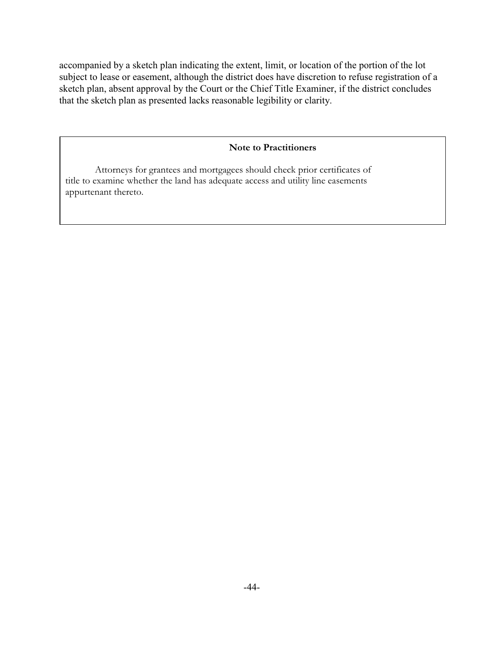accompanied by a sketch plan indicating the extent, limit, or location of the portion of the lot subject to lease or easement, although the district does have discretion to refuse registration of a sketch plan, absent approval by the Court or the Chief Title Examiner, if the district concludes that the sketch plan as presented lacks reasonable legibility or clarity.

## **Note to Practitioners**

Attorneys for grantees and mortgagees should check prior certificates of title to examine whether the land has adequate access and utility line easements appurtenant thereto.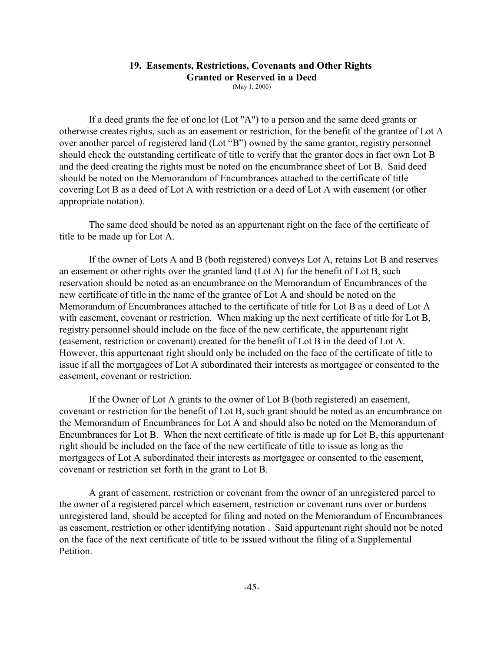# **19. Easements, Restrictions, Covenants and Other Rights Granted or Reserved in a Deed**

(May 1, 2000)

If a deed grants the fee of one lot (Lot "A") to a person and the same deed grants or otherwise creates rights, such as an easement or restriction, for the benefit of the grantee of Lot A over another parcel of registered land (Lot "B") owned by the same grantor, registry personnel should check the outstanding certificate of title to verify that the grantor does in fact own Lot B and the deed creating the rights must be noted on the encumbrance sheet of Lot B. Said deed should be noted on the Memorandum of Encumbrances attached to the certificate of title covering Lot B as a deed of Lot A with restriction or a deed of Lot A with easement (or other appropriate notation).

The same deed should be noted as an appurtenant right on the face of the certificate of title to be made up for Lot A.

If the owner of Lots A and B (both registered) conveys Lot A, retains Lot B and reserves an easement or other rights over the granted land (Lot A) for the benefit of Lot B, such reservation should be noted as an encumbrance on the Memorandum of Encumbrances of the new certificate of title in the name of the grantee of Lot A and should be noted on the Memorandum of Encumbrances attached to the certificate of title for Lot B as a deed of Lot A with easement, covenant or restriction. When making up the next certificate of title for Lot B, registry personnel should include on the face of the new certificate, the appurtenant right (easement, restriction or covenant) created for the benefit of Lot B in the deed of Lot A. However, this appurtenant right should only be included on the face of the certificate of title to issue if all the mortgagees of Lot A subordinated their interests as mortgagee or consented to the easement, covenant or restriction.

If the Owner of Lot A grants to the owner of Lot B (both registered) an easement, covenant or restriction for the benefit of Lot B, such grant should be noted as an encumbrance on the Memorandum of Encumbrances for Lot A and should also be noted on the Memorandum of Encumbrances for Lot B. When the next certificate of title is made up for Lot B, this appurtenant right should be included on the face of the new certificate of title to issue as long as the mortgagees of Lot A subordinated their interests as mortgagee or consented to the easement, covenant or restriction set forth in the grant to Lot B.

A grant of easement, restriction or covenant from the owner of an unregistered parcel to the owner of a registered parcel which easement, restriction or covenant runs over or burdens unregistered land, should be accepted for filing and noted on the Memorandum of Encumbrances as easement, restriction or other identifying notation . Said appurtenant right should not be noted on the face of the next certificate of title to be issued without the filing of a Supplemental Petition.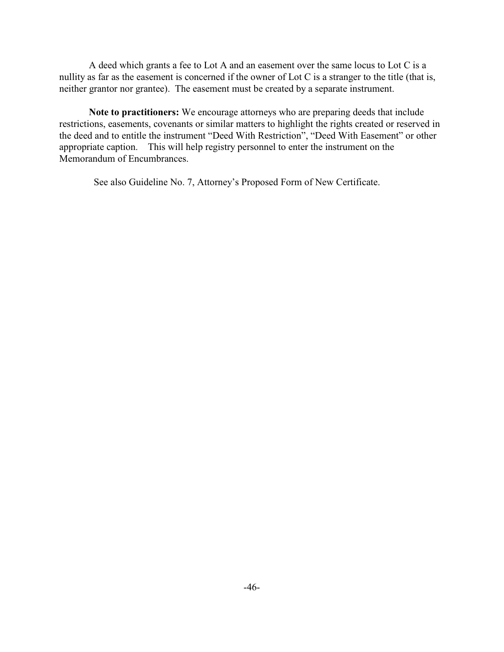A deed which grants a fee to Lot A and an easement over the same locus to Lot C is a nullity as far as the easement is concerned if the owner of Lot C is a stranger to the title (that is, neither grantor nor grantee). The easement must be created by a separate instrument.

**Note to practitioners:** We encourage attorneys who are preparing deeds that include restrictions, easements, covenants or similar matters to highlight the rights created or reserved in the deed and to entitle the instrument "Deed With Restriction", "Deed With Easement" or other appropriate caption. This will help registry personnel to enter the instrument on the Memorandum of Encumbrances.

See also Guideline No. 7, Attorney's Proposed Form of New Certificate.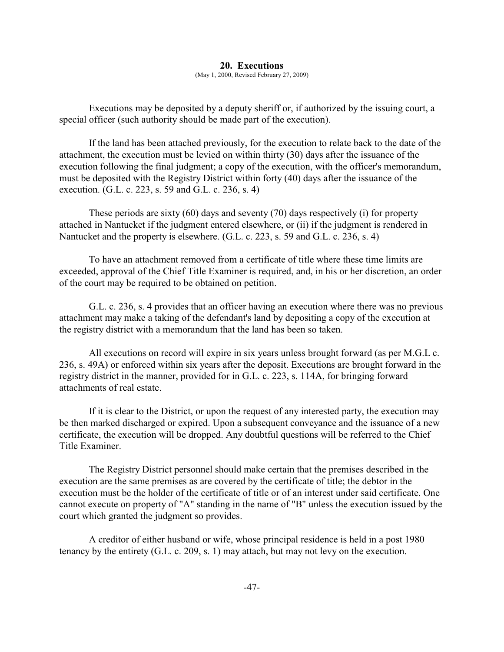#### **20. Executions**

(May 1, 2000, Revised February 27, 2009)

Executions may be deposited by a deputy sheriff or, if authorized by the issuing court, a special officer (such authority should be made part of the execution).

If the land has been attached previously, for the execution to relate back to the date of the attachment, the execution must be levied on within thirty (30) days after the issuance of the execution following the final judgment; a copy of the execution, with the officer's memorandum, must be deposited with the Registry District within forty (40) days after the issuance of the execution. (G.L. c. 223, s. 59 and G.L. c. 236, s. 4)

These periods are sixty (60) days and seventy (70) days respectively (i) for property attached in Nantucket if the judgment entered elsewhere, or (ii) if the judgment is rendered in Nantucket and the property is elsewhere. (G.L. c. 223, s. 59 and G.L. c. 236, s. 4)

To have an attachment removed from a certificate of title where these time limits are exceeded, approval of the Chief Title Examiner is required, and, in his or her discretion, an order of the court may be required to be obtained on petition.

G.L. c. 236, s. 4 provides that an officer having an execution where there was no previous attachment may make a taking of the defendant's land by depositing a copy of the execution at the registry district with a memorandum that the land has been so taken.

All executions on record will expire in six years unless brought forward (as per M.G.L c. 236, s. 49A) or enforced within six years after the deposit. Executions are brought forward in the registry district in the manner, provided for in G.L. c. 223, s. 114A, for bringing forward attachments of real estate.

If it is clear to the District, or upon the request of any interested party, the execution may be then marked discharged or expired. Upon a subsequent conveyance and the issuance of a new certificate, the execution will be dropped. Any doubtful questions will be referred to the Chief Title Examiner.

The Registry District personnel should make certain that the premises described in the execution are the same premises as are covered by the certificate of title; the debtor in the execution must be the holder of the certificate of title or of an interest under said certificate. One cannot execute on property of "A" standing in the name of "B" unless the execution issued by the court which granted the judgment so provides.

A creditor of either husband or wife, whose principal residence is held in a post 1980 tenancy by the entirety (G.L. c. 209, s. 1) may attach, but may not levy on the execution.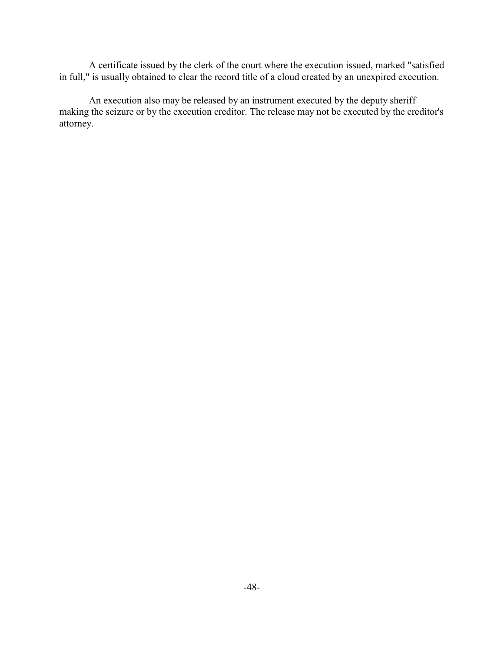A certificate issued by the clerk of the court where the execution issued, marked "satisfied in full," is usually obtained to clear the record title of a cloud created by an unexpired execution.

An execution also may be released by an instrument executed by the deputy sheriff making the seizure or by the execution creditor. The release may not be executed by the creditor's attorney.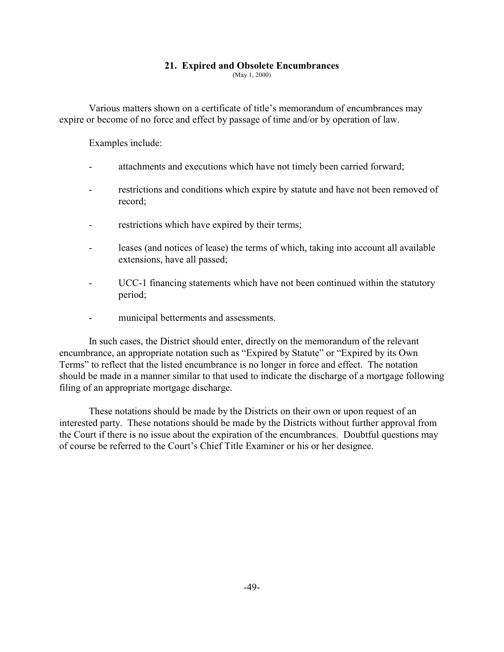## **21. Expired and Obsolete Encumbrances**

(May 1, 2000)

Various matters shown on a certificate of title's memorandum of encumbrances may expire or become of no force and effect by passage of time and/or by operation of law.

Examples include:

- attachments and executions which have not timely been carried forward;
- restrictions and conditions which expire by statute and have not been removed of record;
- restrictions which have expired by their terms;
- leases (and notices of lease) the terms of which, taking into account all available extensions, have all passed;
- UCC-1 financing statements which have not been continued within the statutory period;
- municipal betterments and assessments.

In such cases, the District should enter, directly on the memorandum of the relevant encumbrance, an appropriate notation such as "Expired by Statute" or "Expired by its Own Terms" to reflect that the listed encumbrance is no longer in force and effect. The notation should be made in a manner similar to that used to indicate the discharge of a mortgage following filing of an appropriate mortgage discharge.

These notations should be made by the Districts on their own or upon request of an interested party. These notations should be made by the Districts without further approval from the Court if there is no issue about the expiration of the encumbrances. Doubtful questions may of course be referred to the Court's Chief Title Examiner or his or her designee.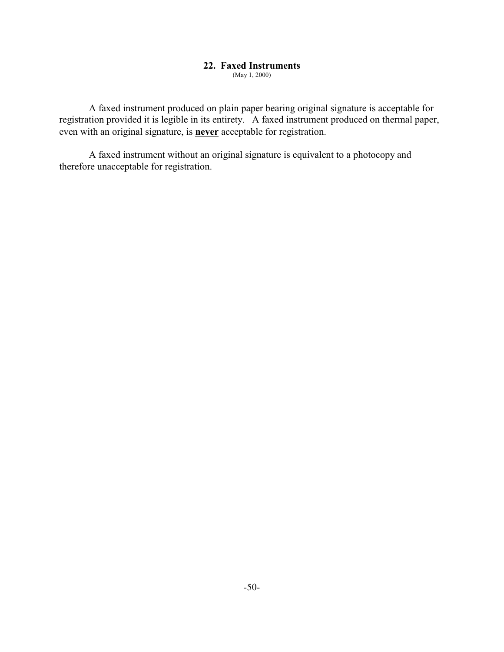## **22. Faxed Instruments**

(May 1, 2000)

A faxed instrument produced on plain paper bearing original signature is acceptable for registration provided it is legible in its entirety. A faxed instrument produced on thermal paper, even with an original signature, is **never** acceptable for registration.

A faxed instrument without an original signature is equivalent to a photocopy and therefore unacceptable for registration.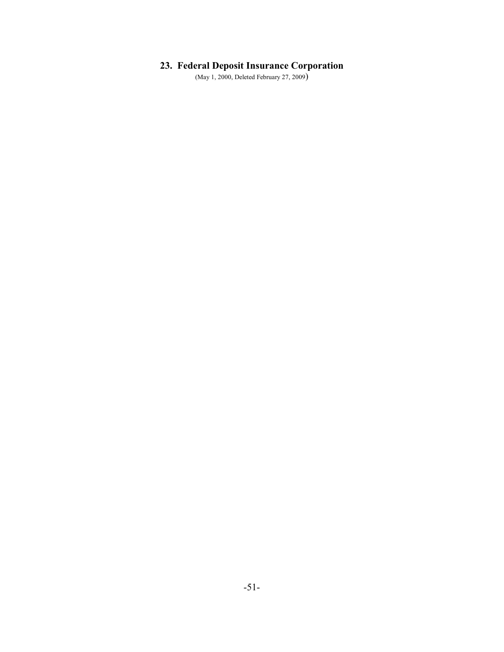# **23. Federal Deposit Insurance Corporation**

(May 1, 2000, Deleted February 27, 2009)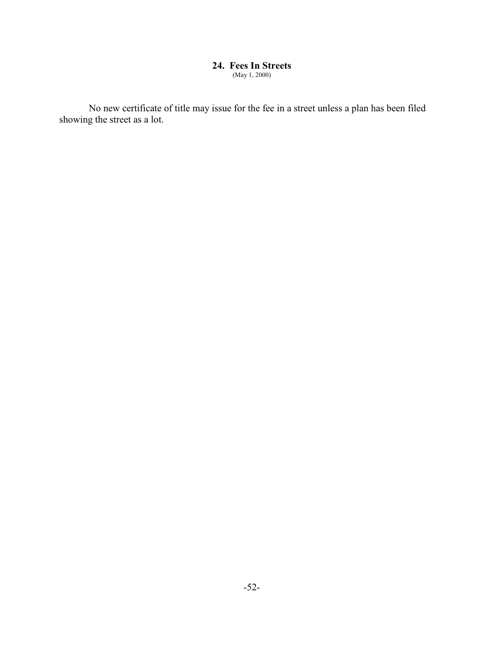#### **24. Fees In Streets** (May 1, 2000)

No new certificate of title may issue for the fee in a street unless a plan has been filed showing the street as a lot.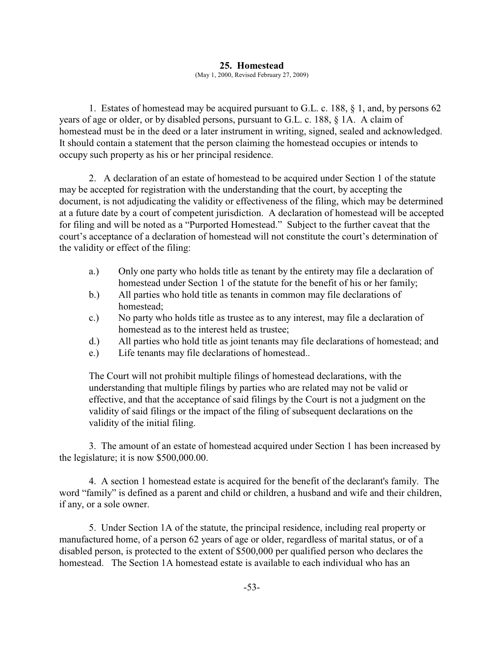### **25. Homestead**

(May 1, 2000, Revised February 27, 2009)

1. Estates of homestead may be acquired pursuant to G.L. c. 188, § 1, and, by persons 62 years of age or older, or by disabled persons, pursuant to G.L. c. 188, § 1A. A claim of homestead must be in the deed or a later instrument in writing, signed, sealed and acknowledged. It should contain a statement that the person claiming the homestead occupies or intends to occupy such property as his or her principal residence.

2. A declaration of an estate of homestead to be acquired under Section 1 of the statute may be accepted for registration with the understanding that the court, by accepting the document, is not adjudicating the validity or effectiveness of the filing, which may be determined at a future date by a court of competent jurisdiction. A declaration of homestead will be accepted for filing and will be noted as a "Purported Homestead." Subject to the further caveat that the court's acceptance of a declaration of homestead will not constitute the court's determination of the validity or effect of the filing:

- a.) Only one party who holds title as tenant by the entirety may file a declaration of homestead under Section 1 of the statute for the benefit of his or her family;
- b.) All parties who hold title as tenants in common may file declarations of homestead;
- c.) No party who holds title as trustee as to any interest, may file a declaration of homestead as to the interest held as trustee;
- d.) All parties who hold title as joint tenants may file declarations of homestead; and
- e.) Life tenants may file declarations of homestead..

The Court will not prohibit multiple filings of homestead declarations, with the understanding that multiple filings by parties who are related may not be valid or effective, and that the acceptance of said filings by the Court is not a judgment on the validity of said filings or the impact of the filing of subsequent declarations on the validity of the initial filing.

3. The amount of an estate of homestead acquired under Section 1 has been increased by the legislature; it is now \$500,000.00.

4. A section 1 homestead estate is acquired for the benefit of the declarant's family. The word "family" is defined as a parent and child or children, a husband and wife and their children, if any, or a sole owner.

5. Under Section 1A of the statute, the principal residence, including real property or manufactured home, of a person 62 years of age or older, regardless of marital status, or of a disabled person, is protected to the extent of \$500,000 per qualified person who declares the homestead. The Section 1A homestead estate is available to each individual who has an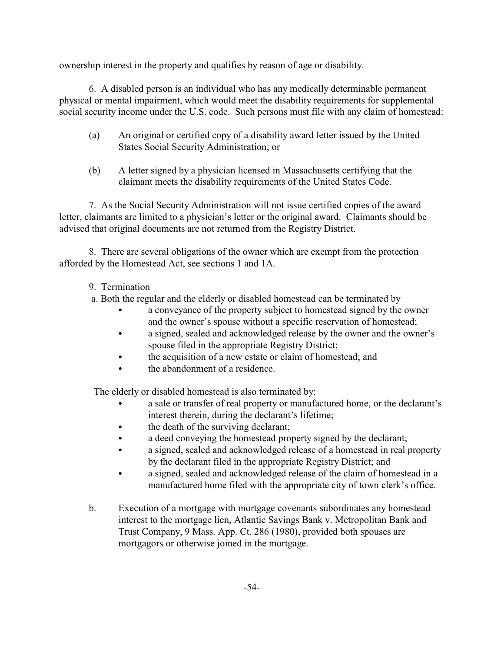ownership interest in the property and qualifies by reason of age or disability.

6. A disabled person is an individual who has any medically determinable permanent physical or mental impairment, which would meet the disability requirements for supplemental social security income under the U.S. code. Such persons must file with any claim of homestead:

- (a) An original or certified copy of a disability award letter issued by the United States Social Security Administration; or
- (b) A letter signed by a physician licensed in Massachusetts certifying that the claimant meets the disability requirements of the United States Code.

7. As the Social Security Administration will not issue certified copies of the award letter, claimants are limited to a physician's letter or the original award. Claimants should be advised that original documents are not returned from the Registry District.

8. There are several obligations of the owner which are exempt from the protection afforded by the Homestead Act, see sections 1 and 1A.

- 9. Termination
- a. Both the regular and the elderly or disabled homestead can be terminated by
	- a conveyance of the property subject to homestead signed by the owner and the owner's spouse without a specific reservation of homestead;
	- a signed, sealed and acknowledged release by the owner and the owner's spouse filed in the appropriate Registry District;
	- the acquisition of a new estate or claim of homestead; and
	- the abandonment of a residence.

The elderly or disabled homestead is also terminated by:

- a sale or transfer of real property or manufactured home, or the declarant's interest therein, during the declarant's lifetime;
- the death of the surviving declarant;
- a deed conveying the homestead property signed by the declarant;
- a signed, sealed and acknowledged release of a homestead in real property by the declarant filed in the appropriate Registry District; and
- a signed, sealed and acknowledged release of the claim of homestead in a manufactured home filed with the appropriate city of town clerk's office.
- b. Execution of a mortgage with mortgage covenants subordinates any homestead interest to the mortgage lien, Atlantic Savings Bank v. Metropolitan Bank and Trust Company, 9 Mass. App. Ct. 286 (1980), provided both spouses are mortgagors or otherwise joined in the mortgage.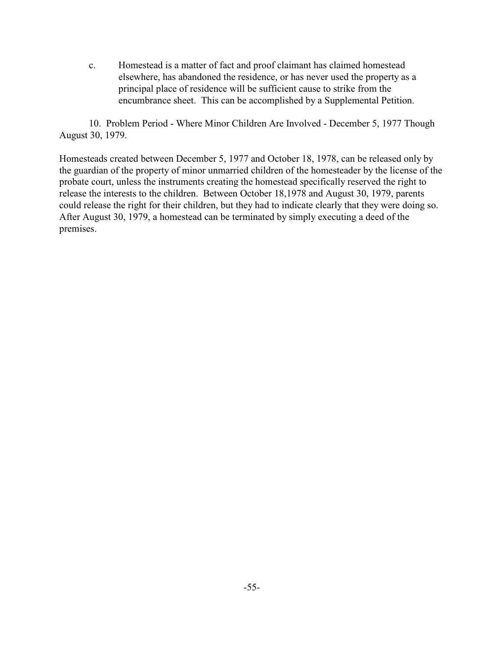c. Homestead is a matter of fact and proof claimant has claimed homestead elsewhere, has abandoned the residence, or has never used the property as a principal place of residence will be sufficient cause to strike from the encumbrance sheet. This can be accomplished by a Supplemental Petition.

10. Problem Period - Where Minor Children Are Involved - December 5, 1977 Though August 30, 1979.

Homesteads created between December 5, 1977 and October 18, 1978, can be released only by the guardian of the property of minor unmarried children of the homesteader by the license of the probate court, unless the instruments creating the homestead specifically reserved the right to release the interests to the children. Between October 18,1978 and August 30, 1979, parents could release the right for their children, but they had to indicate clearly that they were doing so. After August 30, 1979, a homestead can be terminated by simply executing a deed of the premises.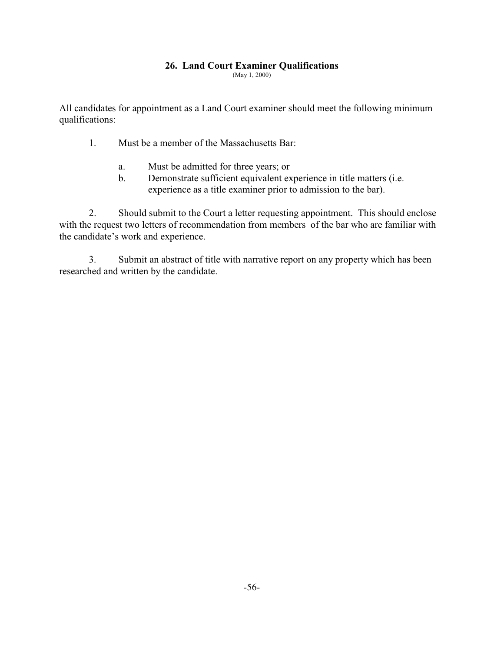## **26. Land Court Examiner Qualifications**

(May 1, 2000)

All candidates for appointment as a Land Court examiner should meet the following minimum qualifications:

- 1. Must be a member of the Massachusetts Bar:
	- a. Must be admitted for three years; or
	- b. Demonstrate sufficient equivalent experience in title matters (i.e. experience as a title examiner prior to admission to the bar).

2. Should submit to the Court a letter requesting appointment. This should enclose with the request two letters of recommendation from members of the bar who are familiar with the candidate's work and experience.

3. Submit an abstract of title with narrative report on any property which has been researched and written by the candidate.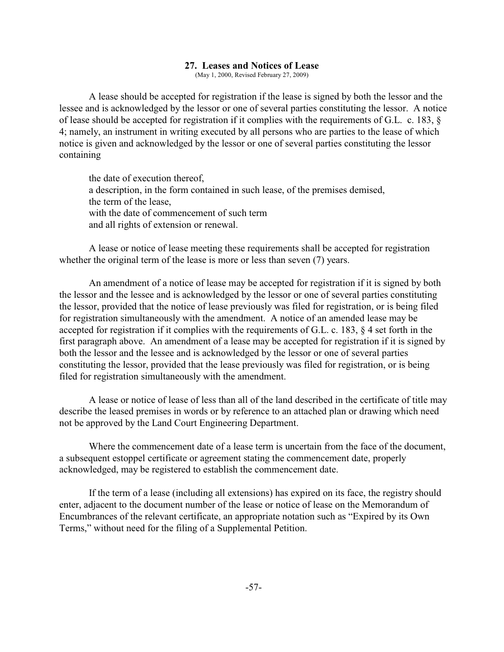### **27. Leases and Notices of Lease**

(May 1, 2000, Revised February 27, 2009)

A lease should be accepted for registration if the lease is signed by both the lessor and the lessee and is acknowledged by the lessor or one of several parties constituting the lessor. A notice of lease should be accepted for registration if it complies with the requirements of G.L. c. 183, § 4; namely, an instrument in writing executed by all persons who are parties to the lease of which notice is given and acknowledged by the lessor or one of several parties constituting the lessor containing

the date of execution thereof, a description, in the form contained in such lease, of the premises demised, the term of the lease, with the date of commencement of such term and all rights of extension or renewal.

A lease or notice of lease meeting these requirements shall be accepted for registration whether the original term of the lease is more or less than seven (7) years.

An amendment of a notice of lease may be accepted for registration if it is signed by both the lessor and the lessee and is acknowledged by the lessor or one of several parties constituting the lessor, provided that the notice of lease previously was filed for registration, or is being filed for registration simultaneously with the amendment. A notice of an amended lease may be accepted for registration if it complies with the requirements of G.L. c. 183, § 4 set forth in the first paragraph above. An amendment of a lease may be accepted for registration if it is signed by both the lessor and the lessee and is acknowledged by the lessor or one of several parties constituting the lessor, provided that the lease previously was filed for registration, or is being filed for registration simultaneously with the amendment.

A lease or notice of lease of less than all of the land described in the certificate of title may describe the leased premises in words or by reference to an attached plan or drawing which need not be approved by the Land Court Engineering Department.

Where the commencement date of a lease term is uncertain from the face of the document, a subsequent estoppel certificate or agreement stating the commencement date, properly acknowledged, may be registered to establish the commencement date.

If the term of a lease (including all extensions) has expired on its face, the registry should enter, adjacent to the document number of the lease or notice of lease on the Memorandum of Encumbrances of the relevant certificate, an appropriate notation such as "Expired by its Own Terms," without need for the filing of a Supplemental Petition.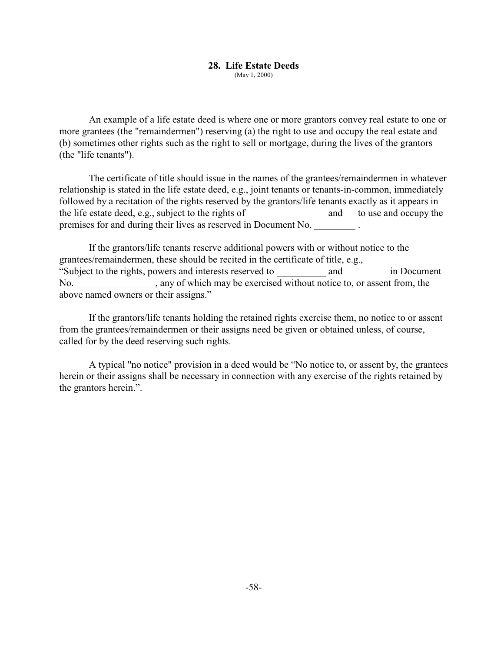# **28. Life Estate Deeds**

(May 1, 2000)

An example of a life estate deed is where one or more grantors convey real estate to one or more grantees (the "remaindermen") reserving (a) the right to use and occupy the real estate and (b) sometimes other rights such as the right to sell or mortgage, during the lives of the grantors (the "life tenants").

The certificate of title should issue in the names of the grantees/remaindermen in whatever relationship is stated in the life estate deed, e.g., joint tenants or tenants-in-common, immediately followed by a recitation of the rights reserved by the grantors/life tenants exactly as it appears in the life estate deed, e.g., subject to the rights of and to use and occupy the premises for and during their lives as reserved in Document No. .

If the grantors/life tenants reserve additional powers with or without notice to the grantees/remaindermen, these should be recited in the certificate of title, e.g., "Subject to the rights, powers and interests reserved to and in Document No. any of which may be exercised without notice to, or assent from, the above named owners or their assigns."

If the grantors/life tenants holding the retained rights exercise them, no notice to or assent from the grantees/remaindermen or their assigns need be given or obtained unless, of course, called for by the deed reserving such rights.

A typical "no notice" provision in a deed would be "No notice to, or assent by, the grantees herein or their assigns shall be necessary in connection with any exercise of the rights retained by the grantors herein.".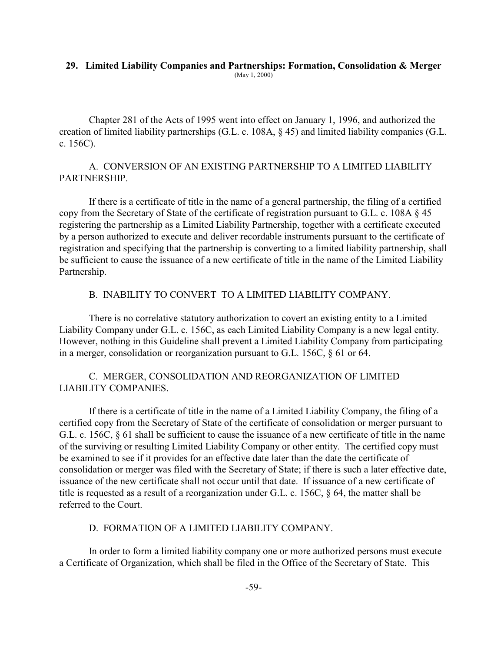#### **29. Limited Liability Companies and Partnerships: Formation, Consolidation & Merger** (May 1, 2000)

Chapter 281 of the Acts of 1995 went into effect on January 1, 1996, and authorized the creation of limited liability partnerships (G.L. c. 108A, § 45) and limited liability companies (G.L. c. 156C).

## A. CONVERSION OF AN EXISTING PARTNERSHIP TO A LIMITED LIABILITY PARTNERSHIP.

If there is a certificate of title in the name of a general partnership, the filing of a certified copy from the Secretary of State of the certificate of registration pursuant to G.L. c. 108A § 45 registering the partnership as a Limited Liability Partnership, together with a certificate executed by a person authorized to execute and deliver recordable instruments pursuant to the certificate of registration and specifying that the partnership is converting to a limited liability partnership, shall be sufficient to cause the issuance of a new certificate of title in the name of the Limited Liability Partnership.

## B. INABILITY TO CONVERT TO A LIMITED LIABILITY COMPANY.

There is no correlative statutory authorization to covert an existing entity to a Limited Liability Company under G.L. c. 156C, as each Limited Liability Company is a new legal entity. However, nothing in this Guideline shall prevent a Limited Liability Company from participating in a merger, consolidation or reorganization pursuant to G.L. 156C, § 61 or 64.

# C. MERGER, CONSOLIDATION AND REORGANIZATION OF LIMITED LIABILITY COMPANIES.

If there is a certificate of title in the name of a Limited Liability Company, the filing of a certified copy from the Secretary of State of the certificate of consolidation or merger pursuant to G.L. c. 156C, § 61 shall be sufficient to cause the issuance of a new certificate of title in the name of the surviving or resulting Limited Liability Company or other entity. The certified copy must be examined to see if it provides for an effective date later than the date the certificate of consolidation or merger was filed with the Secretary of State; if there is such a later effective date, issuance of the new certificate shall not occur until that date. If issuance of a new certificate of title is requested as a result of a reorganization under G.L. c. 156C, § 64, the matter shall be referred to the Court.

# D. FORMATION OF A LIMITED LIABILITY COMPANY.

In order to form a limited liability company one or more authorized persons must execute a Certificate of Organization, which shall be filed in the Office of the Secretary of State. This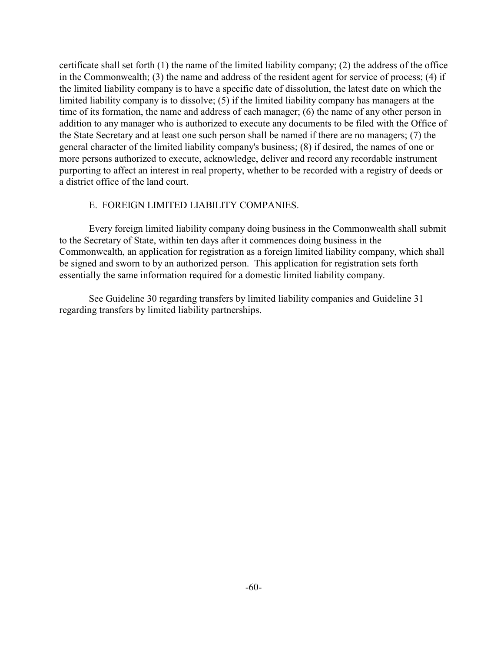certificate shall set forth (1) the name of the limited liability company; (2) the address of the office in the Commonwealth; (3) the name and address of the resident agent for service of process; (4) if the limited liability company is to have a specific date of dissolution, the latest date on which the limited liability company is to dissolve; (5) if the limited liability company has managers at the time of its formation, the name and address of each manager; (6) the name of any other person in addition to any manager who is authorized to execute any documents to be filed with the Office of the State Secretary and at least one such person shall be named if there are no managers; (7) the general character of the limited liability company's business; (8) if desired, the names of one or more persons authorized to execute, acknowledge, deliver and record any recordable instrument purporting to affect an interest in real property, whether to be recorded with a registry of deeds or a district office of the land court.

## E. FOREIGN LIMITED LIABILITY COMPANIES.

Every foreign limited liability company doing business in the Commonwealth shall submit to the Secretary of State, within ten days after it commences doing business in the Commonwealth, an application for registration as a foreign limited liability company, which shall be signed and sworn to by an authorized person. This application for registration sets forth essentially the same information required for a domestic limited liability company.

See Guideline 30 regarding transfers by limited liability companies and Guideline 31 regarding transfers by limited liability partnerships.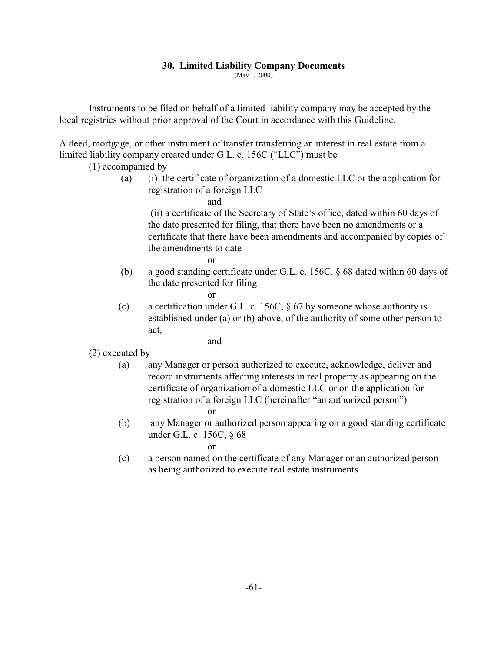## **30. Limited Liability Company Documents**

(May 1, 2000)

Instruments to be filed on behalf of a limited liability company may be accepted by the local registries without prior approval of the Court in accordance with this Guideline.

A deed, mortgage, or other instrument of transfer transferring an interest in real estate from a limited liability company created under G.L. c. 156C ("LLC") must be

(1) accompanied by

 (a) (i) the certificate of organization of a domestic LLC or the application for registration of a foreign LLC

and

 (ii) a certificate of the Secretary of State's office, dated within 60 days of the date presented for filing, that there have been no amendments or a certificate that there have been amendments and accompanied by copies of the amendments to date

or

 (b) a good standing certificate under G.L. c. 156C, § 68 dated within 60 days of the date presented for filing

or

(c) a certification under G.L. c. 156C,  $\S$  67 by someone whose authority is established under (a) or (b) above, of the authority of some other person to act,

and

- (2) executed by
	- (a) any Manager or person authorized to execute, acknowledge, deliver and record instruments affecting interests in real property as appearing on the certificate of organization of a domestic LLC or on the application for registration of a foreign LLC (hereinafter "an authorized person") or
	- (b) any Manager or authorized person appearing on a good standing certificate under G.L. c. 156C, § 68

or

(c) a person named on the certificate of any Manager or an authorized person as being authorized to execute real estate instruments.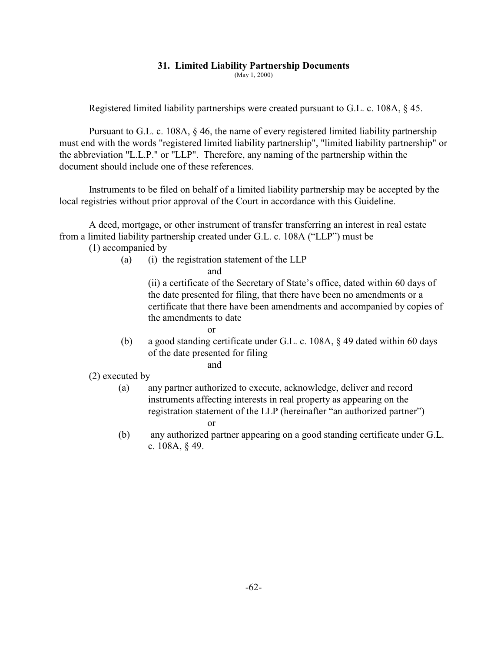## **31. Limited Liability Partnership Documents**

(May 1, 2000)

Registered limited liability partnerships were created pursuant to G.L. c. 108A, § 45.

Pursuant to G.L. c. 108A, § 46, the name of every registered limited liability partnership must end with the words "registered limited liability partnership", "limited liability partnership" or the abbreviation "L.L.P." or "LLP". Therefore, any naming of the partnership within the document should include one of these references.

Instruments to be filed on behalf of a limited liability partnership may be accepted by the local registries without prior approval of the Court in accordance with this Guideline.

A deed, mortgage, or other instrument of transfer transferring an interest in real estate from a limited liability partnership created under G.L. c. 108A ("LLP") must be

(1) accompanied by

(a) (i) the registration statement of the LLP

and

(ii) a certificate of the Secretary of State's office, dated within 60 days of the date presented for filing, that there have been no amendments or a certificate that there have been amendments and accompanied by copies of the amendments to date

- or
	- (b) a good standing certificate under G.L. c. 108A, § 49 dated within 60 days of the date presented for filing

and

(2) executed by

- (a) any partner authorized to execute, acknowledge, deliver and record instruments affecting interests in real property as appearing on the registration statement of the LLP (hereinafter "an authorized partner")
	- or
- (b) any authorized partner appearing on a good standing certificate under G.L. c. 108A, § 49.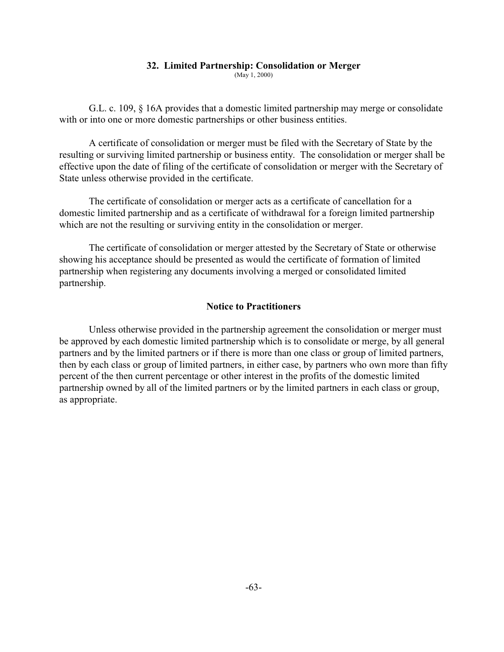#### **32. Limited Partnership: Consolidation or Merger**

(May 1, 2000)

G.L. c. 109, § 16A provides that a domestic limited partnership may merge or consolidate with or into one or more domestic partnerships or other business entities.

A certificate of consolidation or merger must be filed with the Secretary of State by the resulting or surviving limited partnership or business entity. The consolidation or merger shall be effective upon the date of filing of the certificate of consolidation or merger with the Secretary of State unless otherwise provided in the certificate.

The certificate of consolidation or merger acts as a certificate of cancellation for a domestic limited partnership and as a certificate of withdrawal for a foreign limited partnership which are not the resulting or surviving entity in the consolidation or merger.

The certificate of consolidation or merger attested by the Secretary of State or otherwise showing his acceptance should be presented as would the certificate of formation of limited partnership when registering any documents involving a merged or consolidated limited partnership.

## **Notice to Practitioners**

Unless otherwise provided in the partnership agreement the consolidation or merger must be approved by each domestic limited partnership which is to consolidate or merge, by all general partners and by the limited partners or if there is more than one class or group of limited partners, then by each class or group of limited partners, in either case, by partners who own more than fifty percent of the then current percentage or other interest in the profits of the domestic limited partnership owned by all of the limited partners or by the limited partners in each class or group, as appropriate.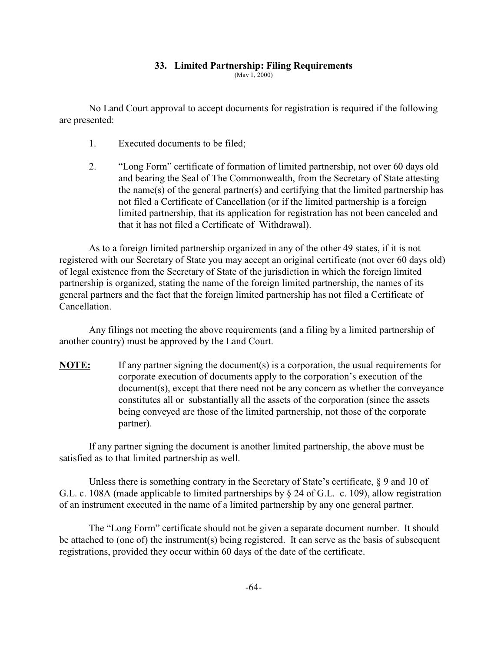## **33. Limited Partnership: Filing Requirements**

(May 1, 2000)

No Land Court approval to accept documents for registration is required if the following are presented:

- 1. Executed documents to be filed;
- 2. "Long Form" certificate of formation of limited partnership, not over 60 days old and bearing the Seal of The Commonwealth, from the Secretary of State attesting the name(s) of the general partner(s) and certifying that the limited partnership has not filed a Certificate of Cancellation (or if the limited partnership is a foreign limited partnership, that its application for registration has not been canceled and that it has not filed a Certificate of Withdrawal).

As to a foreign limited partnership organized in any of the other 49 states, if it is not registered with our Secretary of State you may accept an original certificate (not over 60 days old) of legal existence from the Secretary of State of the jurisdiction in which the foreign limited partnership is organized, stating the name of the foreign limited partnership, the names of its general partners and the fact that the foreign limited partnership has not filed a Certificate of Cancellation.

Any filings not meeting the above requirements (and a filing by a limited partnership of another country) must be approved by the Land Court.

**NOTE:** If any partner signing the document(s) is a corporation, the usual requirements for corporate execution of documents apply to the corporation's execution of the document(s), except that there need not be any concern as whether the conveyance constitutes all or substantially all the assets of the corporation (since the assets being conveyed are those of the limited partnership, not those of the corporate partner).

If any partner signing the document is another limited partnership, the above must be satisfied as to that limited partnership as well.

Unless there is something contrary in the Secretary of State's certificate,  $\S$  9 and 10 of G.L. c. 108A (made applicable to limited partnerships by § 24 of G.L. c. 109), allow registration of an instrument executed in the name of a limited partnership by any one general partner.

The "Long Form" certificate should not be given a separate document number. It should be attached to (one of) the instrument(s) being registered. It can serve as the basis of subsequent registrations, provided they occur within 60 days of the date of the certificate.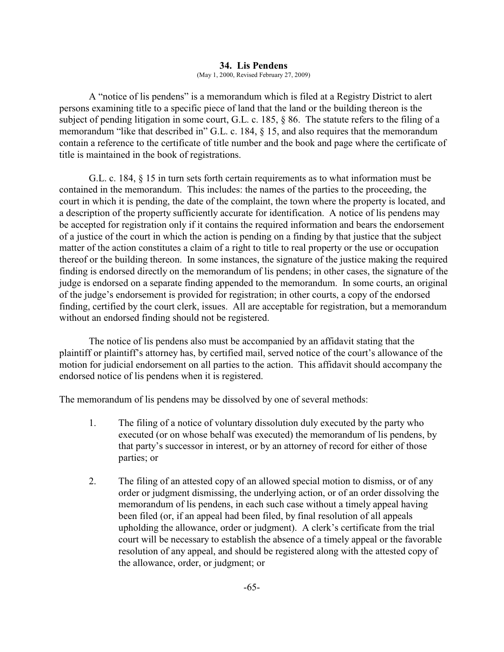#### **34. Lis Pendens** (May 1, 2000, Revised February 27, 2009)

A "notice of lis pendens" is a memorandum which is filed at a Registry District to alert persons examining title to a specific piece of land that the land or the building thereon is the subject of pending litigation in some court, G.L. c. 185, § 86. The statute refers to the filing of a memorandum "like that described in" G.L. c. 184, § 15, and also requires that the memorandum contain a reference to the certificate of title number and the book and page where the certificate of title is maintained in the book of registrations.

G.L. c. 184, § 15 in turn sets forth certain requirements as to what information must be contained in the memorandum. This includes: the names of the parties to the proceeding, the court in which it is pending, the date of the complaint, the town where the property is located, and a description of the property sufficiently accurate for identification. A notice of lis pendens may be accepted for registration only if it contains the required information and bears the endorsement of a justice of the court in which the action is pending on a finding by that justice that the subject matter of the action constitutes a claim of a right to title to real property or the use or occupation thereof or the building thereon. In some instances, the signature of the justice making the required finding is endorsed directly on the memorandum of lis pendens; in other cases, the signature of the judge is endorsed on a separate finding appended to the memorandum. In some courts, an original of the judge's endorsement is provided for registration; in other courts, a copy of the endorsed finding, certified by the court clerk, issues. All are acceptable for registration, but a memorandum without an endorsed finding should not be registered.

The notice of lis pendens also must be accompanied by an affidavit stating that the plaintiff or plaintiff's attorney has, by certified mail, served notice of the court's allowance of the motion for judicial endorsement on all parties to the action. This affidavit should accompany the endorsed notice of lis pendens when it is registered.

The memorandum of lis pendens may be dissolved by one of several methods:

- 1. The filing of a notice of voluntary dissolution duly executed by the party who executed (or on whose behalf was executed) the memorandum of lis pendens, by that party's successor in interest, or by an attorney of record for either of those parties; or
- 2. The filing of an attested copy of an allowed special motion to dismiss, or of any order or judgment dismissing, the underlying action, or of an order dissolving the memorandum of lis pendens, in each such case without a timely appeal having been filed (or, if an appeal had been filed, by final resolution of all appeals upholding the allowance, order or judgment). A clerk's certificate from the trial court will be necessary to establish the absence of a timely appeal or the favorable resolution of any appeal, and should be registered along with the attested copy of the allowance, order, or judgment; or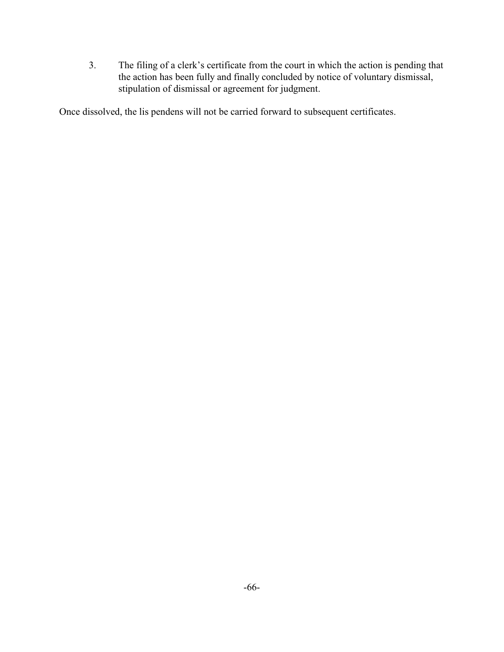3. The filing of a clerk's certificate from the court in which the action is pending that the action has been fully and finally concluded by notice of voluntary dismissal, stipulation of dismissal or agreement for judgment.

Once dissolved, the lis pendens will not be carried forward to subsequent certificates.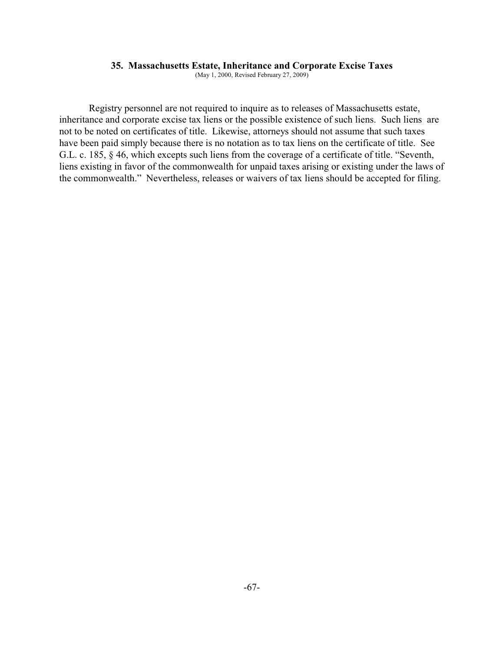### **35. Massachusetts Estate, Inheritance and Corporate Excise Taxes**

(May 1, 2000, Revised February 27, 2009)

Registry personnel are not required to inquire as to releases of Massachusetts estate, inheritance and corporate excise tax liens or the possible existence of such liens. Such liens are not to be noted on certificates of title. Likewise, attorneys should not assume that such taxes have been paid simply because there is no notation as to tax liens on the certificate of title. See G.L. c. 185, § 46, which excepts such liens from the coverage of a certificate of title. "Seventh, liens existing in favor of the commonwealth for unpaid taxes arising or existing under the laws of the commonwealth." Nevertheless, releases or waivers of tax liens should be accepted for filing.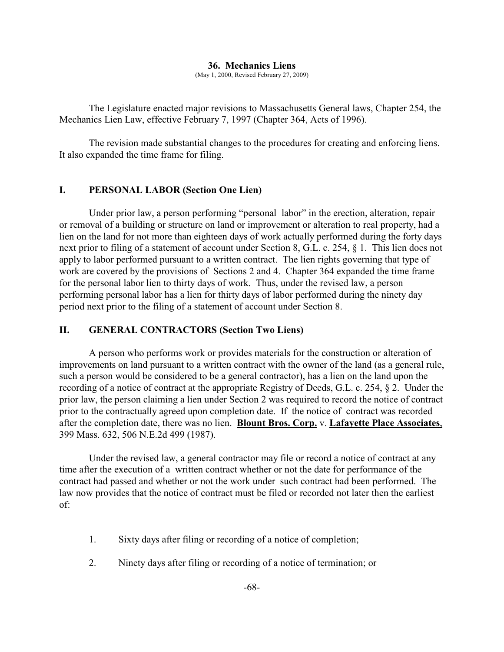### **36. Mechanics Liens**

(May 1, 2000, Revised February 27, 2009)

The Legislature enacted major revisions to Massachusetts General laws, Chapter 254, the Mechanics Lien Law, effective February 7, 1997 (Chapter 364, Acts of 1996).

The revision made substantial changes to the procedures for creating and enforcing liens. It also expanded the time frame for filing.

## **I. PERSONAL LABOR (Section One Lien)**

Under prior law, a person performing "personal labor" in the erection, alteration, repair or removal of a building or structure on land or improvement or alteration to real property, had a lien on the land for not more than eighteen days of work actually performed during the forty days next prior to filing of a statement of account under Section 8, G.L. c. 254, § 1. This lien does not apply to labor performed pursuant to a written contract. The lien rights governing that type of work are covered by the provisions of Sections 2 and 4. Chapter 364 expanded the time frame for the personal labor lien to thirty days of work. Thus, under the revised law, a person performing personal labor has a lien for thirty days of labor performed during the ninety day period next prior to the filing of a statement of account under Section 8.

## **II. GENERAL CONTRACTORS (Section Two Liens)**

A person who performs work or provides materials for the construction or alteration of improvements on land pursuant to a written contract with the owner of the land (as a general rule, such a person would be considered to be a general contractor), has a lien on the land upon the recording of a notice of contract at the appropriate Registry of Deeds, G.L. c. 254, § 2. Under the prior law, the person claiming a lien under Section 2 was required to record the notice of contract prior to the contractually agreed upon completion date. If the notice of contract was recorded after the completion date, there was no lien. **Blount Bros. Corp.** v. **Lafayette Place Associates**, 399 Mass. 632, 506 N.E.2d 499 (1987).

Under the revised law, a general contractor may file or record a notice of contract at any time after the execution of a written contract whether or not the date for performance of the contract had passed and whether or not the work under such contract had been performed. The law now provides that the notice of contract must be filed or recorded not later then the earliest of:

- 1. Sixty days after filing or recording of a notice of completion;
- 2. Ninety days after filing or recording of a notice of termination; or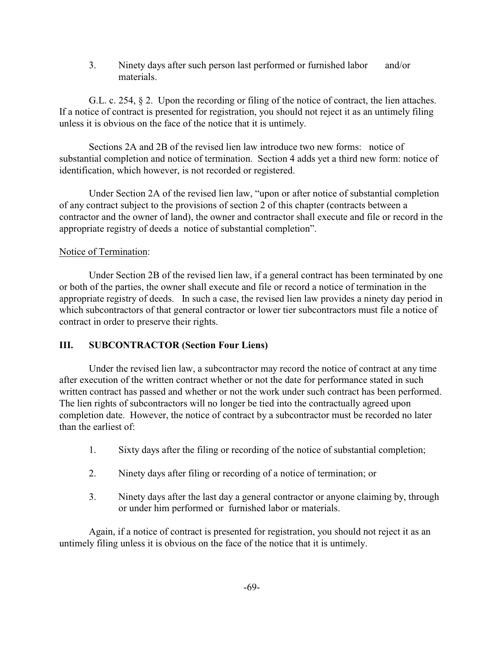3. Ninety days after such person last performed or furnished labor and/or materials.

G.L. c. 254,  $\S$  2. Upon the recording or filing of the notice of contract, the lien attaches. If a notice of contract is presented for registration, you should not reject it as an untimely filing unless it is obvious on the face of the notice that it is untimely.

Sections 2A and 2B of the revised lien law introduce two new forms: notice of substantial completion and notice of termination. Section 4 adds yet a third new form: notice of identification, which however, is not recorded or registered.

Under Section 2A of the revised lien law, "upon or after notice of substantial completion of any contract subject to the provisions of section 2 of this chapter (contracts between a contractor and the owner of land), the owner and contractor shall execute and file or record in the appropriate registry of deeds a notice of substantial completion".

## Notice of Termination:

Under Section 2B of the revised lien law, if a general contract has been terminated by one or both of the parties, the owner shall execute and file or record a notice of termination in the appropriate registry of deeds. In such a case, the revised lien law provides a ninety day period in which subcontractors of that general contractor or lower tier subcontractors must file a notice of contract in order to preserve their rights.

# **III. SUBCONTRACTOR (Section Four Liens)**

Under the revised lien law, a subcontractor may record the notice of contract at any time after execution of the written contract whether or not the date for performance stated in such written contract has passed and whether or not the work under such contract has been performed. The lien rights of subcontractors will no longer be tied into the contractually agreed upon completion date. However, the notice of contract by a subcontractor must be recorded no later than the earliest of:

- 1. Sixty days after the filing or recording of the notice of substantial completion;
- 2. Ninety days after filing or recording of a notice of termination; or
- 3. Ninety days after the last day a general contractor or anyone claiming by, through or under him performed or furnished labor or materials.

Again, if a notice of contract is presented for registration, you should not reject it as an untimely filing unless it is obvious on the face of the notice that it is untimely.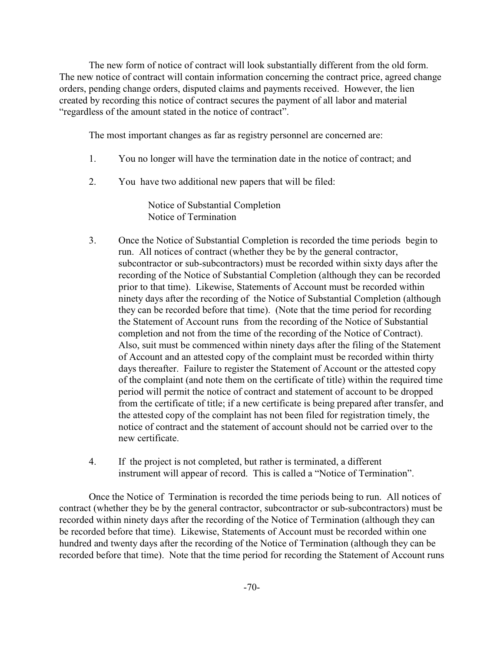The new form of notice of contract will look substantially different from the old form. The new notice of contract will contain information concerning the contract price, agreed change orders, pending change orders, disputed claims and payments received. However, the lien created by recording this notice of contract secures the payment of all labor and material "regardless of the amount stated in the notice of contract".

The most important changes as far as registry personnel are concerned are:

- 1. You no longer will have the termination date in the notice of contract; and
- 2. You have two additional new papers that will be filed:

Notice of Substantial Completion Notice of Termination

- 3. Once the Notice of Substantial Completion is recorded the time periods begin to run. All notices of contract (whether they be by the general contractor, subcontractor or sub-subcontractors) must be recorded within sixty days after the recording of the Notice of Substantial Completion (although they can be recorded prior to that time). Likewise, Statements of Account must be recorded within ninety days after the recording of the Notice of Substantial Completion (although they can be recorded before that time). (Note that the time period for recording the Statement of Account runs from the recording of the Notice of Substantial completion and not from the time of the recording of the Notice of Contract). Also, suit must be commenced within ninety days after the filing of the Statement of Account and an attested copy of the complaint must be recorded within thirty days thereafter. Failure to register the Statement of Account or the attested copy of the complaint (and note them on the certificate of title) within the required time period will permit the notice of contract and statement of account to be dropped from the certificate of title; if a new certificate is being prepared after transfer, and the attested copy of the complaint has not been filed for registration timely, the notice of contract and the statement of account should not be carried over to the new certificate.
- 4. If the project is not completed, but rather is terminated, a different instrument will appear of record. This is called a "Notice of Termination".

Once the Notice of Termination is recorded the time periods being to run. All notices of contract (whether they be by the general contractor, subcontractor or sub-subcontractors) must be recorded within ninety days after the recording of the Notice of Termination (although they can be recorded before that time). Likewise, Statements of Account must be recorded within one hundred and twenty days after the recording of the Notice of Termination (although they can be recorded before that time). Note that the time period for recording the Statement of Account runs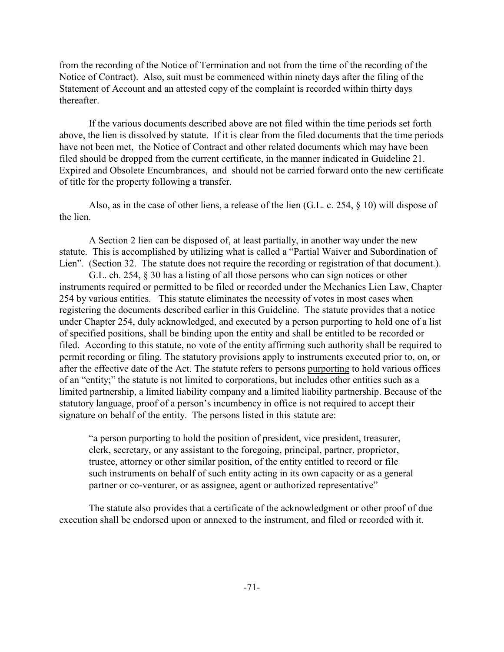from the recording of the Notice of Termination and not from the time of the recording of the Notice of Contract). Also, suit must be commenced within ninety days after the filing of the Statement of Account and an attested copy of the complaint is recorded within thirty days thereafter.

If the various documents described above are not filed within the time periods set forth above, the lien is dissolved by statute. If it is clear from the filed documents that the time periods have not been met, the Notice of Contract and other related documents which may have been filed should be dropped from the current certificate, in the manner indicated in Guideline 21. Expired and Obsolete Encumbrances, and should not be carried forward onto the new certificate of title for the property following a transfer.

Also, as in the case of other liens, a release of the lien (G.L. c. 254, § 10) will dispose of the lien.

A Section 2 lien can be disposed of, at least partially, in another way under the new statute. This is accomplished by utilizing what is called a "Partial Waiver and Subordination of Lien". (Section 32. The statute does not require the recording or registration of that document.).

G.L. ch. 254, § 30 has a listing of all those persons who can sign notices or other instruments required or permitted to be filed or recorded under the Mechanics Lien Law, Chapter 254 by various entities. This statute eliminates the necessity of votes in most cases when registering the documents described earlier in this Guideline. The statute provides that a notice under Chapter 254, duly acknowledged, and executed by a person purporting to hold one of a list of specified positions, shall be binding upon the entity and shall be entitled to be recorded or filed. According to this statute, no vote of the entity affirming such authority shall be required to permit recording or filing. The statutory provisions apply to instruments executed prior to, on, or after the effective date of the Act. The statute refers to persons purporting to hold various offices of an "entity;" the statute is not limited to corporations, but includes other entities such as a limited partnership, a limited liability company and a limited liability partnership. Because of the statutory language, proof of a person's incumbency in office is not required to accept their signature on behalf of the entity. The persons listed in this statute are:

"a person purporting to hold the position of president, vice president, treasurer, clerk, secretary, or any assistant to the foregoing, principal, partner, proprietor, trustee, attorney or other similar position, of the entity entitled to record or file such instruments on behalf of such entity acting in its own capacity or as a general partner or co-venturer, or as assignee, agent or authorized representative"

The statute also provides that a certificate of the acknowledgment or other proof of due execution shall be endorsed upon or annexed to the instrument, and filed or recorded with it.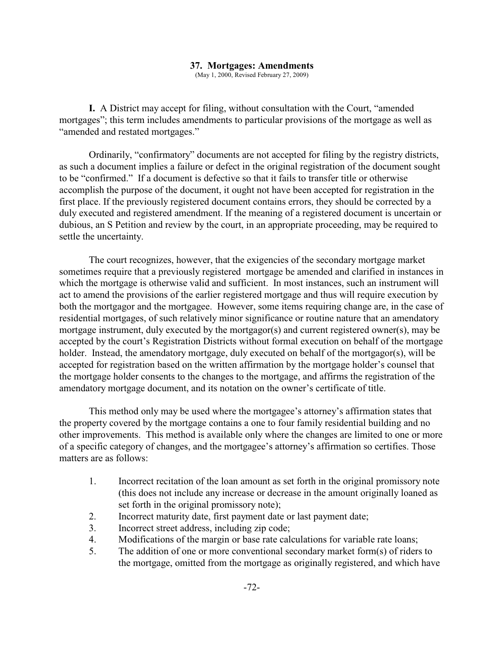### **37. Mortgages: Amendments**

(May 1, 2000, Revised February 27, 2009)

**I.** A District may accept for filing, without consultation with the Court, "amended mortgages"; this term includes amendments to particular provisions of the mortgage as well as "amended and restated mortgages."

Ordinarily, "confirmatory" documents are not accepted for filing by the registry districts, as such a document implies a failure or defect in the original registration of the document sought to be "confirmed." If a document is defective so that it fails to transfer title or otherwise accomplish the purpose of the document, it ought not have been accepted for registration in the first place. If the previously registered document contains errors, they should be corrected by a duly executed and registered amendment. If the meaning of a registered document is uncertain or dubious, an S Petition and review by the court, in an appropriate proceeding, may be required to settle the uncertainty.

The court recognizes, however, that the exigencies of the secondary mortgage market sometimes require that a previously registered mortgage be amended and clarified in instances in which the mortgage is otherwise valid and sufficient. In most instances, such an instrument will act to amend the provisions of the earlier registered mortgage and thus will require execution by both the mortgagor and the mortgagee. However, some items requiring change are, in the case of residential mortgages, of such relatively minor significance or routine nature that an amendatory mortgage instrument, duly executed by the mortgagor(s) and current registered owner(s), may be accepted by the court's Registration Districts without formal execution on behalf of the mortgage holder. Instead, the amendatory mortgage, duly executed on behalf of the mortgagor(s), will be accepted for registration based on the written affirmation by the mortgage holder's counsel that the mortgage holder consents to the changes to the mortgage, and affirms the registration of the amendatory mortgage document, and its notation on the owner's certificate of title.

This method only may be used where the mortgagee's attorney's affirmation states that the property covered by the mortgage contains a one to four family residential building and no other improvements. This method is available only where the changes are limited to one or more of a specific category of changes, and the mortgagee's attorney's affirmation so certifies. Those matters are as follows:

- 1. Incorrect recitation of the loan amount as set forth in the original promissory note (this does not include any increase or decrease in the amount originally loaned as set forth in the original promissory note);
- 2. Incorrect maturity date, first payment date or last payment date;
- 3. Incorrect street address, including zip code;
- 4. Modifications of the margin or base rate calculations for variable rate loans;
- 5. The addition of one or more conventional secondary market form(s) of riders to the mortgage, omitted from the mortgage as originally registered, and which have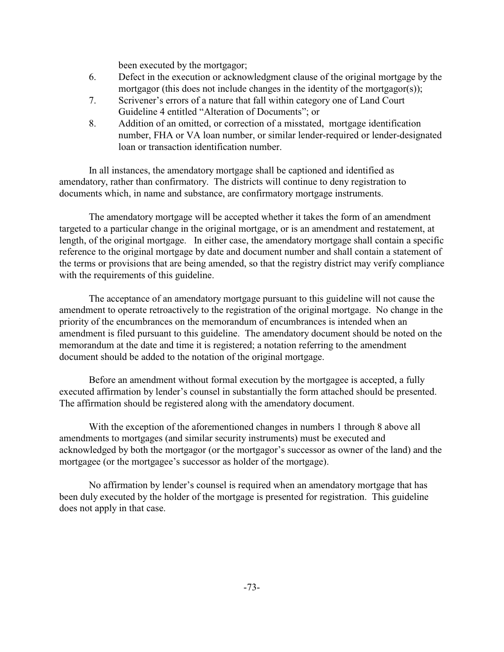been executed by the mortgagor;

- 6. Defect in the execution or acknowledgment clause of the original mortgage by the mortgagor (this does not include changes in the identity of the mortgagor(s));
- 7. Scrivener's errors of a nature that fall within category one of Land Court Guideline 4 entitled "Alteration of Documents"; or
- 8. Addition of an omitted, or correction of a misstated, mortgage identification number, FHA or VA loan number, or similar lender-required or lender-designated loan or transaction identification number.

In all instances, the amendatory mortgage shall be captioned and identified as amendatory, rather than confirmatory. The districts will continue to deny registration to documents which, in name and substance, are confirmatory mortgage instruments.

The amendatory mortgage will be accepted whether it takes the form of an amendment targeted to a particular change in the original mortgage, or is an amendment and restatement, at length, of the original mortgage. In either case, the amendatory mortgage shall contain a specific reference to the original mortgage by date and document number and shall contain a statement of the terms or provisions that are being amended, so that the registry district may verify compliance with the requirements of this guideline.

The acceptance of an amendatory mortgage pursuant to this guideline will not cause the amendment to operate retroactively to the registration of the original mortgage. No change in the priority of the encumbrances on the memorandum of encumbrances is intended when an amendment is filed pursuant to this guideline. The amendatory document should be noted on the memorandum at the date and time it is registered; a notation referring to the amendment document should be added to the notation of the original mortgage.

Before an amendment without formal execution by the mortgagee is accepted, a fully executed affirmation by lender's counsel in substantially the form attached should be presented. The affirmation should be registered along with the amendatory document.

With the exception of the aforementioned changes in numbers 1 through 8 above all amendments to mortgages (and similar security instruments) must be executed and acknowledged by both the mortgagor (or the mortgagor's successor as owner of the land) and the mortgagee (or the mortgagee's successor as holder of the mortgage).

No affirmation by lender's counsel is required when an amendatory mortgage that has been duly executed by the holder of the mortgage is presented for registration. This guideline does not apply in that case.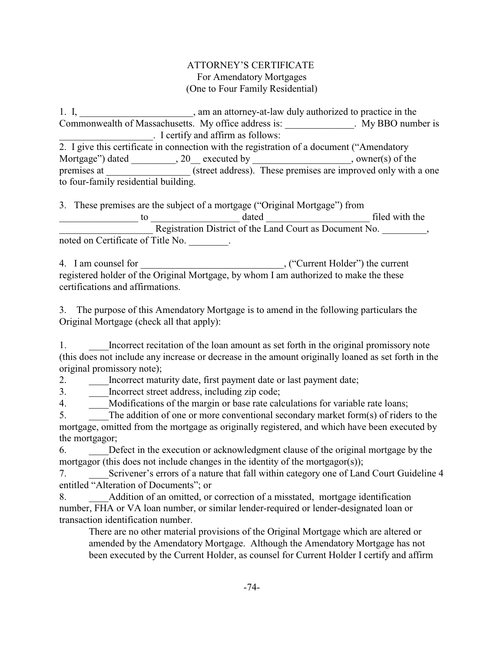# ATTORNEY'S CERTIFICATE For Amendatory Mortgages (One to Four Family Residential)

1. I, \_\_\_\_\_\_\_\_\_\_\_\_\_\_\_\_\_\_\_\_\_, am an attorney-at-law duly authorized to practice in the Commonwealth of Massachusetts. My office address is: \_\_\_\_\_\_\_\_\_\_\_\_\_\_. My BBO number is \_\_\_\_\_\_\_\_\_\_\_\_\_\_\_\_\_\_\_. I certify and affirm as follows: 2. I give this certificate in connection with the registration of a document ("Amendatory Mortgage") dated \_\_\_\_\_\_\_\_\_, 20 \_\_ executed by \_\_\_\_\_\_\_\_\_\_\_\_\_\_\_\_\_\_\_\_, owner(s) of the premises at \_\_\_\_\_\_\_\_\_\_\_\_\_\_\_\_\_\_ (street address). These premises are improved only with a one to four-family residential building.

3. These premises are the subject of a mortgage ("Original Mortgage") from \_\_\_\_\_\_\_\_\_\_\_\_\_\_\_\_ to \_\_\_\_\_\_\_\_\_\_\_\_\_\_\_\_\_\_ dated \_\_\_\_\_\_\_\_\_\_\_\_\_\_\_\_\_\_\_\_\_ filed with the Registration District of the Land Court as Document No.  $\overline{\phantom{a}}$ , noted on Certificate of Title No. \_\_\_\_\_\_\_\_.

4. I am counsel for \_\_\_\_\_\_\_\_\_\_\_\_\_\_\_\_\_\_\_\_\_\_\_\_, ("Current Holder") the current registered holder of the Original Mortgage, by whom I am authorized to make the these certifications and affirmations.

3. The purpose of this Amendatory Mortgage is to amend in the following particulars the Original Mortgage (check all that apply):

1. Incorrect recitation of the loan amount as set forth in the original promissory note (this does not include any increase or decrease in the amount originally loaned as set forth in the original promissory note);

2. Incorrect maturity date, first payment date or last payment date;

3. **Incorrect street address, including zip code;** 

4. Modifications of the margin or base rate calculations for variable rate loans;

5. The addition of one or more conventional secondary market form(s) of riders to the mortgage, omitted from the mortgage as originally registered, and which have been executed by the mortgagor;

6. \_\_\_\_Defect in the execution or acknowledgment clause of the original mortgage by the mortgagor (this does not include changes in the identity of the mortgagor(s));

7. Scrivener's errors of a nature that fall within category one of Land Court Guideline 4 entitled "Alteration of Documents"; or

8. Addition of an omitted, or correction of a misstated, mortgage identification number, FHA or VA loan number, or similar lender-required or lender-designated loan or transaction identification number.

There are no other material provisions of the Original Mortgage which are altered or amended by the Amendatory Mortgage. Although the Amendatory Mortgage has not been executed by the Current Holder, as counsel for Current Holder I certify and affirm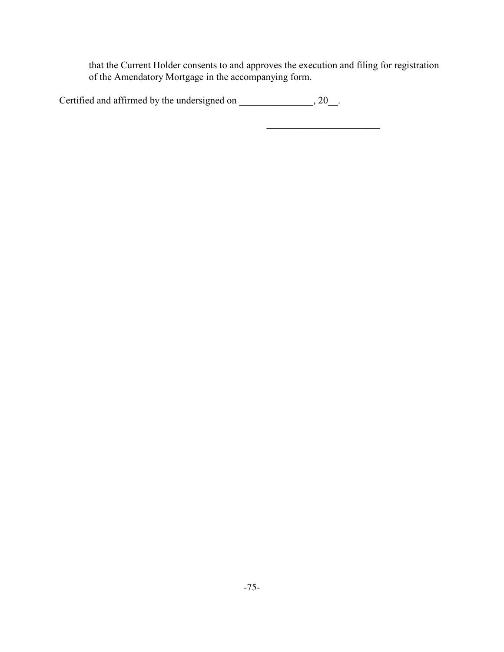that the Current Holder consents to and approves the execution and filing for registration of the Amendatory Mortgage in the accompanying form.

\_\_\_\_\_\_\_\_\_\_\_\_\_\_\_\_\_\_\_\_\_\_\_

| Certified and affirmed by the undersigned on |  |
|----------------------------------------------|--|
|----------------------------------------------|--|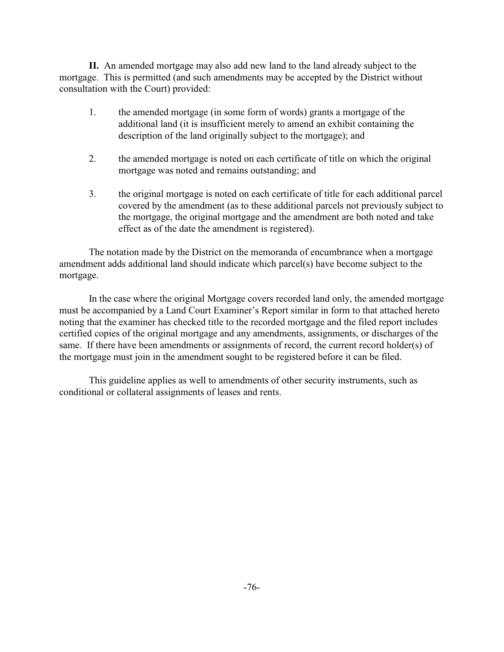**II.** An amended mortgage may also add new land to the land already subject to the mortgage. This is permitted (and such amendments may be accepted by the District without consultation with the Court) provided:

- 1. the amended mortgage (in some form of words) grants a mortgage of the additional land (it is insufficient merely to amend an exhibit containing the description of the land originally subject to the mortgage); and
- 2. the amended mortgage is noted on each certificate of title on which the original mortgage was noted and remains outstanding; and
- 3. the original mortgage is noted on each certificate of title for each additional parcel covered by the amendment (as to these additional parcels not previously subject to the mortgage, the original mortgage and the amendment are both noted and take effect as of the date the amendment is registered).

The notation made by the District on the memoranda of encumbrance when a mortgage amendment adds additional land should indicate which parcel(s) have become subject to the mortgage.

In the case where the original Mortgage covers recorded land only, the amended mortgage must be accompanied by a Land Court Examiner's Report similar in form to that attached hereto noting that the examiner has checked title to the recorded mortgage and the filed report includes certified copies of the original mortgage and any amendments, assignments, or discharges of the same. If there have been amendments or assignments of record, the current record holder(s) of the mortgage must join in the amendment sought to be registered before it can be filed.

This guideline applies as well to amendments of other security instruments, such as conditional or collateral assignments of leases and rents.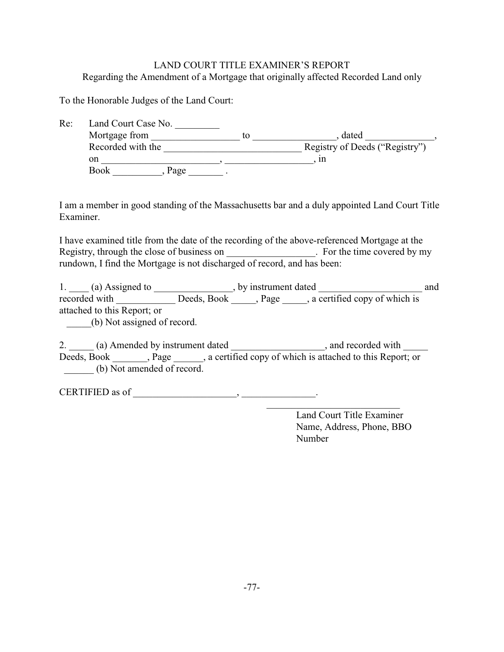# LAND COURT TITLE EXAMINER'S REPORT Regarding the Amendment of a Mortgage that originally affected Recorded Land only

To the Honorable Judges of the Land Court:

| Re: | Land Court Case No. |    |                                |  |
|-----|---------------------|----|--------------------------------|--|
|     | Mortgage from       | tο | dated                          |  |
|     | Recorded with the   |    | Registry of Deeds ("Registry") |  |
|     | on                  |    | ın                             |  |
|     | <b>Book</b><br>Page |    |                                |  |

I am a member in good standing of the Massachusetts bar and a duly appointed Land Court Title Examiner.

I have examined title from the date of the recording of the above-referenced Mortgage at the Registry, through the close of business on \_\_\_\_\_\_\_\_\_\_\_\_\_\_\_. For the time covered by my rundown, I find the Mortgage is not discharged of record, and has been:

1. \_\_\_\_ (a) Assigned to \_\_\_\_\_\_\_\_\_\_\_\_\_\_, by instrument dated \_\_\_\_\_\_\_\_\_\_\_\_\_\_\_\_\_\_\_\_ and recorded with \_\_\_\_\_\_\_\_\_\_\_\_\_\_\_ Deeds, Book \_\_\_\_\_, Page \_\_\_\_\_, a certified copy of which is attached to this Report; or \_\_\_\_\_(b) Not assigned of record.

2. (a) Amended by instrument dated , and recorded with Deeds, Book , Page , a certified copy of which is attached to this Report; or (b) Not amended of record.

CERTIFIED as of \_\_\_\_\_\_\_\_\_\_\_\_\_\_\_\_\_\_\_\_\_, \_\_\_\_\_\_\_\_\_\_\_\_\_\_\_.

 Land Court Title Examiner Name, Address, Phone, BBO Number

\_\_\_\_\_\_\_\_\_\_\_\_\_\_\_\_\_\_\_\_\_\_\_\_\_\_\_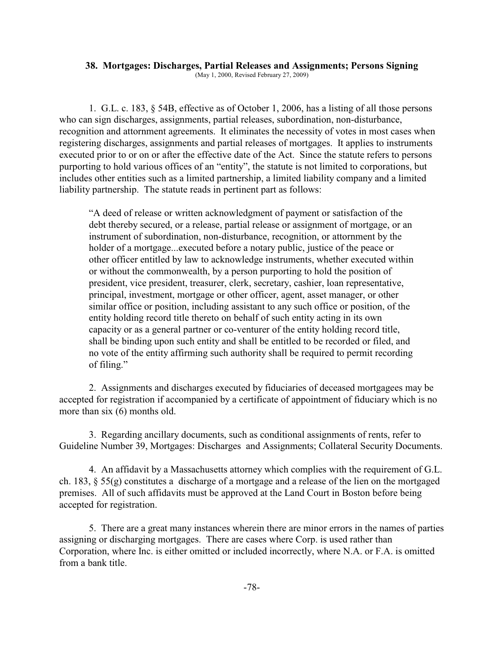# **38. Mortgages: Discharges, Partial Releases and Assignments; Persons Signing**

(May 1, 2000, Revised February 27, 2009)

1. G.L. c. 183, § 54B, effective as of October 1, 2006, has a listing of all those persons who can sign discharges, assignments, partial releases, subordination, non-disturbance, recognition and attornment agreements. It eliminates the necessity of votes in most cases when registering discharges, assignments and partial releases of mortgages. It applies to instruments executed prior to or on or after the effective date of the Act. Since the statute refers to persons purporting to hold various offices of an "entity", the statute is not limited to corporations, but includes other entities such as a limited partnership, a limited liability company and a limited liability partnership. The statute reads in pertinent part as follows:

"A deed of release or written acknowledgment of payment or satisfaction of the debt thereby secured, or a release, partial release or assignment of mortgage, or an instrument of subordination, non-disturbance, recognition, or attornment by the holder of a mortgage...executed before a notary public, justice of the peace or other officer entitled by law to acknowledge instruments, whether executed within or without the commonwealth, by a person purporting to hold the position of president, vice president, treasurer, clerk, secretary, cashier, loan representative, principal, investment, mortgage or other officer, agent, asset manager, or other similar office or position, including assistant to any such office or position, of the entity holding record title thereto on behalf of such entity acting in its own capacity or as a general partner or co-venturer of the entity holding record title, shall be binding upon such entity and shall be entitled to be recorded or filed, and no vote of the entity affirming such authority shall be required to permit recording of filing."

2. Assignments and discharges executed by fiduciaries of deceased mortgagees may be accepted for registration if accompanied by a certificate of appointment of fiduciary which is no more than six (6) months old.

3. Regarding ancillary documents, such as conditional assignments of rents, refer to Guideline Number 39, Mortgages: Discharges and Assignments; Collateral Security Documents.

4. An affidavit by a Massachusetts attorney which complies with the requirement of G.L. ch. 183, § 55(g) constitutes a discharge of a mortgage and a release of the lien on the mortgaged premises.All of such affidavits must be approved at the Land Court in Boston before being accepted for registration.

5. There are a great many instances wherein there are minor errors in the names of parties assigning or discharging mortgages. There are cases where Corp. is used rather than Corporation, where Inc. is either omitted or included incorrectly, where N.A. or F.A. is omitted from a bank title.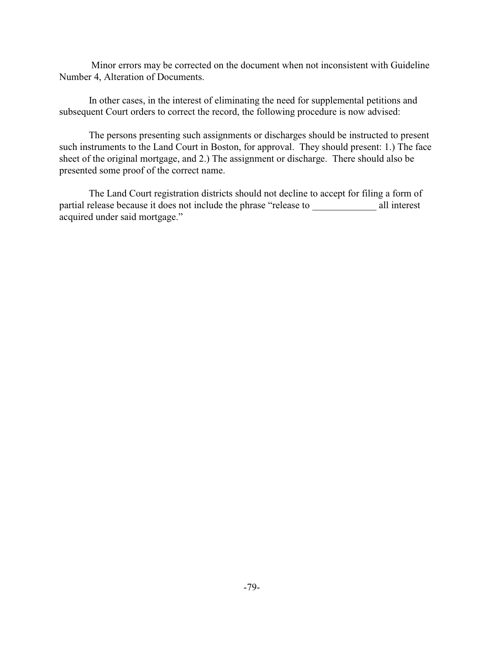Minor errors may be corrected on the document when not inconsistent with Guideline Number 4, Alteration of Documents.

In other cases, in the interest of eliminating the need for supplemental petitions and subsequent Court orders to correct the record, the following procedure is now advised:

The persons presenting such assignments or discharges should be instructed to present such instruments to the Land Court in Boston, for approval. They should present: 1.) The face sheet of the original mortgage, and 2.) The assignment or discharge. There should also be presented some proof of the correct name.

The Land Court registration districts should not decline to accept for filing a form of partial release because it does not include the phrase "release to \_\_\_\_\_\_\_\_\_\_\_\_\_ all interest acquired under said mortgage."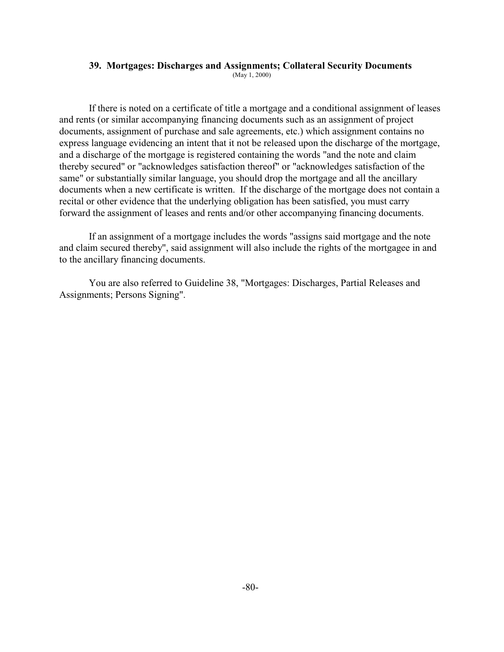### **39. Mortgages: Discharges and Assignments; Collateral Security Documents**

(May 1, 2000)

If there is noted on a certificate of title a mortgage and a conditional assignment of leases and rents (or similar accompanying financing documents such as an assignment of project documents, assignment of purchase and sale agreements, etc.) which assignment contains no express language evidencing an intent that it not be released upon the discharge of the mortgage, and a discharge of the mortgage is registered containing the words "and the note and claim thereby secured" or "acknowledges satisfaction thereof" or "acknowledges satisfaction of the same" or substantially similar language, you should drop the mortgage and all the ancillary documents when a new certificate is written. If the discharge of the mortgage does not contain a recital or other evidence that the underlying obligation has been satisfied, you must carry forward the assignment of leases and rents and/or other accompanying financing documents.

If an assignment of a mortgage includes the words "assigns said mortgage and the note and claim secured thereby", said assignment will also include the rights of the mortgagee in and to the ancillary financing documents.

You are also referred to Guideline 38, "Mortgages: Discharges, Partial Releases and Assignments; Persons Signing".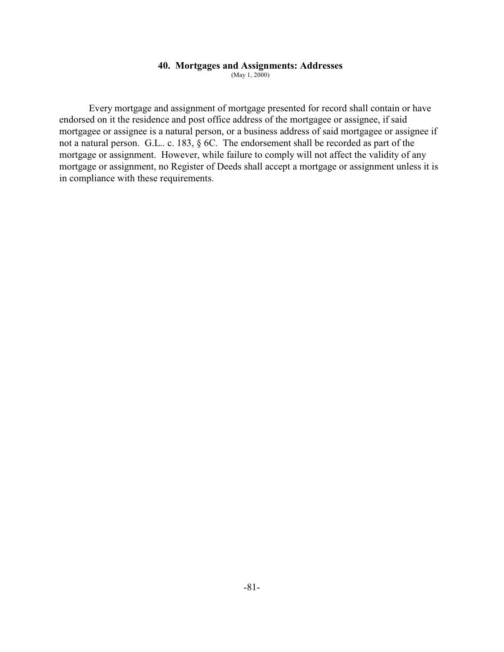## **40. Mortgages and Assignments: Addresses**

(May 1, 2000)

Every mortgage and assignment of mortgage presented for record shall contain or have endorsed on it the residence and post office address of the mortgagee or assignee, if said mortgagee or assignee is a natural person, or a business address of said mortgagee or assignee if not a natural person. G.L.. c. 183, § 6C. The endorsement shall be recorded as part of the mortgage or assignment. However, while failure to comply will not affect the validity of any mortgage or assignment, no Register of Deeds shall accept a mortgage or assignment unless it is in compliance with these requirements.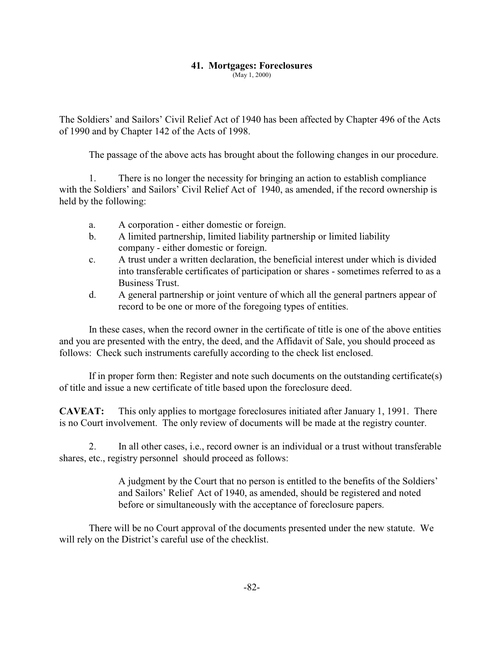# **41. Mortgages: Foreclosures**

(May 1, 2000)

The Soldiers' and Sailors' Civil Relief Act of 1940 has been affected by Chapter 496 of the Acts of 1990 and by Chapter 142 of the Acts of 1998.

The passage of the above acts has brought about the following changes in our procedure.

1. There is no longer the necessity for bringing an action to establish compliance with the Soldiers' and Sailors' Civil Relief Act of 1940, as amended, if the record ownership is held by the following:

- a. A corporation either domestic or foreign.
- b. A limited partnership, limited liability partnership or limited liability company - either domestic or foreign.
- c. A trust under a written declaration, the beneficial interest under which is divided into transferable certificates of participation or shares - sometimes referred to as a Business Trust.
- d. A general partnership or joint venture of which all the general partners appear of record to be one or more of the foregoing types of entities.

In these cases, when the record owner in the certificate of title is one of the above entities and you are presented with the entry, the deed, and the Affidavit of Sale, you should proceed as follows: Check such instruments carefully according to the check list enclosed.

If in proper form then: Register and note such documents on the outstanding certificate(s) of title and issue a new certificate of title based upon the foreclosure deed.

**CAVEAT:** This only applies to mortgage foreclosures initiated after January 1, 1991. There is no Court involvement. The only review of documents will be made at the registry counter.

2. In all other cases, i.e., record owner is an individual or a trust without transferable shares, etc., registry personnel should proceed as follows:

> A judgment by the Court that no person is entitled to the benefits of the Soldiers' and Sailors' Relief Act of 1940, as amended, should be registered and noted before or simultaneously with the acceptance of foreclosure papers.

There will be no Court approval of the documents presented under the new statute. We will rely on the District's careful use of the checklist.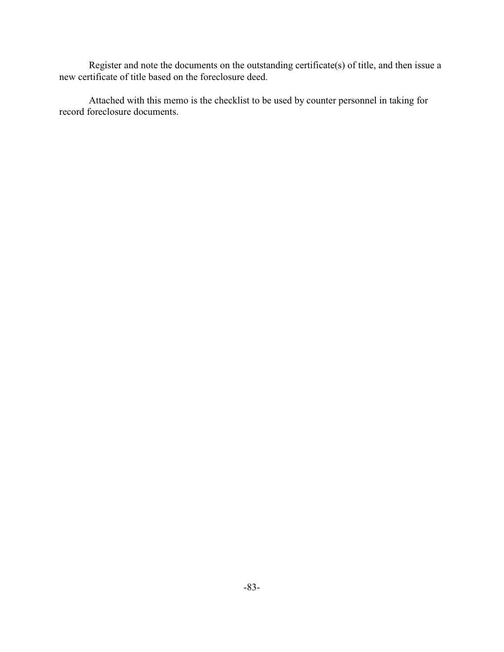Register and note the documents on the outstanding certificate(s) of title, and then issue a new certificate of title based on the foreclosure deed.

Attached with this memo is the checklist to be used by counter personnel in taking for record foreclosure documents.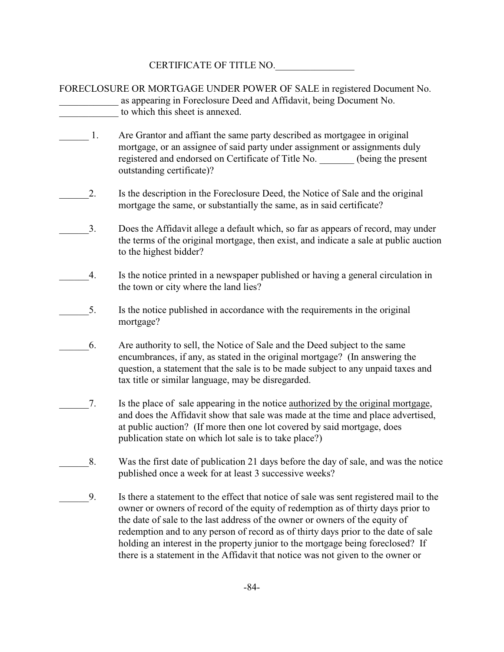CERTIFICATE OF TITLE NO.

|    | FORECLOSURE OR MORTGAGE UNDER POWER OF SALE in registered Document No.<br>as appearing in Foreclosure Deed and Affidavit, being Document No.<br>to which this sheet is annexed.                                                                                                                                                                                                                                                     |
|----|-------------------------------------------------------------------------------------------------------------------------------------------------------------------------------------------------------------------------------------------------------------------------------------------------------------------------------------------------------------------------------------------------------------------------------------|
| 1. | Are Grantor and affiant the same party described as mortgagee in original<br>mortgage, or an assignee of said party under assignment or assignments duly<br>registered and endorsed on Certificate of Title No. ______ (being the present<br>outstanding certificate)?                                                                                                                                                              |
| 2. | Is the description in the Foreclosure Deed, the Notice of Sale and the original<br>mortgage the same, or substantially the same, as in said certificate?                                                                                                                                                                                                                                                                            |
| 3. | Does the Affidavit allege a default which, so far as appears of record, may under<br>the terms of the original mortgage, then exist, and indicate a sale at public auction<br>to the highest bidder?                                                                                                                                                                                                                                |
| 4. | Is the notice printed in a newspaper published or having a general circulation in<br>the town or city where the land lies?                                                                                                                                                                                                                                                                                                          |
| 5. | Is the notice published in accordance with the requirements in the original<br>mortgage?                                                                                                                                                                                                                                                                                                                                            |
| 6. | Are authority to sell, the Notice of Sale and the Deed subject to the same<br>encumbrances, if any, as stated in the original mortgage? (In answering the<br>question, a statement that the sale is to be made subject to any unpaid taxes and<br>tax title or similar language, may be disregarded.                                                                                                                                |
| 7. | Is the place of sale appearing in the notice authorized by the original mortgage,<br>and does the Affidavit show that sale was made at the time and place advertised,<br>at public auction? (If more then one lot covered by said mortgage, does<br>publication state on which lot sale is to take place?)                                                                                                                          |
| 8. | Was the first date of publication 21 days before the day of sale, and was the notice<br>published once a week for at least 3 successive weeks?                                                                                                                                                                                                                                                                                      |
| 9. | Is there a statement to the effect that notice of sale was sent registered mail to the<br>owner or owners of record of the equity of redemption as of thirty days prior to<br>the date of sale to the last address of the owner or owners of the equity of<br>redemption and to any person of record as of thirty days prior to the date of sale<br>holding an interest in the property junior to the mortgage being foreclosed? If |

there is a statement in the Affidavit that notice was not given to the owner or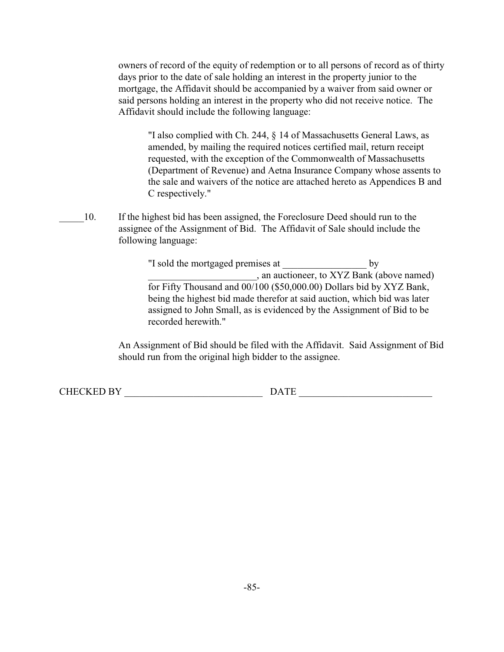owners of record of the equity of redemption or to all persons of record as of thirty days prior to the date of sale holding an interest in the property junior to the mortgage, the Affidavit should be accompanied by a waiver from said owner or said persons holding an interest in the property who did not receive notice. The Affidavit should include the following language:

"I also complied with Ch. 244, § 14 of Massachusetts General Laws, as amended, by mailing the required notices certified mail, return receipt requested, with the exception of the Commonwealth of Massachusetts (Department of Revenue) and Aetna Insurance Company whose assents to the sale and waivers of the notice are attached hereto as Appendices B and C respectively."

10. If the highest bid has been assigned, the Foreclosure Deed should run to the assignee of the Assignment of Bid. The Affidavit of Sale should include the following language:

> "I sold the mortgaged premises at \_\_\_\_\_\_\_\_\_\_\_\_\_\_\_\_\_ by \_\_\_\_\_\_\_\_\_\_\_\_\_\_\_\_\_\_\_\_\_\_, an auctioneer, to XYZ Bank (above named) for Fifty Thousand and 00/100 (\$50,000.00) Dollars bid by XYZ Bank, being the highest bid made therefor at said auction, which bid was later assigned to John Small, as is evidenced by the Assignment of Bid to be recorded herewith."

An Assignment of Bid should be filed with the Affidavit. Said Assignment of Bid should run from the original high bidder to the assignee.

CHECKED BY \_\_\_\_\_\_\_\_\_\_\_\_\_\_\_\_\_\_\_\_\_\_\_\_\_\_\_\_ DATE \_\_\_\_\_\_\_\_\_\_\_\_\_\_\_\_\_\_\_\_\_\_\_\_\_\_\_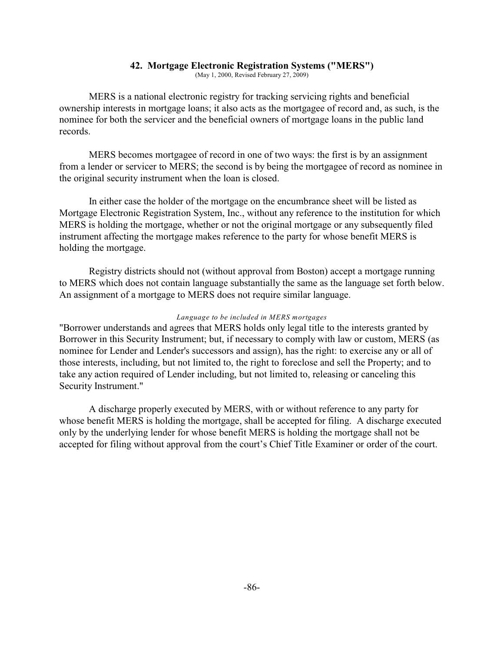## **42. Mortgage Electronic Registration Systems ("MERS")**

(May 1, 2000, Revised February 27, 2009)

MERS is a national electronic registry for tracking servicing rights and beneficial ownership interests in mortgage loans; it also acts as the mortgagee of record and, as such, is the nominee for both the servicer and the beneficial owners of mortgage loans in the public land records.

MERS becomes mortgagee of record in one of two ways: the first is by an assignment from a lender or servicer to MERS; the second is by being the mortgagee of record as nominee in the original security instrument when the loan is closed.

In either case the holder of the mortgage on the encumbrance sheet will be listed as Mortgage Electronic Registration System, Inc., without any reference to the institution for which MERS is holding the mortgage, whether or not the original mortgage or any subsequently filed instrument affecting the mortgage makes reference to the party for whose benefit MERS is holding the mortgage.

Registry districts should not (without approval from Boston) accept a mortgage running to MERS which does not contain language substantially the same as the language set forth below. An assignment of a mortgage to MERS does not require similar language.

### *Language to be included in MERS mortgages*

"Borrower understands and agrees that MERS holds only legal title to the interests granted by Borrower in this Security Instrument; but, if necessary to comply with law or custom, MERS (as nominee for Lender and Lender's successors and assign), has the right: to exercise any or all of those interests, including, but not limited to, the right to foreclose and sell the Property; and to take any action required of Lender including, but not limited to, releasing or canceling this Security Instrument."

A discharge properly executed by MERS, with or without reference to any party for whose benefit MERS is holding the mortgage, shall be accepted for filing. A discharge executed only by the underlying lender for whose benefit MERS is holding the mortgage shall not be accepted for filing without approval from the court's Chief Title Examiner or order of the court.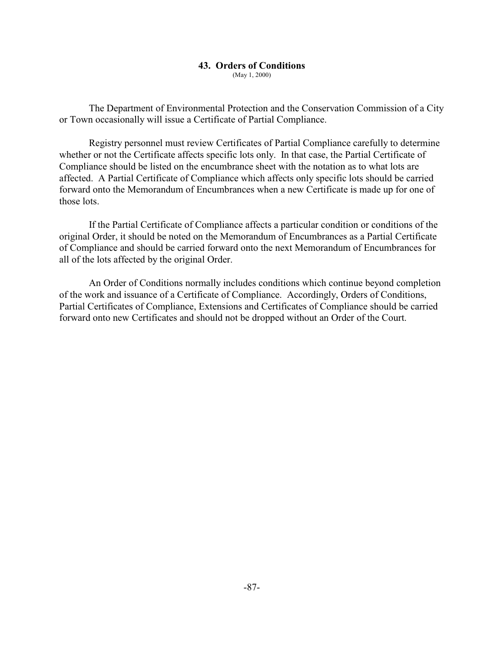## **43. Orders of Conditions**

(May 1, 2000)

The Department of Environmental Protection and the Conservation Commission of a City or Town occasionally will issue a Certificate of Partial Compliance.

Registry personnel must review Certificates of Partial Compliance carefully to determine whether or not the Certificate affects specific lots only. In that case, the Partial Certificate of Compliance should be listed on the encumbrance sheet with the notation as to what lots are affected. A Partial Certificate of Compliance which affects only specific lots should be carried forward onto the Memorandum of Encumbrances when a new Certificate is made up for one of those lots.

If the Partial Certificate of Compliance affects a particular condition or conditions of the original Order, it should be noted on the Memorandum of Encumbrances as a Partial Certificate of Compliance and should be carried forward onto the next Memorandum of Encumbrances for all of the lots affected by the original Order.

An Order of Conditions normally includes conditions which continue beyond completion of the work and issuance of a Certificate of Compliance. Accordingly, Orders of Conditions, Partial Certificates of Compliance, Extensions and Certificates of Compliance should be carried forward onto new Certificates and should not be dropped without an Order of the Court.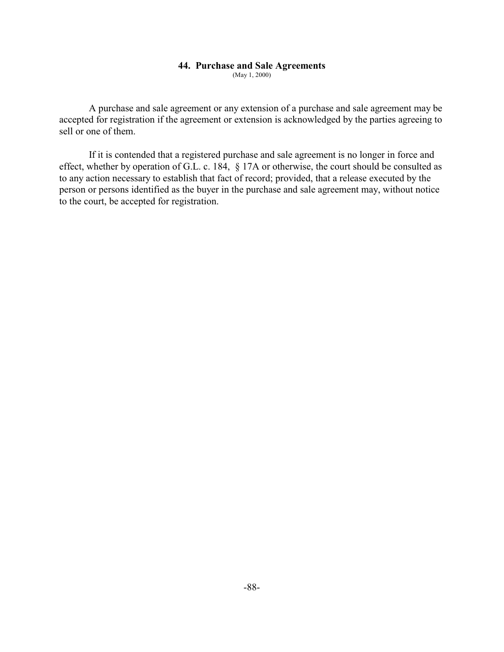## **44. Purchase and Sale Agreements**

(May 1, 2000)

A purchase and sale agreement or any extension of a purchase and sale agreement may be accepted for registration if the agreement or extension is acknowledged by the parties agreeing to sell or one of them.

If it is contended that a registered purchase and sale agreement is no longer in force and effect, whether by operation of G.L. c. 184, § 17A or otherwise, the court should be consulted as to any action necessary to establish that fact of record; provided, that a release executed by the person or persons identified as the buyer in the purchase and sale agreement may, without notice to the court, be accepted for registration.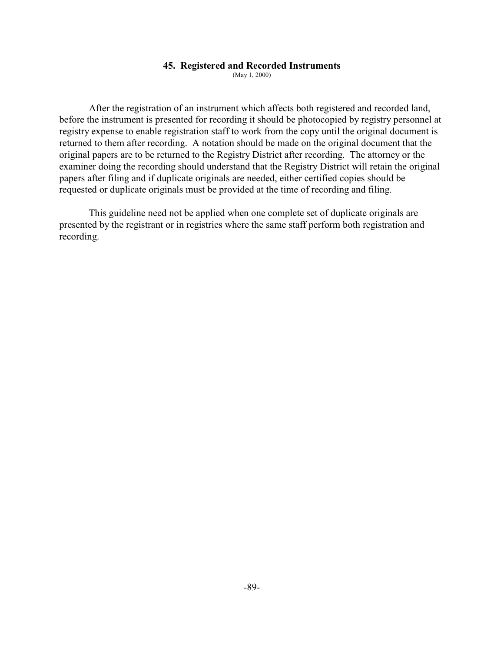### **45. Registered and Recorded Instruments**

(May 1, 2000)

After the registration of an instrument which affects both registered and recorded land, before the instrument is presented for recording it should be photocopied by registry personnel at registry expense to enable registration staff to work from the copy until the original document is returned to them after recording. A notation should be made on the original document that the original papers are to be returned to the Registry District after recording. The attorney or the examiner doing the recording should understand that the Registry District will retain the original papers after filing and if duplicate originals are needed, either certified copies should be requested or duplicate originals must be provided at the time of recording and filing.

This guideline need not be applied when one complete set of duplicate originals are presented by the registrant or in registries where the same staff perform both registration and recording.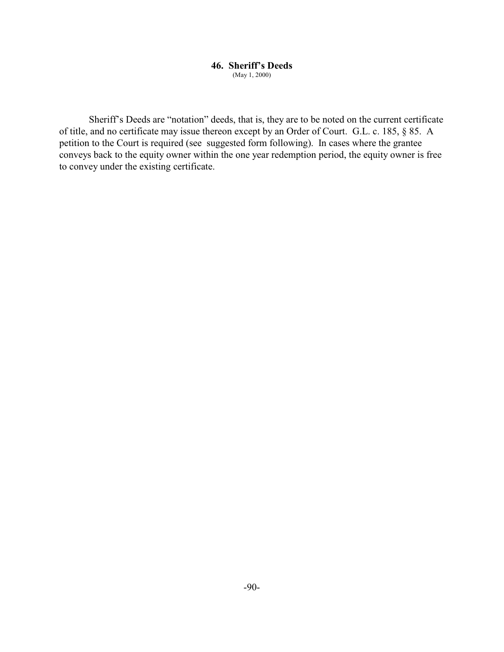### **46. Sheriff's Deeds** (May 1, 2000)

Sheriff's Deeds are "notation" deeds, that is, they are to be noted on the current certificate of title, and no certificate may issue thereon except by an Order of Court. G.L. c. 185, § 85. A petition to the Court is required (see suggested form following). In cases where the grantee conveys back to the equity owner within the one year redemption period, the equity owner is free to convey under the existing certificate.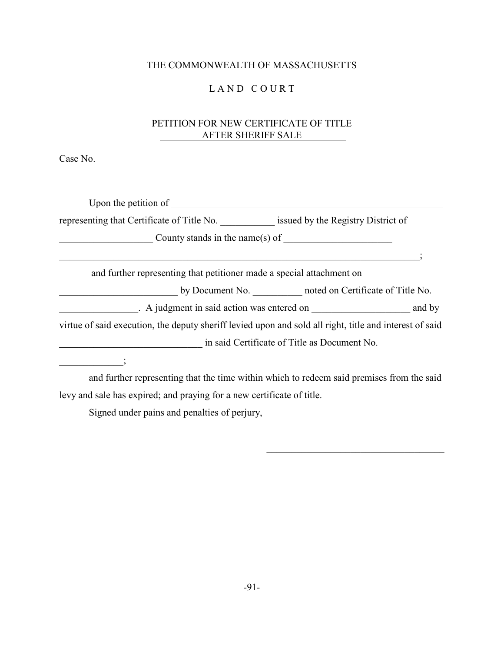# THE COMMONWEALTH OF MASSACHUSETTS

# LAND COURT

# PETITION FOR NEW CERTIFICATE OF TITLE AFTER SHERIFF SALE

Case No.

| Upon the petition of                                                                                    |  |
|---------------------------------------------------------------------------------------------------------|--|
| representing that Certificate of Title No. issued by the Registry District of                           |  |
| County stands in the name(s) of                                                                         |  |
|                                                                                                         |  |
| and further representing that petitioner made a special attachment on                                   |  |
| by Document No. noted on Certificate of Title No.                                                       |  |
|                                                                                                         |  |
| virtue of said execution, the deputy sheriff levied upon and sold all right, title and interest of said |  |
| in said Certificate of Title as Document No.                                                            |  |
|                                                                                                         |  |

and further representing that the time within which to redeem said premises from the said levy and sale has expired; and praying for a new certificate of title.

\_\_\_\_\_\_\_\_\_\_\_\_\_\_\_\_\_\_\_\_\_\_\_\_\_\_\_\_\_\_\_\_\_\_\_\_

Signed under pains and penalties of perjury,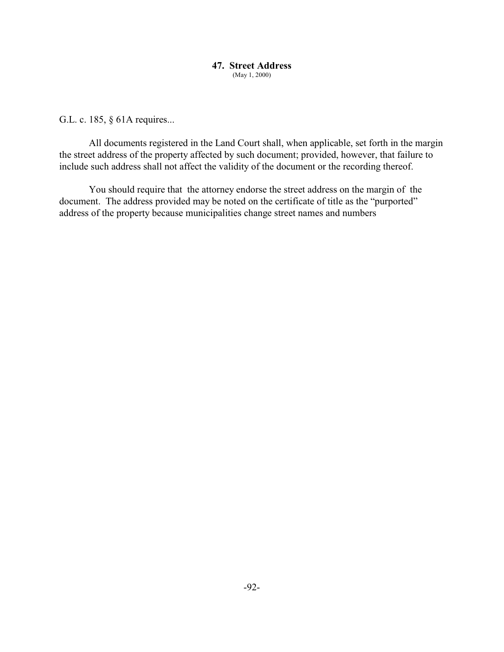### **47. Street Address** (May 1, 2000)

G.L. c. 185, § 61A requires...

All documents registered in the Land Court shall, when applicable, set forth in the margin the street address of the property affected by such document; provided, however, that failure to include such address shall not affect the validity of the document or the recording thereof.

You should require that the attorney endorse the street address on the margin of the document. The address provided may be noted on the certificate of title as the "purported" address of the property because municipalities change street names and numbers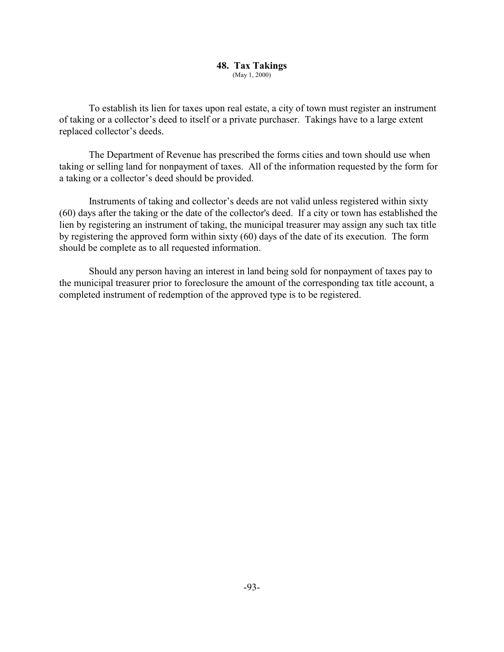### **48. Tax Takings** (May 1, 2000)

To establish its lien for taxes upon real estate, a city of town must register an instrument of taking or a collector's deed to itself or a private purchaser. Takings have to a large extent replaced collector's deeds.

The Department of Revenue has prescribed the forms cities and town should use when taking or selling land for nonpayment of taxes. All of the information requested by the form for a taking or a collector's deed should be provided.

Instruments of taking and collector's deeds are not valid unless registered within sixty (60) days after the taking or the date of the collector's deed. If a city or town has established the lien by registering an instrument of taking, the municipal treasurer may assign any such tax title by registering the approved form within sixty (60) days of the date of its execution. The form should be complete as to all requested information.

Should any person having an interest in land being sold for nonpayment of taxes pay to the municipal treasurer prior to foreclosure the amount of the corresponding tax title account, a completed instrument of redemption of the approved type is to be registered.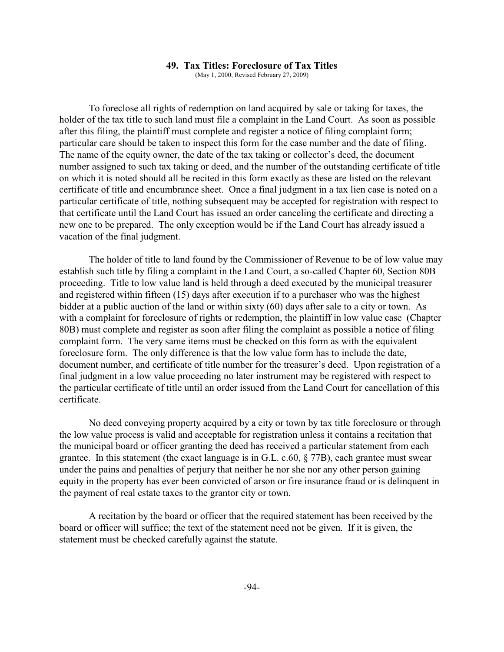### **49. Tax Titles: Foreclosure of Tax Titles**

(May 1, 2000, Revised February 27, 2009)

To foreclose all rights of redemption on land acquired by sale or taking for taxes, the holder of the tax title to such land must file a complaint in the Land Court. As soon as possible after this filing, the plaintiff must complete and register a notice of filing complaint form; particular care should be taken to inspect this form for the case number and the date of filing. The name of the equity owner, the date of the tax taking or collector's deed, the document number assigned to such tax taking or deed, and the number of the outstanding certificate of title on which it is noted should all be recited in this form exactly as these are listed on the relevant certificate of title and encumbrance sheet. Once a final judgment in a tax lien case is noted on a particular certificate of title, nothing subsequent may be accepted for registration with respect to that certificate until the Land Court has issued an order canceling the certificate and directing a new one to be prepared. The only exception would be if the Land Court has already issued a vacation of the final judgment.

The holder of title to land found by the Commissioner of Revenue to be of low value may establish such title by filing a complaint in the Land Court, a so-called Chapter 60, Section 80B proceeding. Title to low value land is held through a deed executed by the municipal treasurer and registered within fifteen (15) days after execution if to a purchaser who was the highest bidder at a public auction of the land or within sixty (60) days after sale to a city or town. As with a complaint for foreclosure of rights or redemption, the plaintiff in low value case (Chapter 80B) must complete and register as soon after filing the complaint as possible a notice of filing complaint form. The very same items must be checked on this form as with the equivalent foreclosure form. The only difference is that the low value form has to include the date, document number, and certificate of title number for the treasurer's deed. Upon registration of a final judgment in a low value proceeding no later instrument may be registered with respect to the particular certificate of title until an order issued from the Land Court for cancellation of this certificate.

No deed conveying property acquired by a city or town by tax title foreclosure or through the low value process is valid and acceptable for registration unless it contains a recitation that the municipal board or officer granting the deed has received a particular statement from each grantee. In this statement (the exact language is in G.L. c.60, § 77B), each grantee must swear under the pains and penalties of perjury that neither he nor she nor any other person gaining equity in the property has ever been convicted of arson or fire insurance fraud or is delinquent in the payment of real estate taxes to the grantor city or town.

A recitation by the board or officer that the required statement has been received by the board or officer will suffice; the text of the statement need not be given. If it is given, the statement must be checked carefully against the statute.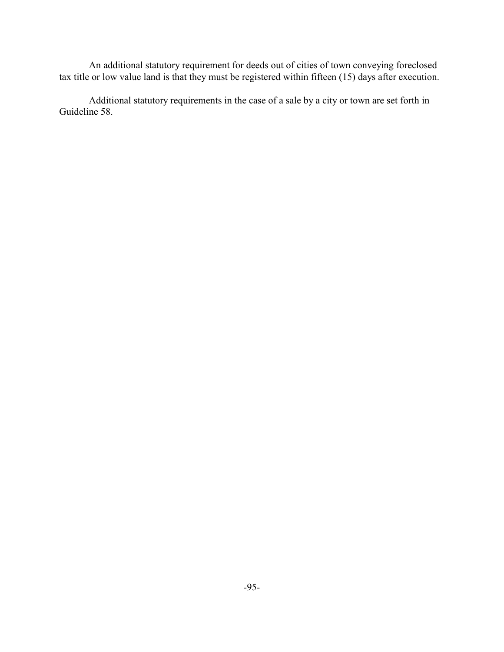An additional statutory requirement for deeds out of cities of town conveying foreclosed tax title or low value land is that they must be registered within fifteen (15) days after execution.

Additional statutory requirements in the case of a sale by a city or town are set forth in Guideline 58.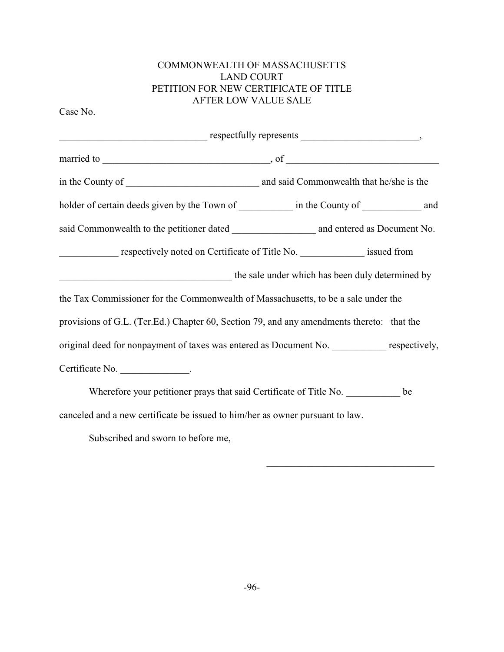# COMMONWEALTH OF MASSACHUSETTS LAND COURT PETITION FOR NEW CERTIFICATE OF TITLE AFTER LOW VALUE SALE

Case No.

| $respectfully represents \underline{\hspace{2cm}}$                                           |  |  |
|----------------------------------------------------------------------------------------------|--|--|
|                                                                                              |  |  |
|                                                                                              |  |  |
| holder of certain deeds given by the Town of _____________ in the County of ____________ and |  |  |
|                                                                                              |  |  |
| respectively noted on Certificate of Title No. _______________ issued from                   |  |  |
| the sale under which has been duly determined by                                             |  |  |
| the Tax Commissioner for the Commonwealth of Massachusetts, to be a sale under the           |  |  |
| provisions of G.L. (Ter.Ed.) Chapter 60, Section 79, and any amendments thereto: that the    |  |  |
| original deed for nonpayment of taxes was entered as Document No. respectively,              |  |  |
| Certificate No. ________________.                                                            |  |  |
| Wherefore your petitioner prays that said Certificate of Title No. be                        |  |  |
| canceled and a new certificate be issued to him/her as owner pursuant to law.                |  |  |

Subscribed and sworn to before me,

 $\mathcal{L}_\mathcal{L}$  , which is a set of the set of the set of the set of the set of the set of the set of the set of the set of the set of the set of the set of the set of the set of the set of the set of the set of the set of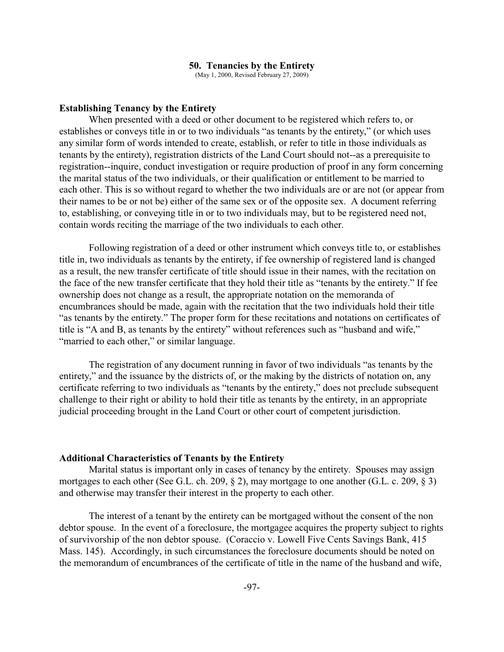#### **50. Tenancies by the Entirety**

(May 1, 2000, Revised February 27, 2009)

### **Establishing Tenancy by the Entirety**

When presented with a deed or other document to be registered which refers to, or establishes or conveys title in or to two individuals "as tenants by the entirety," (or which uses any similar form of words intended to create, establish, or refer to title in those individuals as tenants by the entirety), registration districts of the Land Court should not--as a prerequisite to registration--inquire, conduct investigation or require production of proof in any form concerning the marital status of the two individuals, or their qualification or entitlement to be married to each other. This is so without regard to whether the two individuals are or are not (or appear from their names to be or not be) either of the same sex or of the opposite sex. A document referring to, establishing, or conveying title in or to two individuals may, but to be registered need not, contain words reciting the marriage of the two individuals to each other.

Following registration of a deed or other instrument which conveys title to, or establishes title in, two individuals as tenants by the entirety, if fee ownership of registered land is changed as a result, the new transfer certificate of title should issue in their names, with the recitation on the face of the new transfer certificate that they hold their title as "tenants by the entirety." If fee ownership does not change as a result, the appropriate notation on the memoranda of encumbrances should be made, again with the recitation that the two individuals hold their title "as tenants by the entirety." The proper form for these recitations and notations on certificates of title is "A and B, as tenants by the entirety" without references such as "husband and wife," "married to each other," or similar language.

The registration of any document running in favor of two individuals "as tenants by the entirety," and the issuance by the districts of, or the making by the districts of notation on, any certificate referring to two individuals as "tenants by the entirety," does not preclude subsequent challenge to their right or ability to hold their title as tenants by the entirety, in an appropriate judicial proceeding brought in the Land Court or other court of competent jurisdiction.

### **Additional Characteristics of Tenants by the Entirety**

Marital status is important only in cases of tenancy by the entirety. Spouses may assign mortgages to each other (See G.L. ch. 209, § 2), may mortgage to one another (G.L. c. 209, § 3) and otherwise may transfer their interest in the property to each other.

The interest of a tenant by the entirety can be mortgaged without the consent of the non debtor spouse. In the event of a foreclosure, the mortgagee acquires the property subject to rights of survivorship of the non debtor spouse. (Coraccio v. Lowell Five Cents Savings Bank, 415 Mass. 145). Accordingly, in such circumstances the foreclosure documents should be noted on the memorandum of encumbrances of the certificate of title in the name of the husband and wife,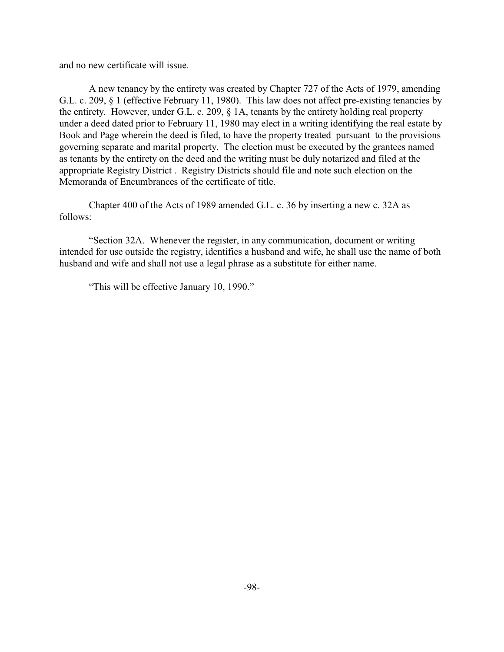and no new certificate will issue.

A new tenancy by the entirety was created by Chapter 727 of the Acts of 1979, amending G.L. c. 209, § 1 (effective February 11, 1980). This law does not affect pre-existing tenancies by the entirety. However, under G.L. c. 209,  $\S$  1A, tenants by the entirety holding real property under a deed dated prior to February 11, 1980 may elect in a writing identifying the real estate by Book and Page wherein the deed is filed, to have the property treated pursuant to the provisions governing separate and marital property. The election must be executed by the grantees named as tenants by the entirety on the deed and the writing must be duly notarized and filed at the appropriate Registry District . Registry Districts should file and note such election on the Memoranda of Encumbrances of the certificate of title.

Chapter 400 of the Acts of 1989 amended G.L. c. 36 by inserting a new c. 32A as follows:

"Section 32A. Whenever the register, in any communication, document or writing intended for use outside the registry, identifies a husband and wife, he shall use the name of both husband and wife and shall not use a legal phrase as a substitute for either name.

"This will be effective January 10, 1990."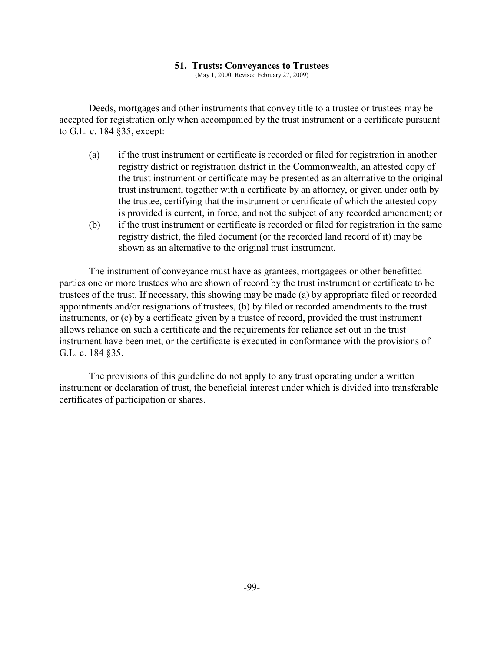### **51. Trusts: Conveyances to Trustees**

(May 1, 2000, Revised February 27, 2009)

Deeds, mortgages and other instruments that convey title to a trustee or trustees may be accepted for registration only when accompanied by the trust instrument or a certificate pursuant to G.L. c. 184 §35, except:

- (a) if the trust instrument or certificate is recorded or filed for registration in another registry district or registration district in the Commonwealth, an attested copy of the trust instrument or certificate may be presented as an alternative to the original trust instrument, together with a certificate by an attorney, or given under oath by the trustee, certifying that the instrument or certificate of which the attested copy is provided is current, in force, and not the subject of any recorded amendment; or
- (b) if the trust instrument or certificate is recorded or filed for registration in the same registry district, the filed document (or the recorded land record of it) may be shown as an alternative to the original trust instrument.

The instrument of conveyance must have as grantees, mortgagees or other benefitted parties one or more trustees who are shown of record by the trust instrument or certificate to be trustees of the trust. If necessary, this showing may be made (a) by appropriate filed or recorded appointments and/or resignations of trustees, (b) by filed or recorded amendments to the trust instruments, or (c) by a certificate given by a trustee of record, provided the trust instrument allows reliance on such a certificate and the requirements for reliance set out in the trust instrument have been met, or the certificate is executed in conformance with the provisions of G.L. c. 184 §35.

The provisions of this guideline do not apply to any trust operating under a written instrument or declaration of trust, the beneficial interest under which is divided into transferable certificates of participation or shares.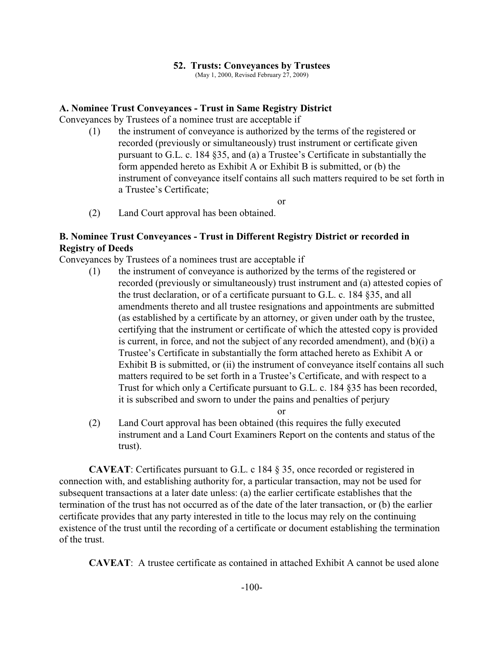## **52. Trusts: Conveyances by Trustees**

(May 1, 2000, Revised February 27, 2009)

## **A. Nominee Trust Conveyances - Trust in Same Registry District**

Conveyances by Trustees of a nominee trust are acceptable if

(1) the instrument of conveyance is authorized by the terms of the registered or recorded (previously or simultaneously) trust instrument or certificate given pursuant to G.L. c. 184 §35, and (a) a Trustee's Certificate in substantially the form appended hereto as Exhibit A or Exhibit B is submitted, or (b) the instrument of conveyance itself contains all such matters required to be set forth in a Trustee's Certificate;

or

(2) Land Court approval has been obtained.

# **B. Nominee Trust Conveyances - Trust in Different Registry District or recorded in Registry of Deeds**

Conveyances by Trustees of a nominees trust are acceptable if

(1) the instrument of conveyance is authorized by the terms of the registered or recorded (previously or simultaneously) trust instrument and (a) attested copies of the trust declaration, or of a certificate pursuant to G.L. c. 184 §35, and all amendments thereto and all trustee resignations and appointments are submitted (as established by a certificate by an attorney, or given under oath by the trustee, certifying that the instrument or certificate of which the attested copy is provided is current, in force, and not the subject of any recorded amendment), and (b)(i) a Trustee's Certificate in substantially the form attached hereto as Exhibit A or Exhibit B is submitted, or (ii) the instrument of conveyance itself contains all such matters required to be set forth in a Trustee's Certificate, and with respect to a Trust for which only a Certificate pursuant to G.L. c. 184 §35 has been recorded, it is subscribed and sworn to under the pains and penalties of perjury

or

(2) Land Court approval has been obtained (this requires the fully executed instrument and a Land Court Examiners Report on the contents and status of the trust).

**CAVEAT**: Certificates pursuant to G.L. c 184 § 35, once recorded or registered in connection with, and establishing authority for, a particular transaction, may not be used for subsequent transactions at a later date unless: (a) the earlier certificate establishes that the termination of the trust has not occurred as of the date of the later transaction, or (b) the earlier certificate provides that any party interested in title to the locus may rely on the continuing existence of the trust until the recording of a certificate or document establishing the termination of the trust.

**CAVEAT**: A trustee certificate as contained in attached Exhibit A cannot be used alone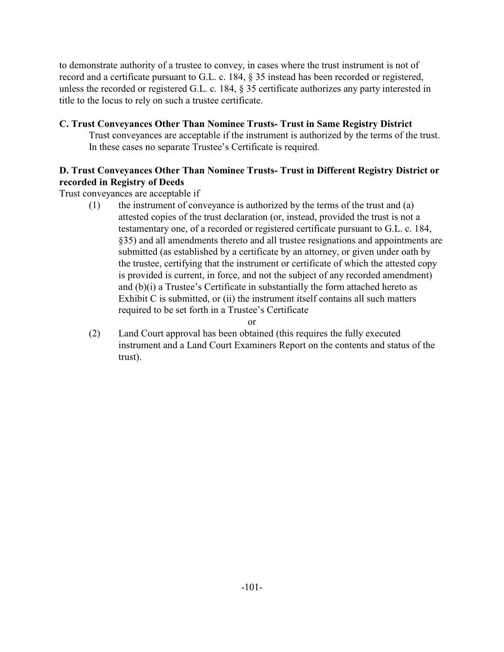to demonstrate authority of a trustee to convey, in cases where the trust instrument is not of record and a certificate pursuant to G.L. c. 184, § 35 instead has been recorded or registered, unless the recorded or registered G.L. c. 184, § 35 certificate authorizes any party interested in title to the locus to rely on such a trustee certificate.

# **C. Trust Conveyances Other Than Nominee Trusts- Trust in Same Registry District**

Trust conveyances are acceptable if the instrument is authorized by the terms of the trust. In these cases no separate Trustee's Certificate is required.

# **D. Trust Conveyances Other Than Nominee Trusts- Trust in Different Registry District or recorded in Registry of Deeds**

Trust conveyances are acceptable if

(1) the instrument of conveyance is authorized by the terms of the trust and (a) attested copies of the trust declaration (or, instead, provided the trust is not a testamentary one, of a recorded or registered certificate pursuant to G.L. c. 184, §35) and all amendments thereto and all trustee resignations and appointments are submitted (as established by a certificate by an attorney, or given under oath by the trustee, certifying that the instrument or certificate of which the attested copy is provided is current, in force, and not the subject of any recorded amendment) and (b)(i) a Trustee's Certificate in substantially the form attached hereto as Exhibit C is submitted, or (ii) the instrument itself contains all such matters required to be set forth in a Trustee's Certificate

or

(2) Land Court approval has been obtained (this requires the fully executed instrument and a Land Court Examiners Report on the contents and status of the trust).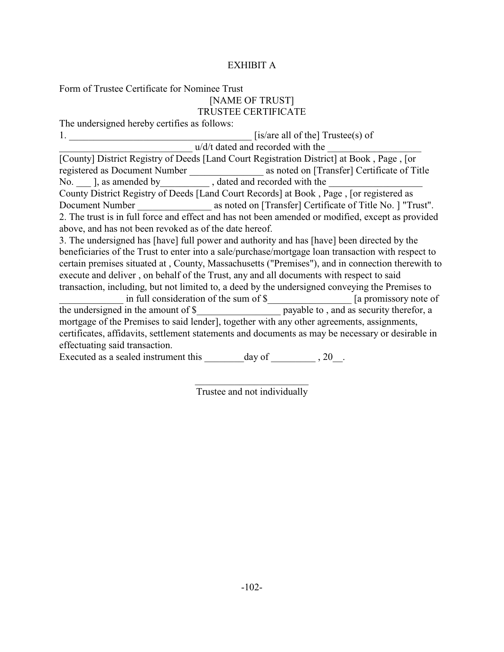# EXHIBIT A

## Form of Trustee Certificate for Nominee Trust [NAME OF TRUST] TRUSTEE CERTIFICATE

The undersigned hereby certifies as follows:

1.  $[$ is/are all of the] Trustee(s) of  $u/d/t$  dated and recorded with the [County] District Registry of Deeds [Land Court Registration District] at Book , Page , [or registered as Document Number \_\_\_\_\_\_\_\_\_\_\_\_\_\_\_ as noted on [Transfer] Certificate of Title No.  $\Box$ ], as amended by  $\Box$ , dated and recorded with the County District Registry of Deeds [Land Court Records] at Book , Page , [or registered as Document Number as noted on [Transfer] Certificate of Title No. ] "Trust". 2. The trust is in full force and effect and has not been amended or modified, except as provided above, and has not been revoked as of the date hereof. 3. The undersigned has [have] full power and authority and has [have] been directed by the beneficiaries of the Trust to enter into a sale/purchase/mortgage loan transaction with respect to certain premises situated at , County, Massachusetts ("Premises"), and in connection therewith to execute and deliver , on behalf of the Trust, any and all documents with respect to said transaction, including, but not limited to, a deed by the undersigned conveying the Premises to in full consideration of the sum of \$  $\qquad$  [a promissory note of the undersigned in the amount of \$\_\_\_\_\_\_\_\_\_\_\_\_\_\_\_\_\_ payable to , and as security therefor, a mortgage of the Premises to said lender], together with any other agreements, assignments, certificates, affidavits, settlement statements and documents as may be necessary or desirable in effectuating said transaction.

Executed as a sealed instrument this  $\qquad \qquad$  day of  $\qquad \qquad$ , 20.

\_\_\_\_\_\_\_\_\_\_\_\_\_\_\_\_\_\_\_\_\_\_\_ Trustee and not individually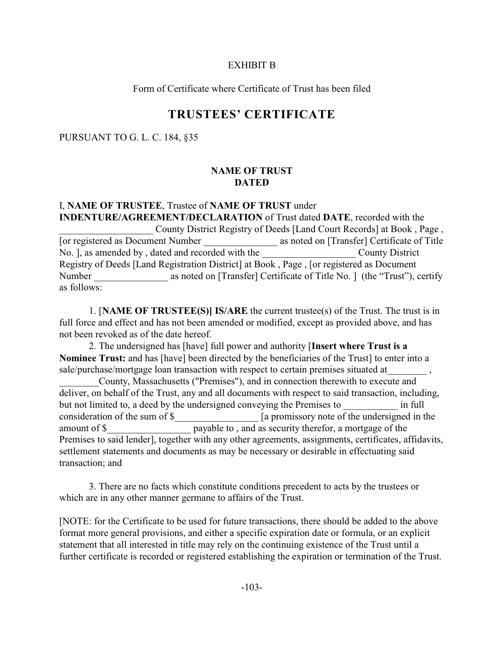#### EXHIBIT B

Form of Certificate where Certificate of Trust has been filed

# **TRUSTEES' CERTIFICATE**

#### PURSUANT TO G. L. C. 184, §35

#### **NAME OF TRUST DATED**

# I, **NAME OF TRUSTEE**, Trustee of **NAME OF TRUST** under **INDENTURE/AGREEMENT/DECLARATION** of Trust dated **DATE**, recorded with the County District Registry of Deeds [Land Court Records] at Book, Page, [or registered as Document Number \_\_\_\_\_\_\_\_\_\_\_\_\_\_\_ as noted on [Transfer] Certificate of Title No. ], as amended by, dated and recorded with the County District Registry of Deeds [Land Registration District] at Book , Page , [or registered as Document Number as noted on [Transfer] Certificate of Title No. ] (the "Trust"), certify as follows:

1. [**NAME OF TRUSTEE(S)] IS/ARE** the current trustee(s) of the Trust. The trust is in full force and effect and has not been amended or modified, except as provided above, and has not been revoked as of the date hereof.

2. The undersigned has [have] full power and authority [**Insert where Trust is a Nominee Trust:** and has [have] been directed by the beneficiaries of the Trust] to enter into a sale/purchase/mortgage loan transaction with respect to certain premises situated at

\_\_\_\_\_\_\_\_County, Massachusetts ("Premises"), and in connection therewith to execute and deliver, on behalf of the Trust, any and all documents with respect to said transaction, including, but not limited to, a deed by the undersigned conveying the Premises to  $\blacksquare$ consideration of the sum of \$  $\Box$  [a promissory note of the undersigned in the amount of \$ payable to, and as security therefor, a mortgage of the Premises to said lender], together with any other agreements, assignments, certificates, affidavits, settlement statements and documents as may be necessary or desirable in effectuating said transaction; and

3. There are no facts which constitute conditions precedent to acts by the trustees or which are in any other manner germane to affairs of the Trust.

[NOTE: for the Certificate to be used for future transactions, there should be added to the above format more general provisions, and either a specific expiration date or formula, or an explicit statement that all interested in title may rely on the continuing existence of the Trust until a further certificate is recorded or registered establishing the expiration or termination of the Trust.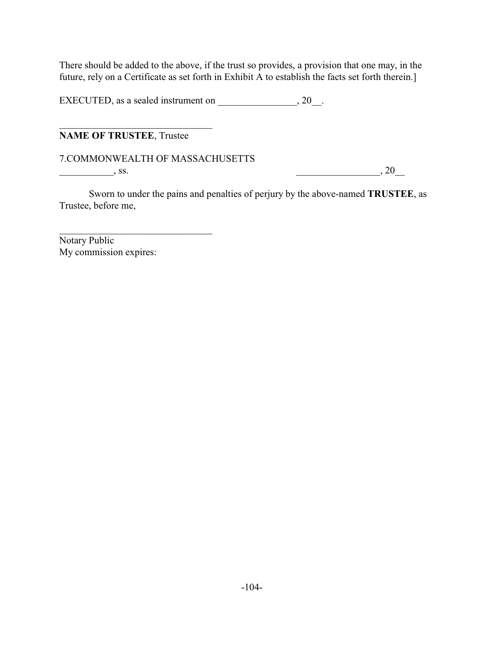There should be added to the above, if the trust so provides, a provision that one may, in the future, rely on a Certificate as set forth in Exhibit A to establish the facts set forth therein.]

EXECUTED, as a sealed instrument on \_\_\_\_\_\_\_\_\_\_\_\_\_\_\_, 20\_\_.

**NAME OF TRUSTEE**, Trustee

\_\_\_\_\_\_\_\_\_\_\_\_\_\_\_\_\_\_\_\_\_\_\_\_\_\_\_\_\_\_\_

\_\_\_\_\_\_\_\_\_\_\_\_\_\_\_\_\_\_\_\_\_\_\_\_\_\_\_\_\_\_\_

7.COMMONWEALTH OF MASSACHUSETTS

 $\overline{\phantom{a}}$ , ss.  $\overline{\phantom{a}}$ , ss.  $\overline{\phantom{a}}$ 

Sworn to under the pains and penalties of perjury by the above-named **TRUSTEE**, as Trustee, before me,

Notary Public My commission expires: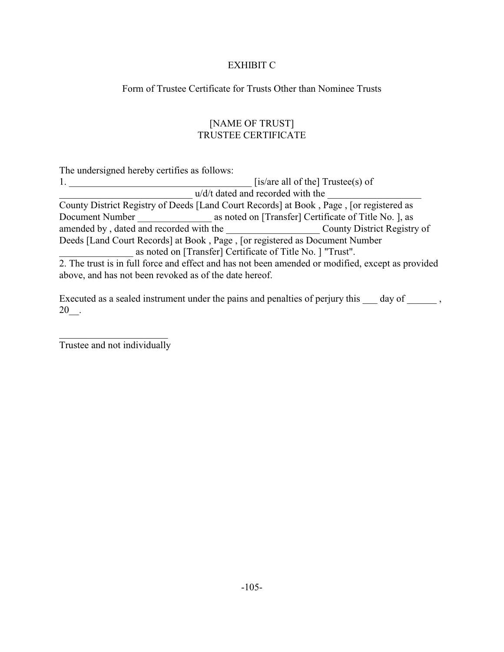# EXHIBIT C

Form of Trustee Certificate for Trusts Other than Nominee Trusts

# [NAME OF TRUST] TRUSTEE CERTIFICATE

The undersigned hereby certifies as follows:

|                                                                             |                                                            | [is/are all of the] $Trustee(s)$ of                                                               |
|-----------------------------------------------------------------------------|------------------------------------------------------------|---------------------------------------------------------------------------------------------------|
|                                                                             | u/d/t dated and recorded with the                          |                                                                                                   |
|                                                                             |                                                            | County District Registry of Deeds [Land Court Records] at Book, Page, [or registered as           |
| Document Number                                                             |                                                            | as noted on [Transfer] Certificate of Title No. ], as                                             |
| amended by, dated and recorded with the                                     |                                                            | County District Registry of                                                                       |
| Deeds [Land Court Records] at Book, Page, [or registered as Document Number |                                                            |                                                                                                   |
|                                                                             | as noted on [Transfer] Certificate of Title No. ] "Trust". |                                                                                                   |
|                                                                             |                                                            | 2. The trust is in full force and effect and has not been amended or modified, except as provided |
|                                                                             |                                                            |                                                                                                   |

above, and has not been revoked as of the date hereof.

Executed as a sealed instrument under the pains and penalties of perjury this  $\_\_\_$  day of  $\_\_\_\_$ ,  $20$ \_\_.

 $\overline{\phantom{a}}$  , and the set of the set of the set of the set of the set of the set of the set of the set of the set of the set of the set of the set of the set of the set of the set of the set of the set of the set of the s Trustee and not individually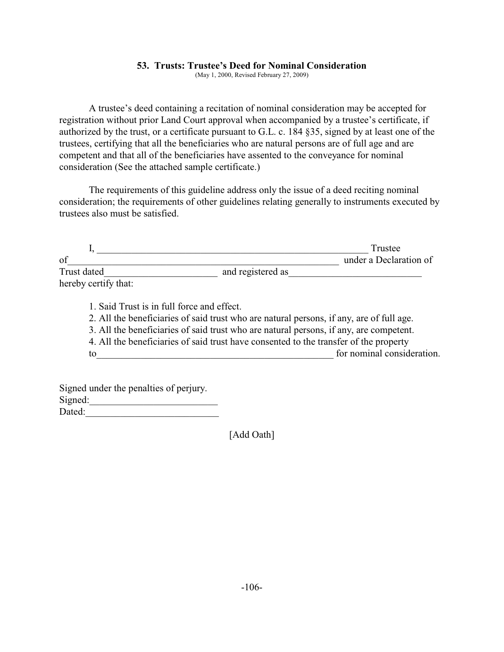#### **53. Trusts: Trustee's Deed for Nominal Consideration**

(May 1, 2000, Revised February 27, 2009)

A trustee's deed containing a recitation of nominal consideration may be accepted for registration without prior Land Court approval when accompanied by a trustee's certificate, if authorized by the trust, or a certificate pursuant to G.L. c. 184 §35, signed by at least one of the trustees, certifying that all the beneficiaries who are natural persons are of full age and are competent and that all of the beneficiaries have assented to the conveyance for nominal consideration (See the attached sample certificate.)

The requirements of this guideline address only the issue of a deed reciting nominal consideration; the requirements of other guidelines relating generally to instruments executed by trustees also must be satisfied.

|                      |                   | Trustee                |
|----------------------|-------------------|------------------------|
| of                   |                   | under a Declaration of |
| Trust dated          | and registered as |                        |
| hereby certify that: |                   |                        |
|                      |                   |                        |

1. Said Trust is in full force and effect. 2. All the beneficiaries of said trust who are natural persons, if any, are of full age. 3. All the beneficiaries of said trust who are natural persons, if any, are competent. 4. All the beneficiaries of said trust have consented to the transfer of the property to\_\_\_\_\_\_\_\_\_\_\_\_\_\_\_\_\_\_\_\_\_\_\_\_\_\_\_\_\_\_\_\_\_\_\_\_\_\_\_\_\_\_\_\_\_\_\_\_ for nominal consideration.

Signed under the penalties of perjury.  $Sigma$ : gned:  $\qquad \qquad \qquad$ Dated:

[Add Oath]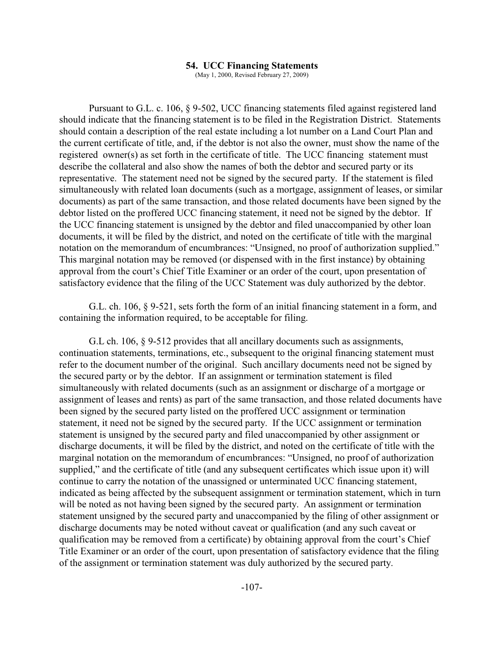#### **54. UCC Financing Statements**

(May 1, 2000, Revised February 27, 2009)

Pursuant to G.L. c. 106, § 9-502, UCC financing statements filed against registered land should indicate that the financing statement is to be filed in the Registration District. Statements should contain a description of the real estate including a lot number on a Land Court Plan and the current certificate of title, and, if the debtor is not also the owner, must show the name of the registered owner(s) as set forth in the certificate of title. The UCC financing statement must describe the collateral and also show the names of both the debtor and secured party or its representative. The statement need not be signed by the secured party. If the statement is filed simultaneously with related loan documents (such as a mortgage, assignment of leases, or similar documents) as part of the same transaction, and those related documents have been signed by the debtor listed on the proffered UCC financing statement, it need not be signed by the debtor. If the UCC financing statement is unsigned by the debtor and filed unaccompanied by other loan documents, it will be filed by the district, and noted on the certificate of title with the marginal notation on the memorandum of encumbrances: "Unsigned, no proof of authorization supplied." This marginal notation may be removed (or dispensed with in the first instance) by obtaining approval from the court's Chief Title Examiner or an order of the court, upon presentation of satisfactory evidence that the filing of the UCC Statement was duly authorized by the debtor.

G.L. ch. 106, § 9-521, sets forth the form of an initial financing statement in a form, and containing the information required, to be acceptable for filing.

G.L ch. 106, § 9-512 provides that all ancillary documents such as assignments, continuation statements, terminations, etc., subsequent to the original financing statement must refer to the document number of the original. Such ancillary documents need not be signed by the secured party or by the debtor. If an assignment or termination statement is filed simultaneously with related documents (such as an assignment or discharge of a mortgage or assignment of leases and rents) as part of the same transaction, and those related documents have been signed by the secured party listed on the proffered UCC assignment or termination statement, it need not be signed by the secured party. If the UCC assignment or termination statement is unsigned by the secured party and filed unaccompanied by other assignment or discharge documents, it will be filed by the district, and noted on the certificate of title with the marginal notation on the memorandum of encumbrances: "Unsigned, no proof of authorization supplied," and the certificate of title (and any subsequent certificates which issue upon it) will continue to carry the notation of the unassigned or unterminated UCC financing statement, indicated as being affected by the subsequent assignment or termination statement, which in turn will be noted as not having been signed by the secured party. An assignment or termination statement unsigned by the secured party and unaccompanied by the filing of other assignment or discharge documents may be noted without caveat or qualification (and any such caveat or qualification may be removed from a certificate) by obtaining approval from the court's Chief Title Examiner or an order of the court, upon presentation of satisfactory evidence that the filing of the assignment or termination statement was duly authorized by the secured party.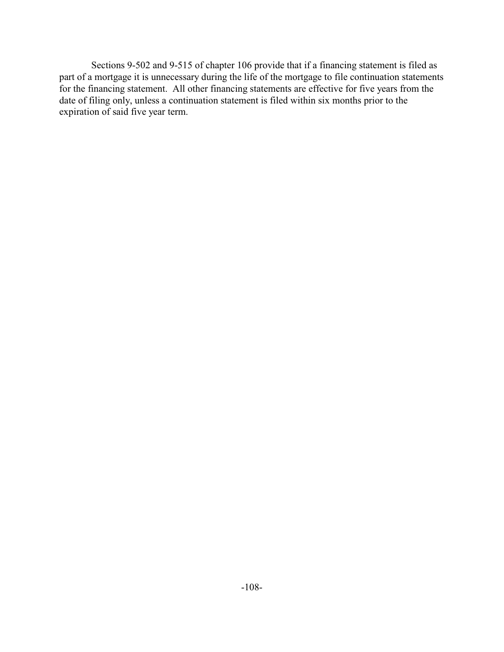Sections 9-502 and 9-515 of chapter 106 provide that if a financing statement is filed as part of a mortgage it is unnecessary during the life of the mortgage to file continuation statements for the financing statement. All other financing statements are effective for five years from the date of filing only, unless a continuation statement is filed within six months prior to the expiration of said five year term.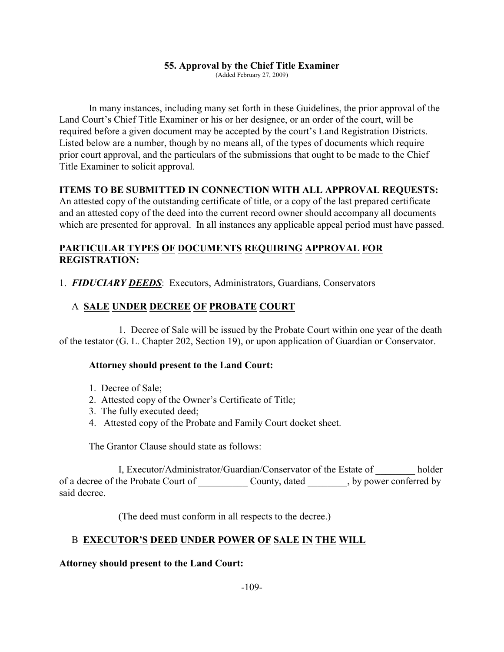#### **55. Approval by the Chief Title Examiner**

(Added February 27, 2009)

In many instances, including many set forth in these Guidelines, the prior approval of the Land Court's Chief Title Examiner or his or her designee, or an order of the court, will be required before a given document may be accepted by the court's Land Registration Districts. Listed below are a number, though by no means all, of the types of documents which require prior court approval, and the particulars of the submissions that ought to be made to the Chief Title Examiner to solicit approval.

# **ITEMS TO BE SUBMITTED IN CONNECTION WITH ALL APPROVAL REQUESTS:**

An attested copy of the outstanding certificate of title, or a copy of the last prepared certificate and an attested copy of the deed into the current record owner should accompany all documents which are presented for approval. In all instances any applicable appeal period must have passed.

# **PARTICULAR TYPES OF DOCUMENTS REQUIRING APPROVAL FOR REGISTRATION:**

1. *FIDUCIARY DEEDS*: Executors, Administrators, Guardians, Conservators

# A **SALE UNDER DECREE OF PROBATE COURT**

1. Decree of Sale will be issued by the Probate Court within one year of the death of the testator (G. L. Chapter 202, Section 19), or upon application of Guardian or Conservator.

### **Attorney should present to the Land Court:**

- 1. Decree of Sale;
- 2. Attested copy of the Owner's Certificate of Title;
- 3. The fully executed deed;
- 4. Attested copy of the Probate and Family Court docket sheet.

The Grantor Clause should state as follows:

I, Executor/Administrator/Guardian/Conservator of the Estate of holder of a decree of the Probate Court of \_\_\_\_\_\_\_\_\_\_ County, dated \_\_\_\_\_\_\_\_, by power conferred by said decree.

(The deed must conform in all respects to the decree.)

# B **EXECUTOR'S DEED UNDER POWER OF SALE IN THE WILL**

**Attorney should present to the Land Court:**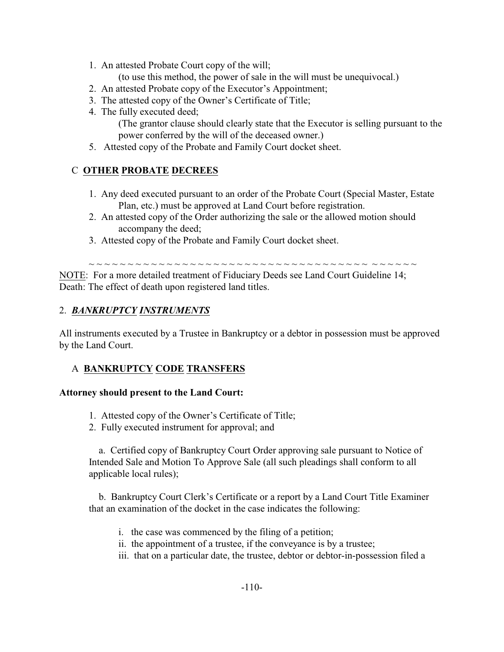1. An attested Probate Court copy of the will;

(to use this method, the power of sale in the will must be unequivocal.)

- 2. An attested Probate copy of the Executor's Appointment;
- 3. The attested copy of the Owner's Certificate of Title;
- 4. The fully executed deed; (The grantor clause should clearly state that the Executor is selling pursuant to the power conferred by the will of the deceased owner.)
- 5. Attested copy of the Probate and Family Court docket sheet.

# C **OTHER PROBATE DECREES**

- 1. Any deed executed pursuant to an order of the Probate Court (Special Master, Estate Plan, etc.) must be approved at Land Court before registration.
- 2. An attested copy of the Order authorizing the sale or the allowed motion should accompany the deed;
- 3. Attested copy of the Probate and Family Court docket sheet.

~ ~ ~ ~ ~ ~ ~ ~ ~ ~ ~ ~ ~ ~ ~ ~ ~ ~ ~ ~ ~ ~ ~ ~ ~ ~ ~ ~ ~ ~ ~ ~ ~ ~ ~ ~ ~ ~ ~ ~ ~ ~ NOTE: For a more detailed treatment of Fiduciary Deeds see Land Court Guideline 14;

Death: The effect of death upon registered land titles.

# 2. *BANKRUPTCY INSTRUMENTS*

All instruments executed by a Trustee in Bankruptcy or a debtor in possession must be approved by the Land Court.

# A **BANKRUPTCY CODE TRANSFERS**

### **Attorney should present to the Land Court:**

- 1. Attested copy of the Owner's Certificate of Title;
- 2. Fully executed instrument for approval; and

 a. Certified copy of Bankruptcy Court Order approving sale pursuant to Notice of Intended Sale and Motion To Approve Sale (all such pleadings shall conform to all applicable local rules);

 b. Bankruptcy Court Clerk's Certificate or a report by a Land Court Title Examiner that an examination of the docket in the case indicates the following:

- i. the case was commenced by the filing of a petition;
- ii. the appointment of a trustee, if the conveyance is by a trustee;
- iii. that on a particular date, the trustee, debtor or debtor-in-possession filed a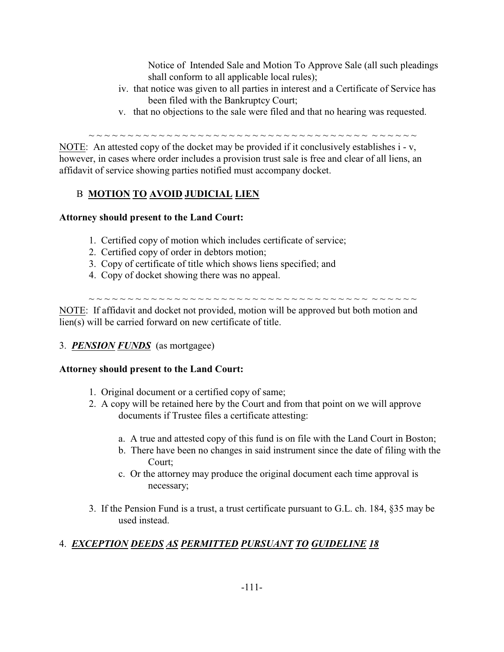Notice of Intended Sale and Motion To Approve Sale (all such pleadings shall conform to all applicable local rules);

- iv. that notice was given to all parties in interest and a Certificate of Service has been filed with the Bankruptcy Court;
- v. that no objections to the sale were filed and that no hearing was requested.

~ ~ ~ ~ ~ ~ ~ ~ ~ ~ ~ ~ ~ ~ ~ ~ ~ ~ ~ ~ ~ ~ ~ ~ ~ ~ ~ ~ ~ ~ ~ ~ ~ ~ ~ ~ ~ ~ ~ ~ ~ ~ NOTE: An attested copy of the docket may be provided if it conclusively establishes i - v, however, in cases where order includes a provision trust sale is free and clear of all liens, an affidavit of service showing parties notified must accompany docket.

# B **MOTION TO AVOID JUDICIAL LIEN**

# **Attorney should present to the Land Court:**

- 1. Certified copy of motion which includes certificate of service;
- 2. Certified copy of order in debtors motion;
- 3. Copy of certificate of title which shows liens specified; and
- 4. Copy of docket showing there was no appeal.

~ ~ ~ ~ ~ ~ ~ ~ ~ ~ ~ ~ ~ ~ ~ ~ ~ ~ ~ ~ ~ ~ ~ ~ ~ ~ ~ ~ ~ ~ ~ ~ ~ ~ ~ ~ ~ ~ ~ ~ ~ ~

NOTE: If affidavit and docket not provided, motion will be approved but both motion and lien(s) will be carried forward on new certificate of title.

# 3. *PENSION FUNDS* (as mortgagee)

# **Attorney should present to the Land Court:**

- 1. Original document or a certified copy of same;
- 2. A copy will be retained here by the Court and from that point on we will approve documents if Trustee files a certificate attesting:
	- a. A true and attested copy of this fund is on file with the Land Court in Boston;
	- b. There have been no changes in said instrument since the date of filing with the Court;
	- c. Or the attorney may produce the original document each time approval is necessary;
- 3. If the Pension Fund is a trust, a trust certificate pursuant to G.L. ch. 184, §35 may be used instead.

# 4. *EXCEPTION DEEDS AS PERMITTED PURSUANT TO GUIDELINE 18*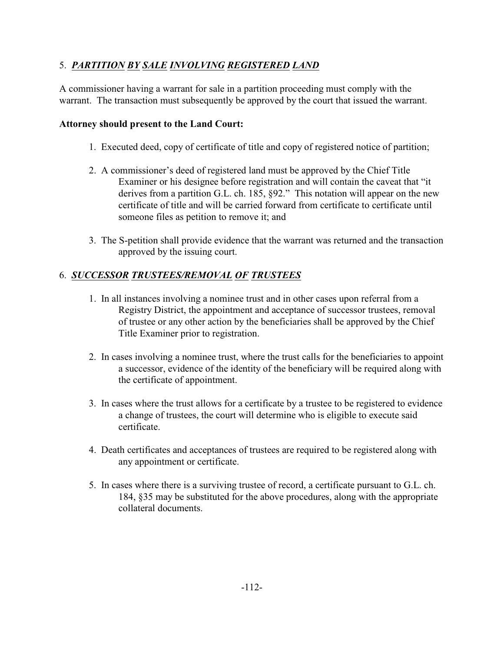# 5. *PARTITION BY SALE INVOLVING REGISTERED LAND*

A commissioner having a warrant for sale in a partition proceeding must comply with the warrant. The transaction must subsequently be approved by the court that issued the warrant.

### **Attorney should present to the Land Court:**

- 1. Executed deed, copy of certificate of title and copy of registered notice of partition;
- 2. A commissioner's deed of registered land must be approved by the Chief Title Examiner or his designee before registration and will contain the caveat that "it derives from a partition G.L. ch. 185, §92." This notation will appear on the new certificate of title and will be carried forward from certificate to certificate until someone files as petition to remove it; and
- 3. The S-petition shall provide evidence that the warrant was returned and the transaction approved by the issuing court.

# 6. *SUCCESSOR TRUSTEES/REMOVAL OF TRUSTEES*

- 1. In all instances involving a nominee trust and in other cases upon referral from a Registry District, the appointment and acceptance of successor trustees, removal of trustee or any other action by the beneficiaries shall be approved by the Chief Title Examiner prior to registration.
- 2. In cases involving a nominee trust, where the trust calls for the beneficiaries to appoint a successor, evidence of the identity of the beneficiary will be required along with the certificate of appointment.
- 3. In cases where the trust allows for a certificate by a trustee to be registered to evidence a change of trustees, the court will determine who is eligible to execute said certificate.
- 4. Death certificates and acceptances of trustees are required to be registered along with any appointment or certificate.
- 5. In cases where there is a surviving trustee of record, a certificate pursuant to G.L. ch. 184, §35 may be substituted for the above procedures, along with the appropriate collateral documents.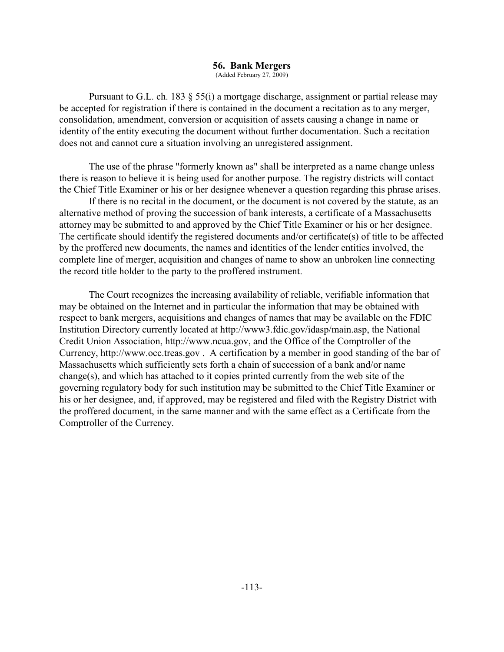# **56. Bank Mergers**

(Added February 27, 2009)

Pursuant to G.L. ch. 183 § 55(i) a mortgage discharge, assignment or partial release may be accepted for registration if there is contained in the document a recitation as to any merger, consolidation, amendment, conversion or acquisition of assets causing a change in name or identity of the entity executing the document without further documentation. Such a recitation does not and cannot cure a situation involving an unregistered assignment.

The use of the phrase "formerly known as" shall be interpreted as a name change unless there is reason to believe it is being used for another purpose. The registry districts will contact the Chief Title Examiner or his or her designee whenever a question regarding this phrase arises.

If there is no recital in the document, or the document is not covered by the statute, as an alternative method of proving the succession of bank interests, a certificate of a Massachusetts attorney may be submitted to and approved by the Chief Title Examiner or his or her designee. The certificate should identify the registered documents and/or certificate(s) of title to be affected by the proffered new documents, the names and identities of the lender entities involved, the complete line of merger, acquisition and changes of name to show an unbroken line connecting the record title holder to the party to the proffered instrument.

The Court recognizes the increasing availability of reliable, verifiable information that may be obtained on the Internet and in particular the information that may be obtained with respect to bank mergers, acquisitions and changes of names that may be available on the FDIC Institution Directory currently located at http://www3.fdic.gov/idasp/main.asp, the National Credit Union Association, http://www.ncua.gov, and the Office of the Comptroller of the Currency, http://www.occ.treas.gov . A certification by a member in good standing of the bar of Massachusetts which sufficiently sets forth a chain of succession of a bank and/or name change(s), and which has attached to it copies printed currently from the web site of the governing regulatory body for such institution may be submitted to the Chief Title Examiner or his or her designee, and, if approved, may be registered and filed with the Registry District with the proffered document, in the same manner and with the same effect as a Certificate from the Comptroller of the Currency.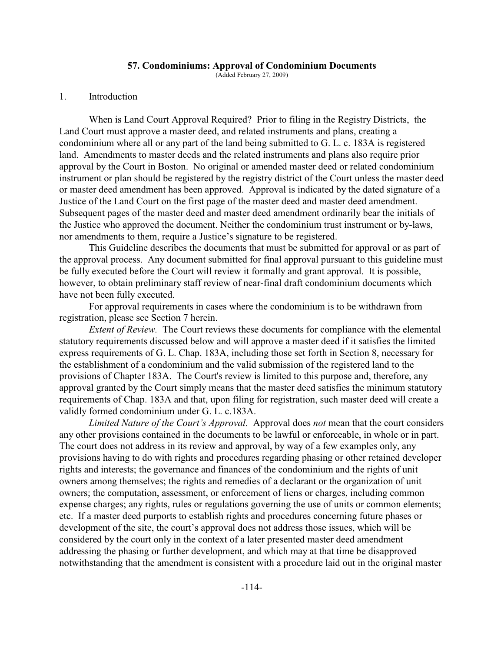#### **57. Condominiums: Approval of Condominium Documents**

(Added February 27, 2009)

#### 1. Introduction

When is Land Court Approval Required? Prior to filing in the Registry Districts, the Land Court must approve a master deed, and related instruments and plans, creating a condominium where all or any part of the land being submitted to G. L. c. 183A is registered land. Amendments to master deeds and the related instruments and plans also require prior approval by the Court in Boston. No original or amended master deed or related condominium instrument or plan should be registered by the registry district of the Court unless the master deed or master deed amendment has been approved. Approval is indicated by the dated signature of a Justice of the Land Court on the first page of the master deed and master deed amendment. Subsequent pages of the master deed and master deed amendment ordinarily bear the initials of the Justice who approved the document. Neither the condominium trust instrument or by-laws, nor amendments to them, require a Justice's signature to be registered.

This Guideline describes the documents that must be submitted for approval or as part of the approval process. Any document submitted for final approval pursuant to this guideline must be fully executed before the Court will review it formally and grant approval. It is possible, however, to obtain preliminary staff review of near-final draft condominium documents which have not been fully executed.

For approval requirements in cases where the condominium is to be withdrawn from registration, please see Section 7 herein.

*Extent of Review.* The Court reviews these documents for compliance with the elemental statutory requirements discussed below and will approve a master deed if it satisfies the limited express requirements of G. L. Chap. 183A, including those set forth in Section 8, necessary for the establishment of a condominium and the valid submission of the registered land to the provisions of Chapter 183A. The Court's review is limited to this purpose and, therefore, any approval granted by the Court simply means that the master deed satisfies the minimum statutory requirements of Chap. 183A and that, upon filing for registration, such master deed will create a validly formed condominium under G. L. c.183A.

*Limited Nature of the Court's Approval*. Approval does *not* mean that the court considers any other provisions contained in the documents to be lawful or enforceable, in whole or in part. The court does not address in its review and approval, by way of a few examples only, any provisions having to do with rights and procedures regarding phasing or other retained developer rights and interests; the governance and finances of the condominium and the rights of unit owners among themselves; the rights and remedies of a declarant or the organization of unit owners; the computation, assessment, or enforcement of liens or charges, including common expense charges; any rights, rules or regulations governing the use of units or common elements; etc. If a master deed purports to establish rights and procedures concerning future phases or development of the site, the court's approval does not address those issues, which will be considered by the court only in the context of a later presented master deed amendment addressing the phasing or further development, and which may at that time be disapproved notwithstanding that the amendment is consistent with a procedure laid out in the original master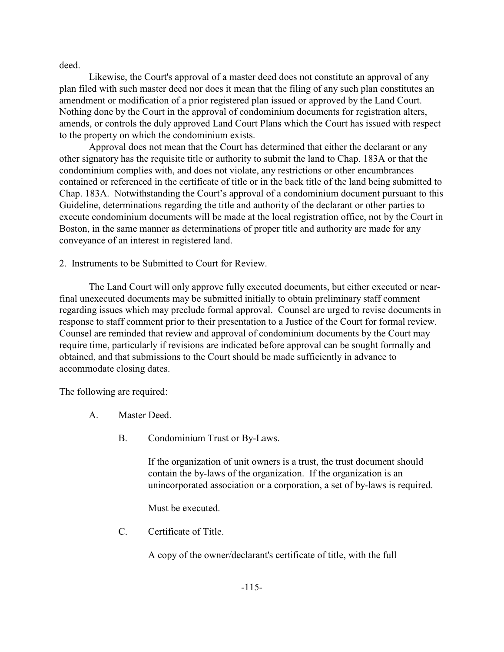deed.

Likewise, the Court's approval of a master deed does not constitute an approval of any plan filed with such master deed nor does it mean that the filing of any such plan constitutes an amendment or modification of a prior registered plan issued or approved by the Land Court. Nothing done by the Court in the approval of condominium documents for registration alters, amends, or controls the duly approved Land Court Plans which the Court has issued with respect to the property on which the condominium exists.

Approval does not mean that the Court has determined that either the declarant or any other signatory has the requisite title or authority to submit the land to Chap. 183A or that the condominium complies with, and does not violate, any restrictions or other encumbrances contained or referenced in the certificate of title or in the back title of the land being submitted to Chap. 183A. Notwithstanding the Court's approval of a condominium document pursuant to this Guideline, determinations regarding the title and authority of the declarant or other parties to execute condominium documents will be made at the local registration office, not by the Court in Boston, in the same manner as determinations of proper title and authority are made for any conveyance of an interest in registered land.

2. Instruments to be Submitted to Court for Review.

The Land Court will only approve fully executed documents, but either executed or nearfinal unexecuted documents may be submitted initially to obtain preliminary staff comment regarding issues which may preclude formal approval. Counsel are urged to revise documents in response to staff comment prior to their presentation to a Justice of the Court for formal review. Counsel are reminded that review and approval of condominium documents by the Court may require time, particularly if revisions are indicated before approval can be sought formally and obtained, and that submissions to the Court should be made sufficiently in advance to accommodate closing dates.

The following are required:

- A. Master Deed.
	- B. Condominium Trust or By-Laws.

If the organization of unit owners is a trust, the trust document should contain the by-laws of the organization. If the organization is an unincorporated association or a corporation, a set of by-laws is required.

Must be executed.

C. Certificate of Title.

A copy of the owner/declarant's certificate of title, with the full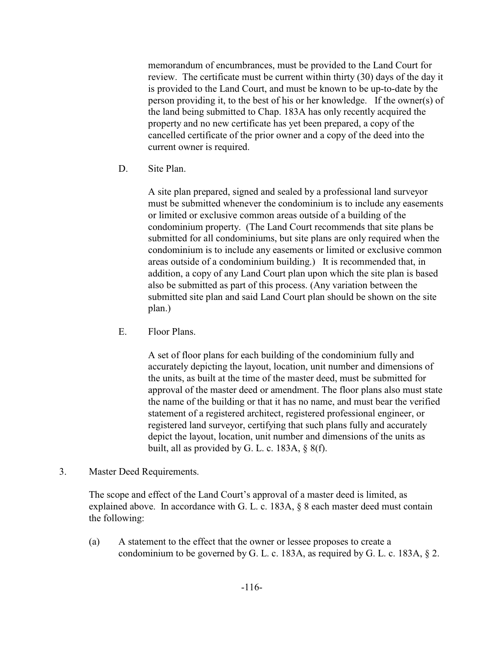memorandum of encumbrances, must be provided to the Land Court for review. The certificate must be current within thirty (30) days of the day it is provided to the Land Court, and must be known to be up-to-date by the person providing it, to the best of his or her knowledge. If the owner(s) of the land being submitted to Chap. 183A has only recently acquired the property and no new certificate has yet been prepared, a copy of the cancelled certificate of the prior owner and a copy of the deed into the current owner is required.

D. Site Plan.

A site plan prepared, signed and sealed by a professional land surveyor must be submitted whenever the condominium is to include any easements or limited or exclusive common areas outside of a building of the condominium property. (The Land Court recommends that site plans be submitted for all condominiums, but site plans are only required when the condominium is to include any easements or limited or exclusive common areas outside of a condominium building.) It is recommended that, in addition, a copy of any Land Court plan upon which the site plan is based also be submitted as part of this process. (Any variation between the submitted site plan and said Land Court plan should be shown on the site plan.)

E. Floor Plans.

A set of floor plans for each building of the condominium fully and accurately depicting the layout, location, unit number and dimensions of the units, as built at the time of the master deed, must be submitted for approval of the master deed or amendment. The floor plans also must state the name of the building or that it has no name, and must bear the verified statement of a registered architect, registered professional engineer, or registered land surveyor, certifying that such plans fully and accurately depict the layout, location, unit number and dimensions of the units as built, all as provided by G. L. c. 183A, § 8(f).

3. Master Deed Requirements.

The scope and effect of the Land Court's approval of a master deed is limited, as explained above. In accordance with G. L. c. 183A, § 8 each master deed must contain the following:

(a) A statement to the effect that the owner or lessee proposes to create a condominium to be governed by G. L. c. 183A, as required by G. L. c. 183A, § 2.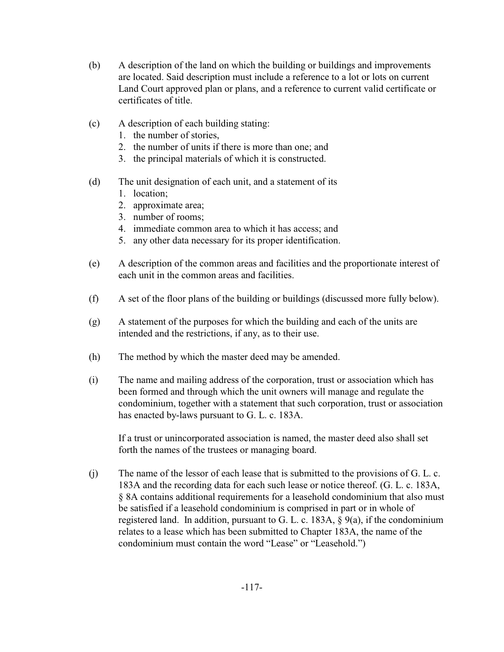- (b) A description of the land on which the building or buildings and improvements are located. Said description must include a reference to a lot or lots on current Land Court approved plan or plans, and a reference to current valid certificate or certificates of title.
- (c) A description of each building stating:
	- 1. the number of stories,
	- 2. the number of units if there is more than one; and
	- 3. the principal materials of which it is constructed.
- (d) The unit designation of each unit, and a statement of its
	- 1. location;
	- 2. approximate area;
	- 3. number of rooms;
	- 4. immediate common area to which it has access; and
	- 5. any other data necessary for its proper identification.
- (e) A description of the common areas and facilities and the proportionate interest of each unit in the common areas and facilities.
- (f) A set of the floor plans of the building or buildings (discussed more fully below).
- (g) A statement of the purposes for which the building and each of the units are intended and the restrictions, if any, as to their use.
- (h) The method by which the master deed may be amended.
- (i) The name and mailing address of the corporation, trust or association which has been formed and through which the unit owners will manage and regulate the condominium, together with a statement that such corporation, trust or association has enacted by-laws pursuant to G. L. c. 183A.

If a trust or unincorporated association is named, the master deed also shall set forth the names of the trustees or managing board.

(j) The name of the lessor of each lease that is submitted to the provisions of G. L. c. 183A and the recording data for each such lease or notice thereof. (G. L. c. 183A, § 8A contains additional requirements for a leasehold condominium that also must be satisfied if a leasehold condominium is comprised in part or in whole of registered land. In addition, pursuant to G. L. c. 183A,  $\S$  9(a), if the condominium relates to a lease which has been submitted to Chapter 183A, the name of the condominium must contain the word "Lease" or "Leasehold.")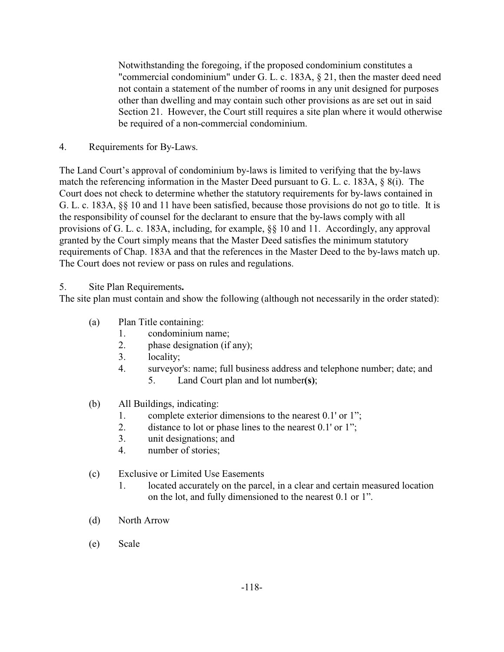Notwithstanding the foregoing, if the proposed condominium constitutes a "commercial condominium" under G. L. c. 183A, § 21, then the master deed need not contain a statement of the number of rooms in any unit designed for purposes other than dwelling and may contain such other provisions as are set out in said Section 21. However, the Court still requires a site plan where it would otherwise be required of a non-commercial condominium.

4. Requirements for By-Laws.

The Land Court's approval of condominium by-laws is limited to verifying that the by-laws match the referencing information in the Master Deed pursuant to G. L. c. 183A, § 8(i). The Court does not check to determine whether the statutory requirements for by-laws contained in G. L. c. 183A, §§ 10 and 11 have been satisfied, because those provisions do not go to title. It is the responsibility of counsel for the declarant to ensure that the by-laws comply with all provisions of G. L. c. 183A, including, for example, §§ 10 and 11. Accordingly, any approval granted by the Court simply means that the Master Deed satisfies the minimum statutory requirements of Chap. 183A and that the references in the Master Deed to the by-laws match up. The Court does not review or pass on rules and regulations.

# 5. Site Plan Requirements**.**

The site plan must contain and show the following (although not necessarily in the order stated):

- (a) Plan Title containing:
	- 1. condominium name;
	- 2. phase designation (if any);
	- 3. locality;
	- 4. surveyor's: name; full business address and telephone number; date; and 5. Land Court plan and lot number**(s)**;
- (b) All Buildings, indicating:
	- 1. complete exterior dimensions to the nearest 0.1' or 1";
	- 2. distance to lot or phase lines to the nearest 0.1' or 1";
	- 3. unit designations; and
	- 4. number of stories;
- (c) Exclusive or Limited Use Easements
	- 1. located accurately on the parcel, in a clear and certain measured location on the lot, and fully dimensioned to the nearest 0.1 or 1".
- (d) North Arrow
- (e) Scale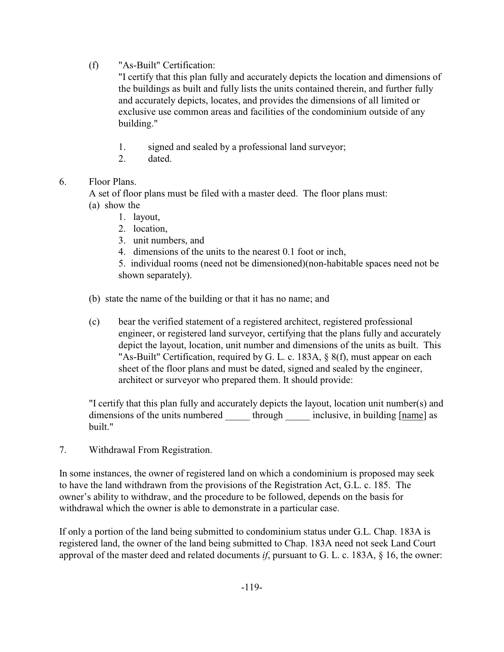(f) "As-Built" Certification:

"I certify that this plan fully and accurately depicts the location and dimensions of the buildings as built and fully lists the units contained therein, and further fully and accurately depicts, locates, and provides the dimensions of all limited or exclusive use common areas and facilities of the condominium outside of any building."

- 1. signed and sealed by a professional land surveyor;
- 2. dated.

### 6. Floor Plans.

A set of floor plans must be filed with a master deed. The floor plans must:

- (a) show the
	- 1. layout,
	- 2. location
	- 3. unit numbers, and
	- 4. dimensions of the units to the nearest 0.1 foot or inch,

5. individual rooms (need not be dimensioned)(non-habitable spaces need not be shown separately).

- (b) state the name of the building or that it has no name; and
- (c) bear the verified statement of a registered architect, registered professional engineer, or registered land surveyor, certifying that the plans fully and accurately depict the layout, location, unit number and dimensions of the units as built. This "As-Built" Certification, required by G. L. c. 183A, § 8(f), must appear on each sheet of the floor plans and must be dated, signed and sealed by the engineer, architect or surveyor who prepared them. It should provide:

"I certify that this plan fully and accurately depicts the layout, location unit number(s) and dimensions of the units numbered through inclusive, in building [name] as built."

7. Withdrawal From Registration.

In some instances, the owner of registered land on which a condominium is proposed may seek to have the land withdrawn from the provisions of the Registration Act, G.L. c. 185. The owner's ability to withdraw, and the procedure to be followed, depends on the basis for withdrawal which the owner is able to demonstrate in a particular case.

If only a portion of the land being submitted to condominium status under G.L. Chap. 183A is registered land, the owner of the land being submitted to Chap. 183A need not seek Land Court approval of the master deed and related documents *if*, pursuant to G. L. c. 183A, § 16, the owner: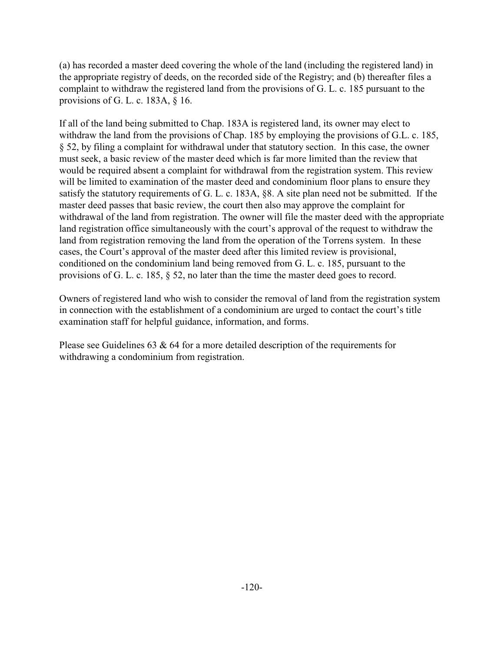(a) has recorded a master deed covering the whole of the land (including the registered land) in the appropriate registry of deeds, on the recorded side of the Registry; and (b) thereafter files a complaint to withdraw the registered land from the provisions of G. L. c. 185 pursuant to the provisions of G. L. c. 183A, § 16.

If all of the land being submitted to Chap. 183A is registered land, its owner may elect to withdraw the land from the provisions of Chap. 185 by employing the provisions of G.L. c. 185, § 52, by filing a complaint for withdrawal under that statutory section. In this case, the owner must seek, a basic review of the master deed which is far more limited than the review that would be required absent a complaint for withdrawal from the registration system. This review will be limited to examination of the master deed and condominium floor plans to ensure they satisfy the statutory requirements of G. L. c. 183A, §8. A site plan need not be submitted. If the master deed passes that basic review, the court then also may approve the complaint for withdrawal of the land from registration. The owner will file the master deed with the appropriate land registration office simultaneously with the court's approval of the request to withdraw the land from registration removing the land from the operation of the Torrens system. In these cases, the Court's approval of the master deed after this limited review is provisional, conditioned on the condominium land being removed from G. L. c. 185, pursuant to the provisions of G. L. c. 185, § 52, no later than the time the master deed goes to record.

Owners of registered land who wish to consider the removal of land from the registration system in connection with the establishment of a condominium are urged to contact the court's title examination staff for helpful guidance, information, and forms.

Please see Guidelines 63 & 64 for a more detailed description of the requirements for withdrawing a condominium from registration.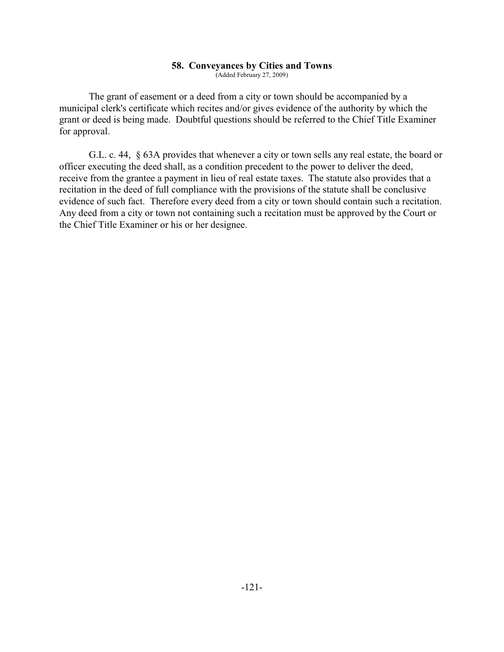#### **58. Conveyances by Cities and Towns**

(Added February 27, 2009)

The grant of easement or a deed from a city or town should be accompanied by a municipal clerk's certificate which recites and/or gives evidence of the authority by which the grant or deed is being made. Doubtful questions should be referred to the Chief Title Examiner for approval.

G.L. c. 44, § 63A provides that whenever a city or town sells any real estate, the board or officer executing the deed shall, as a condition precedent to the power to deliver the deed, receive from the grantee a payment in lieu of real estate taxes. The statute also provides that a recitation in the deed of full compliance with the provisions of the statute shall be conclusive evidence of such fact. Therefore every deed from a city or town should contain such a recitation. Any deed from a city or town not containing such a recitation must be approved by the Court or the Chief Title Examiner or his or her designee.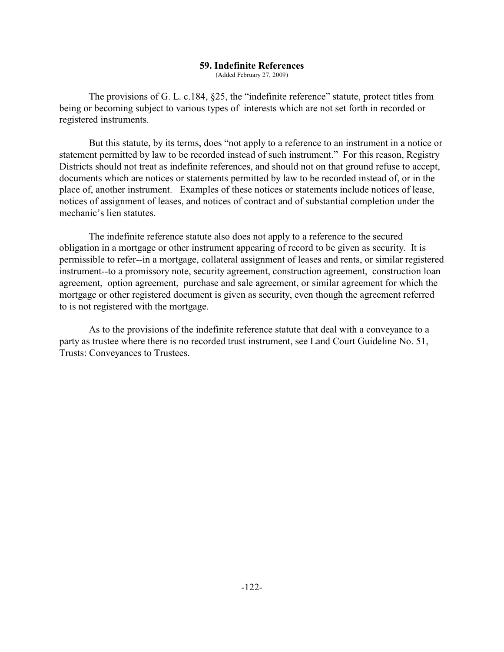#### **59. Indefinite References**

(Added February 27, 2009)

The provisions of G. L. c.184, §25, the "indefinite reference" statute, protect titles from being or becoming subject to various types of interests which are not set forth in recorded or registered instruments.

But this statute, by its terms, does "not apply to a reference to an instrument in a notice or statement permitted by law to be recorded instead of such instrument." For this reason, Registry Districts should not treat as indefinite references, and should not on that ground refuse to accept, documents which are notices or statements permitted by law to be recorded instead of, or in the place of, another instrument. Examples of these notices or statements include notices of lease, notices of assignment of leases, and notices of contract and of substantial completion under the mechanic's lien statutes.

The indefinite reference statute also does not apply to a reference to the secured obligation in a mortgage or other instrument appearing of record to be given as security. It is permissible to refer--in a mortgage, collateral assignment of leases and rents, or similar registered instrument--to a promissory note, security agreement, construction agreement, construction loan agreement, option agreement, purchase and sale agreement, or similar agreement for which the mortgage or other registered document is given as security, even though the agreement referred to is not registered with the mortgage.

As to the provisions of the indefinite reference statute that deal with a conveyance to a party as trustee where there is no recorded trust instrument, see Land Court Guideline No. 51, Trusts: Conveyances to Trustees.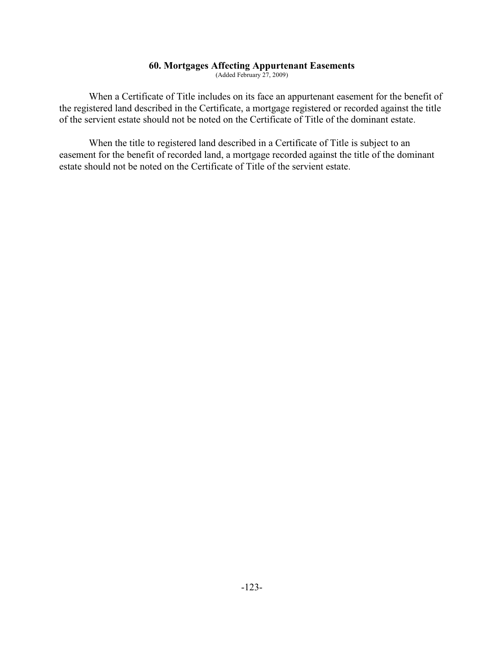#### **60. Mortgages Affecting Appurtenant Easements**

(Added February 27, 2009)

When a Certificate of Title includes on its face an appurtenant easement for the benefit of the registered land described in the Certificate, a mortgage registered or recorded against the title of the servient estate should not be noted on the Certificate of Title of the dominant estate.

When the title to registered land described in a Certificate of Title is subject to an easement for the benefit of recorded land, a mortgage recorded against the title of the dominant estate should not be noted on the Certificate of Title of the servient estate.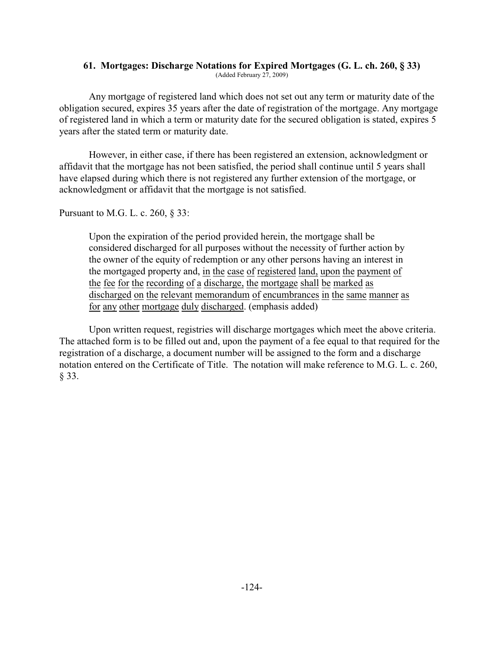# **61. Mortgages: Discharge Notations for Expired Mortgages (G. L. ch. 260, § 33)**

(Added February 27, 2009)

Any mortgage of registered land which does not set out any term or maturity date of the obligation secured, expires 35 years after the date of registration of the mortgage. Any mortgage of registered land in which a term or maturity date for the secured obligation is stated, expires 5 years after the stated term or maturity date.

However, in either case, if there has been registered an extension, acknowledgment or affidavit that the mortgage has not been satisfied, the period shall continue until 5 years shall have elapsed during which there is not registered any further extension of the mortgage, or acknowledgment or affidavit that the mortgage is not satisfied.

Pursuant to M.G. L. c. 260, § 33:

Upon the expiration of the period provided herein, the mortgage shall be considered discharged for all purposes without the necessity of further action by the owner of the equity of redemption or any other persons having an interest in the mortgaged property and, in the case of registered land, upon the payment of the fee for the recording of a discharge, the mortgage shall be marked as discharged on the relevant memorandum of encumbrances in the same manner as for any other mortgage duly discharged. (emphasis added)

Upon written request, registries will discharge mortgages which meet the above criteria. The attached form is to be filled out and, upon the payment of a fee equal to that required for the registration of a discharge, a document number will be assigned to the form and a discharge notation entered on the Certificate of Title. The notation will make reference to M.G. L. c. 260, § 33.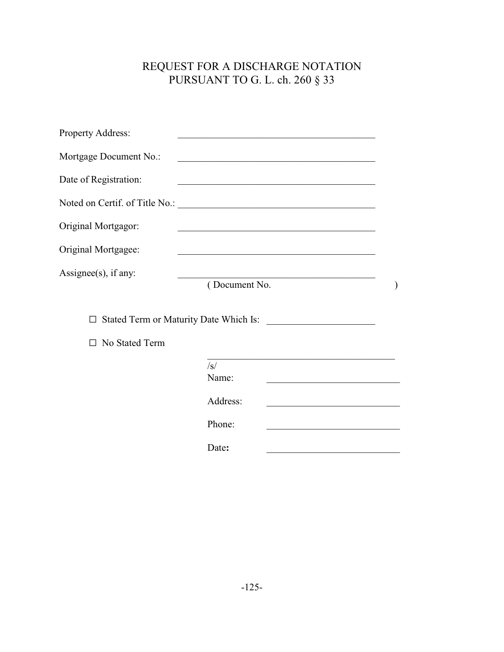# REQUEST FOR A DISCHARGE NOTATION PURSUANT TO G. L. ch. 260 § 33

| Property Address:        | the control of the control of the control of the control of the control of                                             |                                                                                           |
|--------------------------|------------------------------------------------------------------------------------------------------------------------|-------------------------------------------------------------------------------------------|
| Mortgage Document No.:   | <u> 1989 - Johann Barbara, martxa alemaniar a</u>                                                                      |                                                                                           |
| Date of Registration:    | <u> 1989 - Johann Barbara, marka a shekara tsa 1989 - An tsa 1989 - An tsa 1989 - An tsa 1989 - An tsa 1989 - An</u>   |                                                                                           |
|                          |                                                                                                                        |                                                                                           |
| Original Mortgagor:      | <u> 1989 - Johann John Stone, mars eta bainar eta baina eta baina eta baina eta baina eta baina eta baina eta ba</u>   |                                                                                           |
| Original Mortgagee:      | <u> 1980 - Johann Barbara, martxa alemaniar argumento estas estas estas en la contrada de la contrada de la contra</u> |                                                                                           |
| Assignee $(s)$ , if any: | (Document No.                                                                                                          |                                                                                           |
| П                        | Stated Term or Maturity Date Which Is:<br><u> 1989 - Johann Barbara, martin amerikan basa</u>                          |                                                                                           |
| No Stated Term<br>П      |                                                                                                                        |                                                                                           |
|                          | $\sqrt{s}$<br>Name:                                                                                                    |                                                                                           |
|                          | Address:                                                                                                               | the control of the control of the control of the control of the control of the control of |
|                          | Phone:                                                                                                                 |                                                                                           |
|                          | Date:                                                                                                                  |                                                                                           |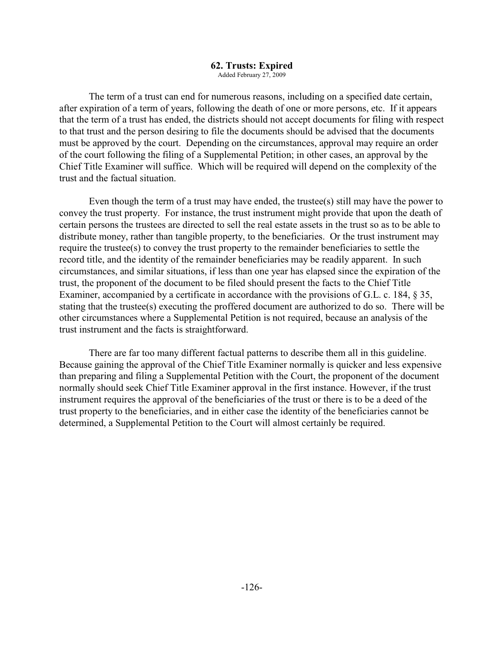#### **62. Trusts: Expired**

Added February 27, 2009

The term of a trust can end for numerous reasons, including on a specified date certain, after expiration of a term of years, following the death of one or more persons, etc. If it appears that the term of a trust has ended, the districts should not accept documents for filing with respect to that trust and the person desiring to file the documents should be advised that the documents must be approved by the court. Depending on the circumstances, approval may require an order of the court following the filing of a Supplemental Petition; in other cases, an approval by the Chief Title Examiner will suffice. Which will be required will depend on the complexity of the trust and the factual situation.

Even though the term of a trust may have ended, the trustee(s) still may have the power to convey the trust property. For instance, the trust instrument might provide that upon the death of certain persons the trustees are directed to sell the real estate assets in the trust so as to be able to distribute money, rather than tangible property, to the beneficiaries. Or the trust instrument may require the trustee(s) to convey the trust property to the remainder beneficiaries to settle the record title, and the identity of the remainder beneficiaries may be readily apparent. In such circumstances, and similar situations, if less than one year has elapsed since the expiration of the trust, the proponent of the document to be filed should present the facts to the Chief Title Examiner, accompanied by a certificate in accordance with the provisions of G.L. c. 184, § 35, stating that the trustee(s) executing the proffered document are authorized to do so. There will be other circumstances where a Supplemental Petition is not required, because an analysis of the trust instrument and the facts is straightforward.

There are far too many different factual patterns to describe them all in this guideline. Because gaining the approval of the Chief Title Examiner normally is quicker and less expensive than preparing and filing a Supplemental Petition with the Court, the proponent of the document normally should seek Chief Title Examiner approval in the first instance. However, if the trust instrument requires the approval of the beneficiaries of the trust or there is to be a deed of the trust property to the beneficiaries, and in either case the identity of the beneficiaries cannot be determined, a Supplemental Petition to the Court will almost certainly be required.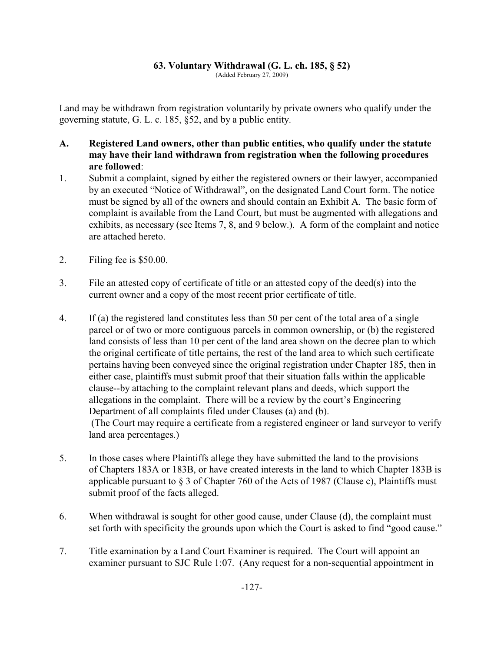#### **63. Voluntary Withdrawal (G. L. ch. 185, § 52)**

(Added February 27, 2009)

Land may be withdrawn from registration voluntarily by private owners who qualify under the governing statute, G. L. c. 185, §52, and by a public entity.

- **A. Registered Land owners, other than public entities, who qualify under the statute may have their land withdrawn from registration when the following procedures are followed**:
- 1. Submit a complaint, signed by either the registered owners or their lawyer, accompanied by an executed "Notice of Withdrawal", on the designated Land Court form. The notice must be signed by all of the owners and should contain an Exhibit A. The basic form of complaint is available from the Land Court, but must be augmented with allegations and exhibits, as necessary (see Items 7, 8, and 9 below.). A form of the complaint and notice are attached hereto.
- 2. Filing fee is \$50.00.
- 3. File an attested copy of certificate of title or an attested copy of the deed(s) into the current owner and a copy of the most recent prior certificate of title.
- 4. If (a) the registered land constitutes less than 50 per cent of the total area of a single parcel or of two or more contiguous parcels in common ownership, or (b) the registered land consists of less than 10 per cent of the land area shown on the decree plan to which the original certificate of title pertains, the rest of the land area to which such certificate pertains having been conveyed since the original registration under Chapter 185, then in either case, plaintiffs must submit proof that their situation falls within the applicable clause--by attaching to the complaint relevant plans and deeds, which support the allegations in the complaint. There will be a review by the court's Engineering Department of all complaints filed under Clauses (a) and (b). (The Court may require a certificate from a registered engineer or land surveyor to verify land area percentages.)
- 5. In those cases where Plaintiffs allege they have submitted the land to the provisions of Chapters 183A or 183B, or have created interests in the land to which Chapter 183B is applicable pursuant to  $\S 3$  of Chapter 760 of the Acts of 1987 (Clause c), Plaintiffs must submit proof of the facts alleged.
- 6. When withdrawal is sought for other good cause, under Clause (d), the complaint must set forth with specificity the grounds upon which the Court is asked to find "good cause."
- 7. Title examination by a Land Court Examiner is required. The Court will appoint an examiner pursuant to SJC Rule 1:07. (Any request for a non-sequential appointment in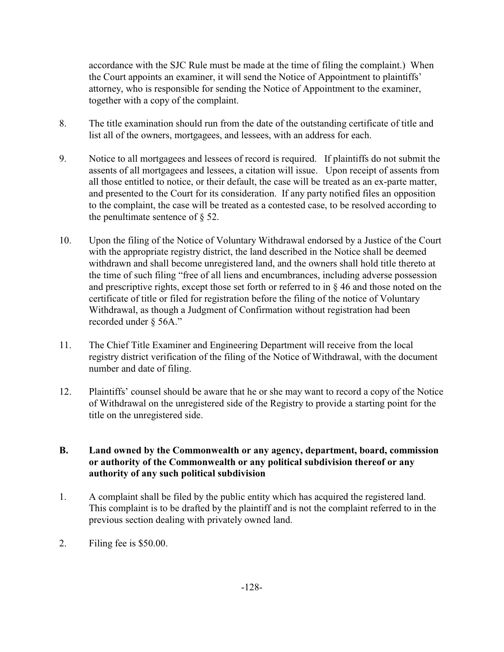accordance with the SJC Rule must be made at the time of filing the complaint.) When the Court appoints an examiner, it will send the Notice of Appointment to plaintiffs' attorney, who is responsible for sending the Notice of Appointment to the examiner, together with a copy of the complaint.

- 8. The title examination should run from the date of the outstanding certificate of title and list all of the owners, mortgagees, and lessees, with an address for each.
- 9. Notice to all mortgagees and lessees of record is required. If plaintiffs do not submit the assents of all mortgagees and lessees, a citation will issue. Upon receipt of assents from all those entitled to notice, or their default, the case will be treated as an ex-parte matter, and presented to the Court for its consideration. If any party notified files an opposition to the complaint, the case will be treated as a contested case, to be resolved according to the penultimate sentence of  $\S$  52.
- 10. Upon the filing of the Notice of Voluntary Withdrawal endorsed by a Justice of the Court with the appropriate registry district, the land described in the Notice shall be deemed withdrawn and shall become unregistered land, and the owners shall hold title thereto at the time of such filing "free of all liens and encumbrances, including adverse possession and prescriptive rights, except those set forth or referred to in § 46 and those noted on the certificate of title or filed for registration before the filing of the notice of Voluntary Withdrawal, as though a Judgment of Confirmation without registration had been recorded under § 56A."
- 11. The Chief Title Examiner and Engineering Department will receive from the local registry district verification of the filing of the Notice of Withdrawal, with the document number and date of filing.
- 12. Plaintiffs' counsel should be aware that he or she may want to record a copy of the Notice of Withdrawal on the unregistered side of the Registry to provide a starting point for the title on the unregistered side.

### **B. Land owned by the Commonwealth or any agency, department, board, commission or authority of the Commonwealth or any political subdivision thereof or any authority of any such political subdivision**

- 1. A complaint shall be filed by the public entity which has acquired the registered land. This complaint is to be drafted by the plaintiff and is not the complaint referred to in the previous section dealing with privately owned land.
- 2. Filing fee is \$50.00.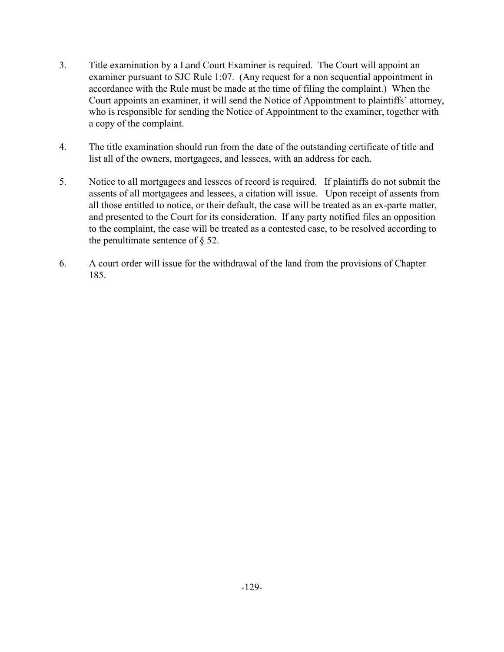- 3. Title examination by a Land Court Examiner is required. The Court will appoint an examiner pursuant to SJC Rule 1:07. (Any request for a non sequential appointment in accordance with the Rule must be made at the time of filing the complaint.) When the Court appoints an examiner, it will send the Notice of Appointment to plaintiffs' attorney, who is responsible for sending the Notice of Appointment to the examiner, together with a copy of the complaint.
- 4. The title examination should run from the date of the outstanding certificate of title and list all of the owners, mortgagees, and lessees, with an address for each.
- 5. Notice to all mortgagees and lessees of record is required. If plaintiffs do not submit the assents of all mortgagees and lessees, a citation will issue. Upon receipt of assents from all those entitled to notice, or their default, the case will be treated as an ex-parte matter, and presented to the Court for its consideration. If any party notified files an opposition to the complaint, the case will be treated as a contested case, to be resolved according to the penultimate sentence of § 52.
- 6. A court order will issue for the withdrawal of the land from the provisions of Chapter 185.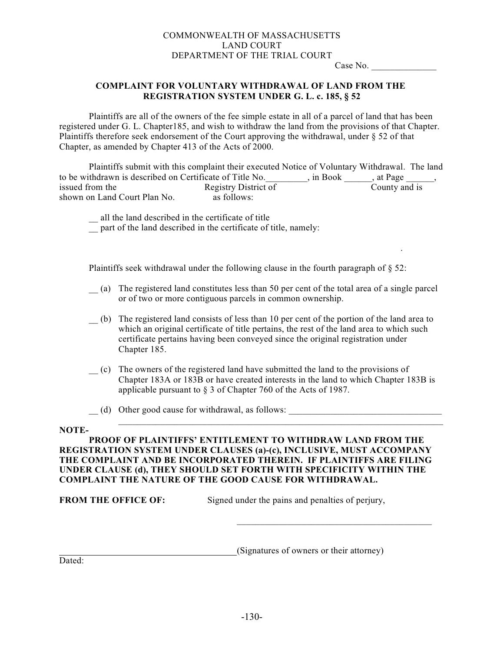#### COMMONWEALTH OF MASSACHUSETTS LAND COURT DEPARTMENT OF THE TRIAL COURT

Case No.

#### **COMPLAINT FOR VOLUNTARY WITHDRAWAL OF LAND FROM THE REGISTRATION SYSTEM UNDER G. L. c. 185, § 52**

Plaintiffs are all of the owners of the fee simple estate in all of a parcel of land that has been registered under G. L. Chapter185, and wish to withdraw the land from the provisions of that Chapter. Plaintiffs therefore seek endorsement of the Court approving the withdrawal, under § 52 of that Chapter, as amended by Chapter 413 of the Acts of 2000.

Plaintiffs submit with this complaint their executed Notice of Voluntary Withdrawal. The land to be withdrawn is described on Certificate of Title No. And Sook and State Page 1. The Sook and State Baggera, issued from the Registry District of County and is shown on Land Court Plan No. as follows:

\_\_ all the land described in the certificate of title

 $\overline{\phantom{a}}$  part of the land described in the certificate of title, namely:

Plaintiffs seek withdrawal under the following clause in the fourth paragraph of § 52:

.

- \_\_ (a) The registered land constitutes less than 50 per cent of the total area of a single parcel or of two or more contiguous parcels in common ownership.
- \_\_ (b) The registered land consists of less than 10 per cent of the portion of the land area to which an original certificate of title pertains, the rest of the land area to which such certificate pertains having been conveyed since the original registration under Chapter 185.
- \_\_ (c) The owners of the registered land have submitted the land to the provisions of Chapter 183A or 183B or have created interests in the land to which Chapter 183B is applicable pursuant to § 3 of Chapter 760 of the Acts of 1987.

\_\_\_\_\_\_\_\_\_\_\_\_\_\_\_\_\_\_\_\_\_\_\_\_\_\_\_\_\_\_\_\_\_\_\_\_\_\_\_\_\_\_\_\_\_\_\_\_\_\_\_\_\_\_\_\_\_\_\_\_\_\_\_\_\_\_\_\_\_\_

\_\_ (d) Other good cause for withdrawal, as follows: \_\_\_\_\_\_\_\_\_\_\_\_\_\_\_\_\_\_\_\_\_\_\_\_\_\_\_\_\_\_\_\_\_

#### **NOTE-**

**PROOF OF PLAINTIFFS' ENTITLEMENT TO WITHDRAW LAND FROM THE REGISTRATION SYSTEM UNDER CLAUSES (a)-(c), INCLUSIVE, MUST ACCOMPANY THE COMPLAINT AND BE INCORPORATED THEREIN. IF PLAINTIFFS ARE FILING UNDER CLAUSE (d), THEY SHOULD SET FORTH WITH SPECIFICITY WITHIN THE COMPLAINT THE NATURE OF THE GOOD CAUSE FOR WITHDRAWAL.**

**FROM THE OFFICE OF:** Signed under the pains and penalties of perjury,

(Signatures of owners or their attorney)

 $\overline{\phantom{a}}$  , where  $\overline{\phantom{a}}$  , where  $\overline{\phantom{a}}$  ,  $\overline{\phantom{a}}$  ,  $\overline{\phantom{a}}$  ,  $\overline{\phantom{a}}$  ,  $\overline{\phantom{a}}$  ,  $\overline{\phantom{a}}$  ,  $\overline{\phantom{a}}$  ,  $\overline{\phantom{a}}$  ,  $\overline{\phantom{a}}$  ,  $\overline{\phantom{a}}$  ,  $\overline{\phantom{a}}$  ,  $\overline{\phantom{a}}$  ,  $\overline{\phantom{a}}$  ,

Dated: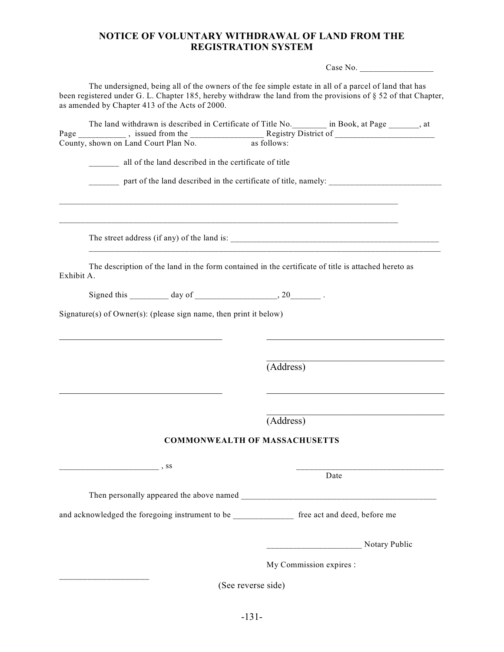### **NOTICE OF VOLUNTARY WITHDRAWAL OF LAND FROM THE REGISTRATION SYSTEM**

Case No. \_\_\_\_\_\_\_\_\_\_\_\_\_\_\_\_\_

| The undersigned, being all of the owners of the fee simple estate in all of a parcel of land that has             |
|-------------------------------------------------------------------------------------------------------------------|
| been registered under G. L. Chapter 185, hereby withdraw the land from the provisions of $\S 52$ of that Chapter, |
| as amended by Chapter 413 of the Acts of 2000.                                                                    |
|                                                                                                                   |

|                                                                   |                                                       |                                      | The land withdrawn is described in Certificate of Title No. __________ in Book, at Page _______, at |  |
|-------------------------------------------------------------------|-------------------------------------------------------|--------------------------------------|-----------------------------------------------------------------------------------------------------|--|
|                                                                   |                                                       |                                      |                                                                                                     |  |
| County, shown on Land Court Plan No.                              |                                                       | as follows:                          |                                                                                                     |  |
|                                                                   | all of the land described in the certificate of title |                                      |                                                                                                     |  |
|                                                                   |                                                       |                                      |                                                                                                     |  |
|                                                                   |                                                       |                                      |                                                                                                     |  |
|                                                                   |                                                       |                                      |                                                                                                     |  |
|                                                                   |                                                       |                                      |                                                                                                     |  |
|                                                                   |                                                       |                                      |                                                                                                     |  |
|                                                                   |                                                       |                                      |                                                                                                     |  |
|                                                                   |                                                       |                                      |                                                                                                     |  |
|                                                                   |                                                       |                                      |                                                                                                     |  |
|                                                                   |                                                       |                                      | The description of the land in the form contained in the certificate of title is attached hereto as |  |
| Exhibit A.                                                        |                                                       |                                      |                                                                                                     |  |
|                                                                   |                                                       |                                      |                                                                                                     |  |
|                                                                   |                                                       |                                      |                                                                                                     |  |
| Signature(s) of Owner(s): (please sign name, then print it below) |                                                       |                                      |                                                                                                     |  |
|                                                                   |                                                       |                                      |                                                                                                     |  |
|                                                                   |                                                       |                                      |                                                                                                     |  |
|                                                                   |                                                       |                                      |                                                                                                     |  |
|                                                                   |                                                       |                                      |                                                                                                     |  |
|                                                                   |                                                       | (Address)                            |                                                                                                     |  |
|                                                                   |                                                       |                                      |                                                                                                     |  |
|                                                                   |                                                       |                                      |                                                                                                     |  |
|                                                                   |                                                       |                                      |                                                                                                     |  |
|                                                                   |                                                       | (Address)                            |                                                                                                     |  |
|                                                                   |                                                       |                                      |                                                                                                     |  |
|                                                                   |                                                       | <b>COMMONWEALTH OF MASSACHUSETTS</b> |                                                                                                     |  |
|                                                                   |                                                       |                                      |                                                                                                     |  |
|                                                                   |                                                       |                                      |                                                                                                     |  |
|                                                                   |                                                       |                                      | Date                                                                                                |  |
|                                                                   |                                                       |                                      |                                                                                                     |  |
|                                                                   |                                                       |                                      | Then personally appeared the above named                                                            |  |
|                                                                   |                                                       |                                      | and acknowledged the foregoing instrument to be ______________ free act and deed, before me         |  |
|                                                                   |                                                       |                                      |                                                                                                     |  |
|                                                                   |                                                       |                                      |                                                                                                     |  |
|                                                                   |                                                       |                                      | Notary Public                                                                                       |  |
|                                                                   |                                                       |                                      |                                                                                                     |  |
|                                                                   |                                                       |                                      | My Commission expires :                                                                             |  |
|                                                                   |                                                       |                                      |                                                                                                     |  |
|                                                                   |                                                       | (See reverse side)                   |                                                                                                     |  |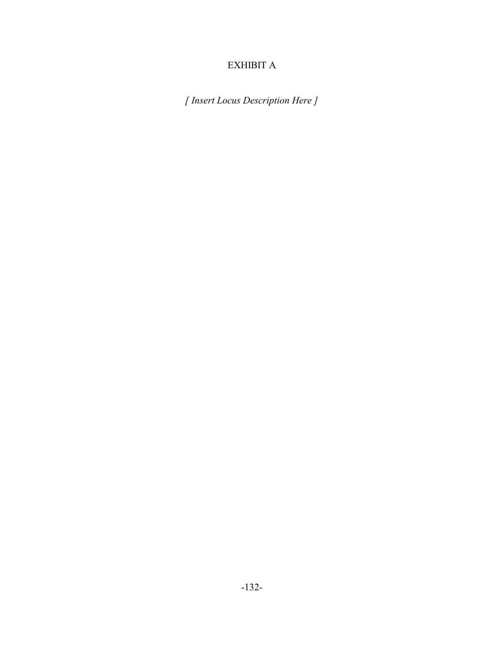# EXHIBIT A

*[ Insert Locus Description Here ]*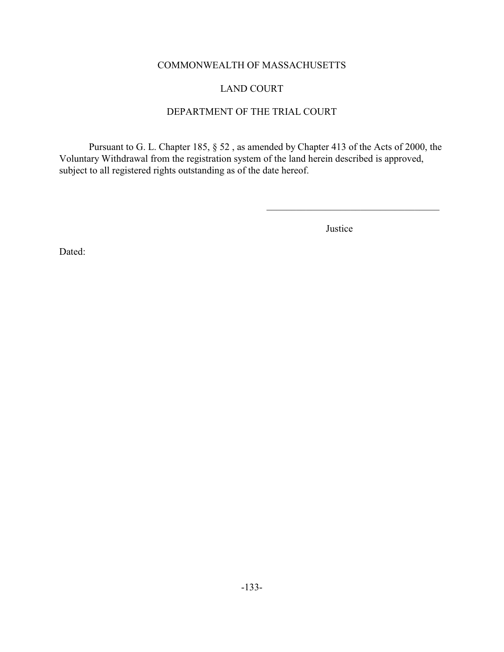# COMMONWEALTH OF MASSACHUSETTS

# LAND COURT

#### DEPARTMENT OF THE TRIAL COURT

Pursuant to G. L. Chapter 185, § 52 , as amended by Chapter 413 of the Acts of 2000, the Voluntary Withdrawal from the registration system of the land herein described is approved, subject to all registered rights outstanding as of the date hereof.

Justice

Dated: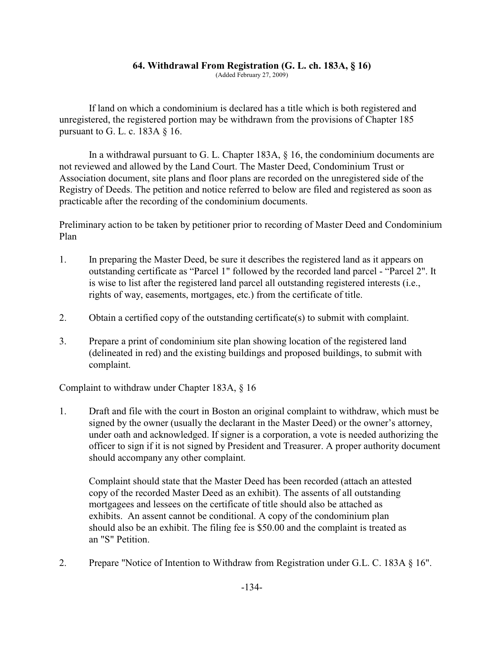# **64. Withdrawal From Registration (G. L. ch. 183A, § 16)**

(Added February 27, 2009)

If land on which a condominium is declared has a title which is both registered and unregistered, the registered portion may be withdrawn from the provisions of Chapter 185 pursuant to G. L. c. 183A § 16.

In a withdrawal pursuant to G. L. Chapter 183A, § 16, the condominium documents are not reviewed and allowed by the Land Court. The Master Deed, Condominium Trust or Association document, site plans and floor plans are recorded on the unregistered side of the Registry of Deeds. The petition and notice referred to below are filed and registered as soon as practicable after the recording of the condominium documents.

Preliminary action to be taken by petitioner prior to recording of Master Deed and Condominium Plan

- 1. In preparing the Master Deed, be sure it describes the registered land as it appears on outstanding certificate as "Parcel 1" followed by the recorded land parcel - "Parcel 2". It is wise to list after the registered land parcel all outstanding registered interests (i.e., rights of way, easements, mortgages, etc.) from the certificate of title.
- 2. Obtain a certified copy of the outstanding certificate(s) to submit with complaint.
- 3. Prepare a print of condominium site plan showing location of the registered land (delineated in red) and the existing buildings and proposed buildings, to submit with complaint.

Complaint to withdraw under Chapter 183A, § 16

1. Draft and file with the court in Boston an original complaint to withdraw, which must be signed by the owner (usually the declarant in the Master Deed) or the owner's attorney, under oath and acknowledged. If signer is a corporation, a vote is needed authorizing the officer to sign if it is not signed by President and Treasurer. A proper authority document should accompany any other complaint.

Complaint should state that the Master Deed has been recorded (attach an attested copy of the recorded Master Deed as an exhibit). The assents of all outstanding mortgagees and lessees on the certificate of title should also be attached as exhibits. An assent cannot be conditional. A copy of the condominium plan should also be an exhibit. The filing fee is \$50.00 and the complaint is treated as an "S" Petition.

2. Prepare "Notice of Intention to Withdraw from Registration under G.L. C. 183A § 16".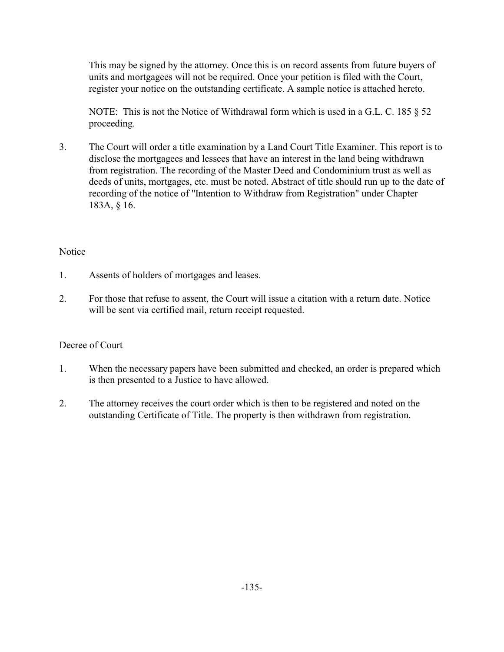This may be signed by the attorney. Once this is on record assents from future buyers of units and mortgagees will not be required. Once your petition is filed with the Court, register your notice on the outstanding certificate. A sample notice is attached hereto.

NOTE: This is not the Notice of Withdrawal form which is used in a G.L. C. 185 § 52 proceeding.

3. The Court will order a title examination by a Land Court Title Examiner. This report is to disclose the mortgagees and lessees that have an interest in the land being withdrawn from registration. The recording of the Master Deed and Condominium trust as well as deeds of units, mortgages, etc. must be noted. Abstract of title should run up to the date of recording of the notice of "Intention to Withdraw from Registration" under Chapter 183A, § 16.

### **Notice**

- 1. Assents of holders of mortgages and leases.
- 2. For those that refuse to assent, the Court will issue a citation with a return date. Notice will be sent via certified mail, return receipt requested.

### Decree of Court

- 1. When the necessary papers have been submitted and checked, an order is prepared which is then presented to a Justice to have allowed.
- 2. The attorney receives the court order which is then to be registered and noted on the outstanding Certificate of Title. The property is then withdrawn from registration.